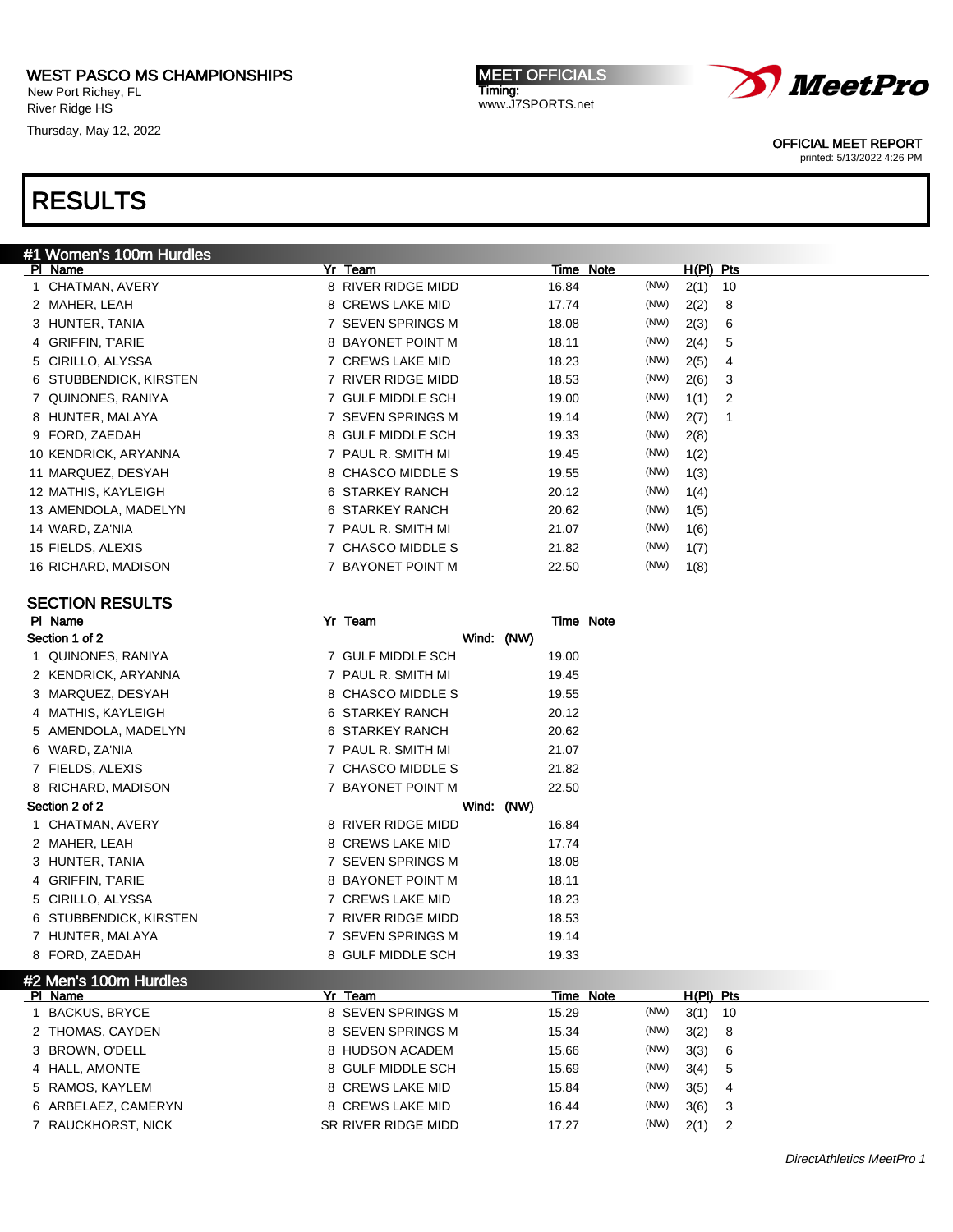New Port Richey, FL River Ridge HS

Thursday, May 12, 2022

MEET OFFICIALS Timing: www.J7SPORTS.net



OFFICIAL MEET REPORT

printed: 5/13/2022 4:26 PM

| #1 Women's 100m Hurdles |                    |           |      |           |    |
|-------------------------|--------------------|-----------|------|-----------|----|
| PI Name                 | Yr Team            | Time Note |      | H(PI) Pts |    |
| 1 CHATMAN, AVERY        | 8 RIVER RIDGE MIDD | 16.84     | (NW) | 2(1)      | 10 |
| 2 MAHER, LEAH           | 8 CREWS LAKE MID   | 17.74     | (NW) | 2(2)      | 8  |
| 3 HUNTER, TANIA         | 7 SEVEN SPRINGS M  | 18.08     | (NW) | 2(3)      | 6  |
| 4 GRIFFIN, T'ARIE       | 8 BAYONET POINT M  | 18.11     | (NW) | 2(4)      | 5  |
| 5 CIRILLO, ALYSSA       | 7 CREWS LAKE MID   | 18.23     | (NW) | 2(5)      | 4  |
| STUBBENDICK, KIRSTEN    | 7 RIVER RIDGE MIDD | 18.53     | (NW) | 2(6)      | 3  |
| QUINONES, RANIYA        | 7 GULF MIDDLE SCH  | 19.00     | (NW) | 1(1)      | 2  |
| 8 HUNTER, MALAYA        | 7 SEVEN SPRINGS M  | 19.14     | (NW) | 2(7)      | 1  |
| 9 FORD, ZAEDAH          | 8 GULF MIDDLE SCH  | 19.33     | (NW) | 2(8)      |    |
| 10 KENDRICK, ARYANNA    | 7 PAUL R. SMITH MI | 19.45     | (NW) | 1(2)      |    |
| 11 MARQUEZ, DESYAH      | 8 CHASCO MIDDLE S  | 19.55     | (NW) | 1(3)      |    |
| 12 MATHIS, KAYLEIGH     | 6 STARKEY RANCH    | 20.12     | (NW) | 1(4)      |    |
| 13 AMENDOLA, MADELYN    | 6 STARKEY RANCH    | 20.62     | (NW) | 1(5)      |    |
| 14 WARD, ZA'NIA         | 7 PAUL R. SMITH MI | 21.07     | (NW) | 1(6)      |    |
| 15 FIELDS, ALEXIS       | 7 CHASCO MIDDLE S  | 21.82     | (NW) | 1(7)      |    |
| 16 RICHARD, MADISON     | 7 BAYONET POINT M  | 22.50     | (NW) | 1(8)      |    |
| <b>SECTION RESULTS</b>  |                    |           |      |           |    |
| PI Name                 | Yr Team            | Time Note |      |           |    |
| Section 1 of 2          | Wind: (NW)         |           |      |           |    |
| 1 OUINONES RANIYA       | 7 GULF MIDDLE SCH  | 19.00     |      |           |    |

| Section 1 of 2         |                                                                                                                                                                                                                                                                                                                                                                                          | Wind: (NW) |                                           |
|------------------------|------------------------------------------------------------------------------------------------------------------------------------------------------------------------------------------------------------------------------------------------------------------------------------------------------------------------------------------------------------------------------------------|------------|-------------------------------------------|
| QUINONES, RANIYA       | 7 GULF MIDDLE SCH                                                                                                                                                                                                                                                                                                                                                                        | 19.00      |                                           |
| 2 KENDRICK, ARYANNA    | 7 PAUL R. SMITH MI                                                                                                                                                                                                                                                                                                                                                                       | 19.45      |                                           |
| 3 MARQUEZ, DESYAH      | 8 CHASCO MIDDLE S                                                                                                                                                                                                                                                                                                                                                                        | 19.55      |                                           |
| 4 MATHIS, KAYLEIGH     | 6 STARKEY RANCH                                                                                                                                                                                                                                                                                                                                                                          | 20.12      |                                           |
| 5 AMENDOLA, MADELYN    | 6 STARKEY RANCH                                                                                                                                                                                                                                                                                                                                                                          | 20.62      |                                           |
| 6 WARD, ZA'NIA         | 7 PAUL R. SMITH MI                                                                                                                                                                                                                                                                                                                                                                       | 21.07      |                                           |
| 7 FIELDS, ALEXIS       | 7 CHASCO MIDDLE S                                                                                                                                                                                                                                                                                                                                                                        | 21.82      |                                           |
| 8 RICHARD, MADISON     | 7 BAYONET POINT M                                                                                                                                                                                                                                                                                                                                                                        | 22.50      |                                           |
| Section 2 of 2         |                                                                                                                                                                                                                                                                                                                                                                                          | Wind: (NW) |                                           |
| CHATMAN, AVERY         | 8 RIVER RIDGE MIDD                                                                                                                                                                                                                                                                                                                                                                       | 16.84      |                                           |
| 2 MAHER, LEAH          | 8 CREWS LAKE MID                                                                                                                                                                                                                                                                                                                                                                         | 17.74      |                                           |
| 3 HUNTER, TANIA        | 7 SEVEN SPRINGS M                                                                                                                                                                                                                                                                                                                                                                        | 18.08      |                                           |
| 4 GRIFFIN, T'ARIE      | 8 BAYONET POINT M                                                                                                                                                                                                                                                                                                                                                                        | 18.11      |                                           |
| 5 CIRILLO, ALYSSA      | 7 CREWS LAKE MID                                                                                                                                                                                                                                                                                                                                                                         | 18.23      |                                           |
| 6 STUBBENDICK, KIRSTEN | 7 RIVER RIDGE MIDD                                                                                                                                                                                                                                                                                                                                                                       | 18.53      |                                           |
| 7 HUNTER, MALAYA       | 7 SEVEN SPRINGS M                                                                                                                                                                                                                                                                                                                                                                        | 19.14      |                                           |
| 8 FORD, ZAEDAH         | 8 GULF MIDDLE SCH                                                                                                                                                                                                                                                                                                                                                                        | 19.33      |                                           |
| #2 Men's 100m Hurdles  |                                                                                                                                                                                                                                                                                                                                                                                          |            |                                           |
| PI Name                | Team<br>Yr                                                                                                                                                                                                                                                                                                                                                                               | Time Note  | $H(PI)$ Pts                               |
| <b>BACKUS, BRYCE</b>   | 8 SEVEN SPRINGS M                                                                                                                                                                                                                                                                                                                                                                        | 15.29      | (NW)<br>$3(1)$ 10                         |
| 0 THOMA CAVOTH         | $\alpha$ $\alpha$ $\alpha$ $\beta$ $\alpha$ $\alpha$ $\alpha$ $\alpha$ $\alpha$ $\beta$ $\alpha$ $\beta$ $\alpha$ $\beta$ $\alpha$ $\beta$ $\alpha$ $\beta$ $\alpha$ $\beta$ $\alpha$ $\beta$ $\alpha$ $\beta$ $\alpha$ $\beta$ $\alpha$ $\beta$ $\alpha$ $\beta$ $\alpha$ $\beta$ $\alpha$ $\beta$ $\alpha$ $\beta$ $\alpha$ $\beta$ $\alpha$ $\beta$ $\alpha$ $\beta$ $\alpha$ $\beta$ | 1001       | $\sqrt{\mathsf{N}}$<br>$\Omega$<br>$\sim$ |

| BACKUS, BRYCE       | 8 SEVEN SPRINGS M   | 15.29 | (NW) | $3(1)$ 10 |                            |
|---------------------|---------------------|-------|------|-----------|----------------------------|
| 2 THOMAS, CAYDEN    | 8 SEVEN SPRINGS M   | 15.34 | (NW) | 3(2) 8    |                            |
| 3 BROWN, O'DELL     | 8 HUDSON ACADEM     | 15.66 | (NW) | 3(3) 6    |                            |
| 4 HALL, AMONTE      | 8 GULF MIDDLE SCH   | 15.69 | (NW) | 3(4) 5    |                            |
| 5 RAMOS, KAYLEM     | 8 CREWS LAKE MID    | 15.84 | (NW) | $3(5)$ 4  |                            |
| 6 ARBELAEZ, CAMERYN | 8 CREWS LAKE MID    | 16.44 | (NW) | $3(6)$ 3  |                            |
| 7 RAUCKHORST, NICK  | SR RIVER RIDGE MIDD | 17.27 | (NW) | 2(1)      | $\overline{\phantom{0}}^2$ |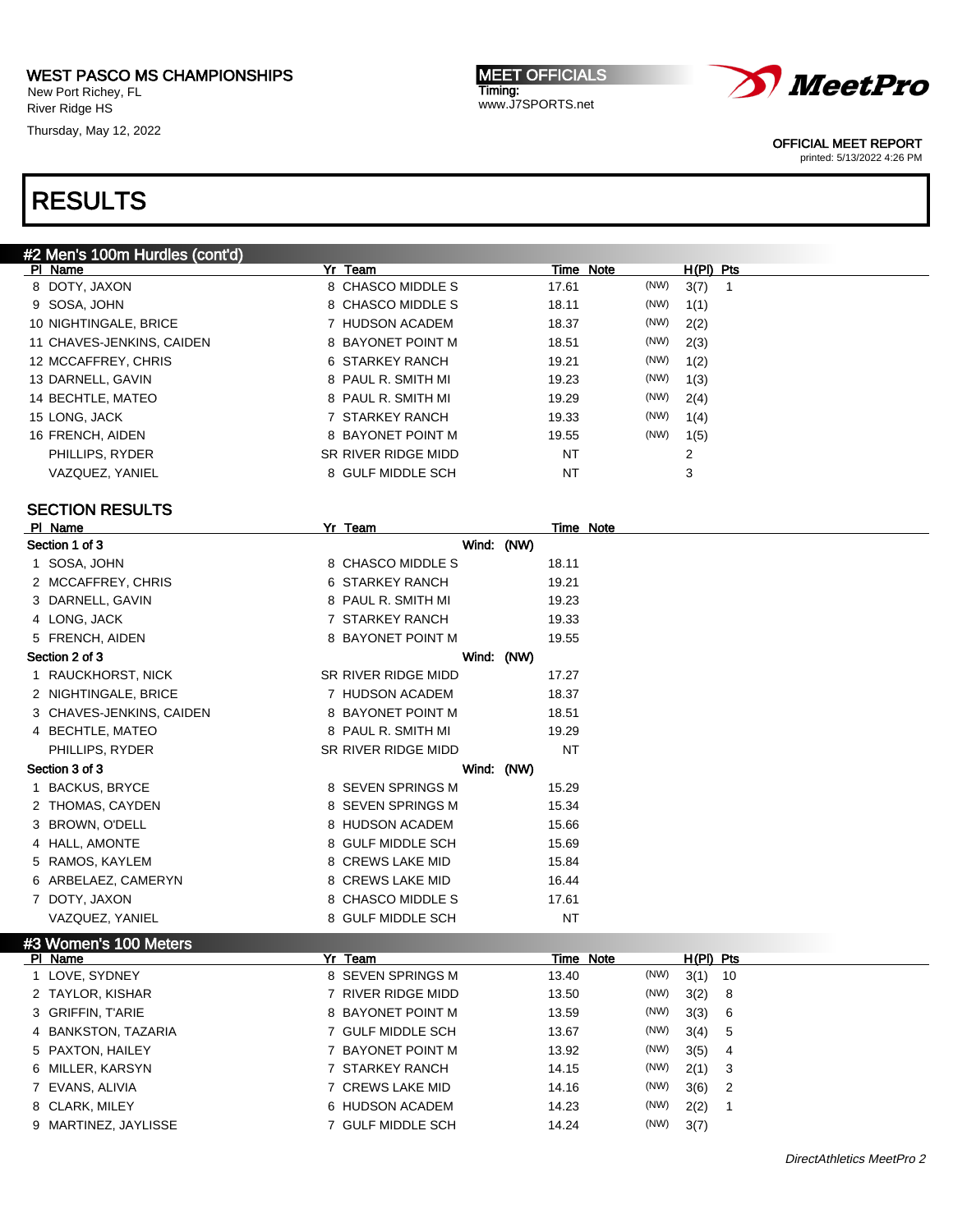New Port Richey, FL River Ridge HS

Thursday, May 12, 2022

MEET OFFICIALS Timing: www.J7SPORTS.net



OFFICIAL MEET REPORT

printed: 5/13/2022 4:26 PM

| #2 Men's 100m Hurdles (cont'd)          |                     |            |                |                  |
|-----------------------------------------|---------------------|------------|----------------|------------------|
| PI Name                                 | Yr Team             |            | Time Note      | <u>H(PI) Pts</u> |
| 8 DOTY, JAXON                           | 8 CHASCO MIDDLE S   | 17.61      | (NW)<br>3(7)   | $\mathbf{1}$     |
| 9 SOSA, JOHN                            | 8 CHASCO MIDDLE S   | 18.11      | (NW)<br>1(1)   |                  |
| 10 NIGHTINGALE, BRICE                   | 7 HUDSON ACADEM     | 18.37      | (NW)<br>2(2)   |                  |
| 11 CHAVES-JENKINS, CAIDEN               | 8 BAYONET POINT M   | 18.51      | (NW)<br>2(3)   |                  |
| 12 MCCAFFREY, CHRIS                     | 6 STARKEY RANCH     | 19.21      | (NW)<br>1(2)   |                  |
| 13 DARNELL, GAVIN                       | 8 PAUL R. SMITH MI  | 19.23      | (NW)<br>1(3)   |                  |
| 14 BECHTLE, MATEO                       | 8 PAUL R. SMITH MI  | 19.29      | (NW)<br>2(4)   |                  |
| 15 LONG, JACK                           | 7 STARKEY RANCH     | 19.33      | (NW)<br>1(4)   |                  |
| 16 FRENCH, AIDEN                        | 8 BAYONET POINT M   | 19.55      | (NW)<br>1(5)   |                  |
| PHILLIPS, RYDER                         | SR RIVER RIDGE MIDD | <b>NT</b>  | $\overline{2}$ |                  |
| VAZQUEZ, YANIEL                         | 8 GULF MIDDLE SCH   | <b>NT</b>  | 3              |                  |
| <b>SECTION RESULTS</b>                  |                     |            |                |                  |
| PI Name                                 | Yr Team             |            | Time Note      |                  |
| Section 1 of 3                          |                     | Wind: (NW) |                |                  |
| 1 SOSA, JOHN                            | 8 CHASCO MIDDLE S   | 18.11      |                |                  |
| 2 MCCAFFREY, CHRIS                      | 6 STARKEY RANCH     | 19.21      |                |                  |
| 3 DARNELL, GAVIN                        | 8 PAUL R. SMITH MI  | 19.23      |                |                  |
| 4 LONG, JACK                            | 7 STARKEY RANCH     | 19.33      |                |                  |
| 5 FRENCH, AIDEN                         | 8 BAYONET POINT M   | 19.55      |                |                  |
| Section 2 of 3                          |                     | Wind: (NW) |                |                  |
| 1 RAUCKHORST, NICK                      | SR RIVER RIDGE MIDD | 17.27      |                |                  |
| 2 NIGHTINGALE, BRICE                    | 7 HUDSON ACADEM     | 18.37      |                |                  |
|                                         | 8 BAYONET POINT M   |            |                |                  |
| 3 CHAVES-JENKINS, CAIDEN                |                     | 18.51      |                |                  |
| 4 BECHTLE, MATEO                        | 8 PAUL R. SMITH MI  | 19.29      |                |                  |
| PHILLIPS, RYDER                         | SR RIVER RIDGE MIDD | <b>NT</b>  |                |                  |
| Section 3 of 3                          |                     | Wind: (NW) |                |                  |
| 1 BACKUS, BRYCE                         | 8 SEVEN SPRINGS M   | 15.29      |                |                  |
| 2 THOMAS, CAYDEN                        | 8 SEVEN SPRINGS M   | 15.34      |                |                  |
| 3 BROWN, O'DELL                         | 8 HUDSON ACADEM     | 15.66      |                |                  |
| 4 HALL, AMONTE                          | 8 GULF MIDDLE SCH   | 15.69      |                |                  |
| 5 RAMOS, KAYLEM                         | 8 CREWS LAKE MID    | 15.84      |                |                  |
| 6 ARBELAEZ, CAMERYN                     | 8 CREWS LAKE MID    | 16.44      |                |                  |
| 7 DOTY, JAXON                           | 8 CHASCO MIDDLE S   | 17.61      |                |                  |
| VAZQUEZ, YANIEL                         | 8 GULF MIDDLE SCH   | <b>NT</b>  |                |                  |
| #3 Women's 100 Meters<br><b>PI Name</b> | Yr Team             |            | Time Note      | H(PI) Pts        |
| 1 LOVE, SYDNEY                          | 8 SEVEN SPRINGS M   | 13.40      | (NW)<br>3(1)   | 10               |
| 2 TAYLOR, KISHAR                        | 7 RIVER RIDGE MIDD  | 13.50      | (NW)<br>3(2)   | 8                |
| 3 GRIFFIN, T'ARIE                       | 8 BAYONET POINT M   | 13.59      | (NW)<br>3(3)   | 6                |
| <b>BANKSTON, TAZARIA</b><br>4           | 7 GULF MIDDLE SCH   | 13.67      | (NW)<br>3(4)   | 5                |
| 5 PAXTON, HAILEY                        | 7 BAYONET POINT M   | 13.92      | (NW)<br>3(5)   | 4                |
| 6 MILLER, KARSYN                        | 7 STARKEY RANCH     | 14.15      | (NW)<br>2(1)   | 3                |
| 7 EVANS, ALIVIA                         | 7 CREWS LAKE MID    | 14.16      | (NW)<br>3(6)   | 2                |
|                                         |                     |            | (NW)           |                  |
| 8 CLARK, MILEY                          | 6 HUDSON ACADEM     | 14.23      | 2(2)           | $\mathbf{1}$     |
| 9 MARTINEZ, JAYLISSE                    | 7 GULF MIDDLE SCH   | 14.24      | (NW)<br>3(7)   |                  |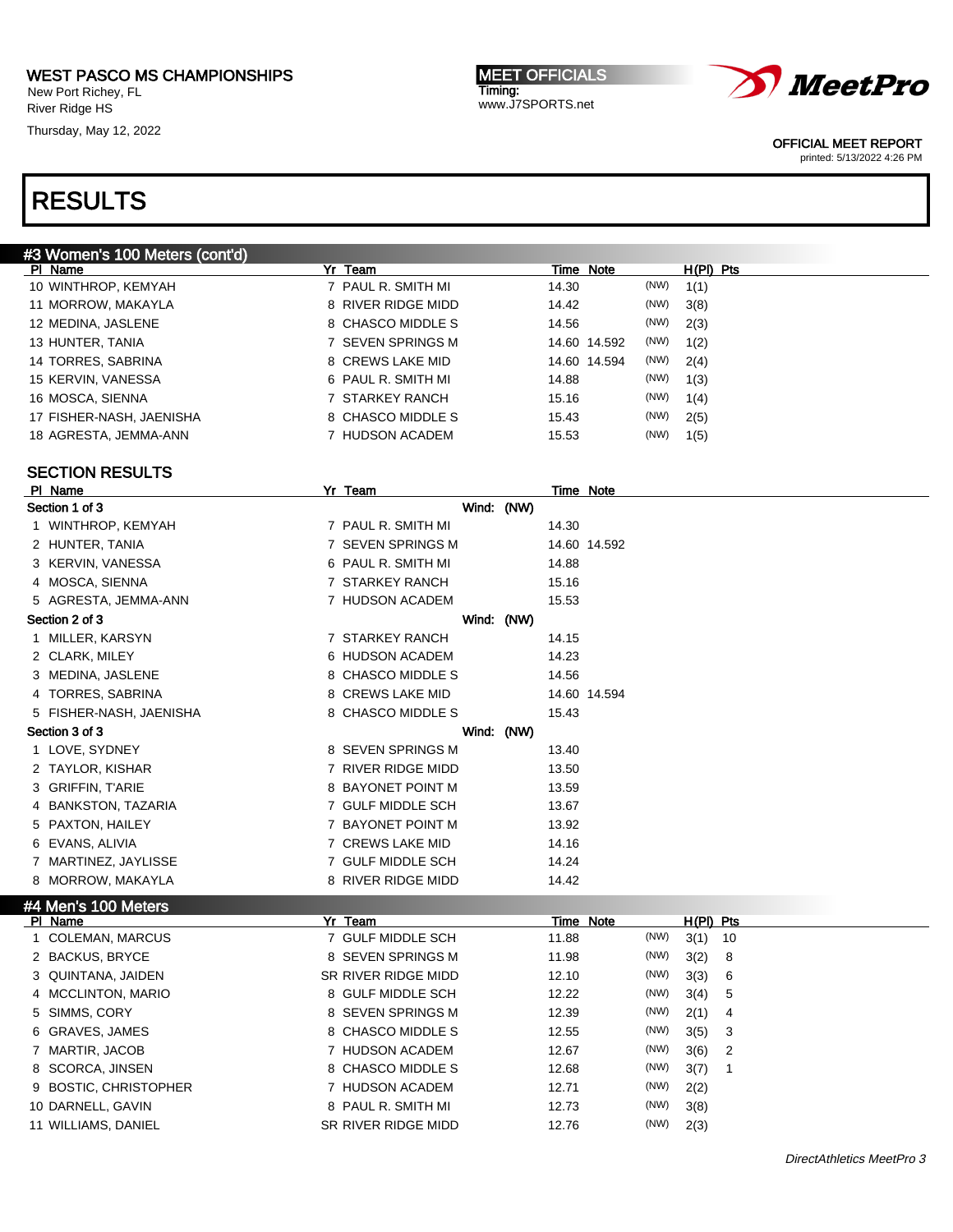New Port Richey, FL River Ridge HS

Thursday, May 12, 2022

MEET OFFICIALS Timing: www.J7SPORTS.net



OFFICIAL MEET REPORT

printed: 5/13/2022 4:26 PM

# RESULTS

| #3 Women's 100 Meters (cont'd) |                    |              |              |
|--------------------------------|--------------------|--------------|--------------|
| PI Name                        | Yr Team            | Time Note    | $H(PI)$ Pts  |
| 10 WINTHROP, KEMYAH            | 7 PAUL R. SMITH MI | 14.30        | (NW)<br>1(1) |
| 11 MORROW, MAKAYLA             | 8 RIVER RIDGE MIDD | 14.42        | (NW)<br>3(8) |
| 12 MEDINA, JASLENE             | 8 CHASCO MIDDLE S  | 14.56        | (NW)<br>2(3) |
| 13 HUNTER, TANIA               | 7 SEVEN SPRINGS M  | 14.60 14.592 | (NW)<br>1(2) |
| 14 TORRES, SABRINA             | 8 CREWS LAKE MID   | 14.60 14.594 | (NW)<br>2(4) |
| 15 KERVIN, VANESSA             | 6 PAUL R. SMITH MI | 14.88        | (NW)<br>1(3) |
| 16 MOSCA, SIENNA               | 7 STARKEY RANCH    | 15.16        | (NW)<br>1(4) |
| 17 FISHER-NASH, JAENISHA       | 8 CHASCO MIDDLE S  | 15.43        | (NW)<br>2(5) |
| 18 AGRESTA, JEMMA-ANN          | 'HUDSON ACADEM     | 15.53        | (NW)<br>1(5) |
|                                |                    |              |              |

### SECTION RESULTS

| PI Name                 | Yr Team            |  |       | Time Note    |
|-------------------------|--------------------|--|-------|--------------|
| Section 1 of 3          | Wind: (NW)         |  |       |              |
| 1 WINTHROP, KEMYAH      | 7 PAUL R. SMITH MI |  | 14.30 |              |
| 2 HUNTER, TANIA         | 7 SEVEN SPRINGS M  |  |       | 14.60 14.592 |
| 3 KERVIN, VANESSA       | 6 PAUL R. SMITH MI |  | 14.88 |              |
| 4 MOSCA, SIENNA         | 7 STARKEY RANCH    |  | 15.16 |              |
| 5 AGRESTA, JEMMA-ANN    | 7 HUDSON ACADEM    |  | 15.53 |              |
| Section 2 of 3          | Wind: (NW)         |  |       |              |
| 1 MILLER, KARSYN        | 7 STARKEY RANCH    |  | 14.15 |              |
| 2 CLARK, MILEY          | 6 HUDSON ACADEM    |  | 14.23 |              |
| 3 MEDINA, JASLENE       | 8 CHASCO MIDDLE S  |  | 14.56 |              |
| 4 TORRES, SABRINA       | 8 CREWS LAKE MID   |  |       | 14.60 14.594 |
| 5 FISHER-NASH, JAENISHA | 8 CHASCO MIDDLE S  |  | 15.43 |              |
| Section 3 of 3          | Wind: (NW)         |  |       |              |
| 1 LOVE, SYDNEY          | 8 SEVEN SPRINGS M  |  | 13.40 |              |
| 2 TAYLOR, KISHAR        | 7 RIVER RIDGE MIDD |  | 13.50 |              |
| 3 GRIFFIN, T'ARIE       | 8 BAYONET POINT M  |  | 13.59 |              |
| 4 BANKSTON, TAZARIA     | 7 GULF MIDDLE SCH  |  | 13.67 |              |
| 5 PAXTON, HAILEY        | 7 BAYONET POINT M  |  | 13.92 |              |
| 6 EVANS, ALIVIA         | 7 CREWS LAKE MID   |  | 14.16 |              |
| 7 MARTINEZ, JAYLISSE    | 7 GULF MIDDLE SCH  |  | 14.24 |              |
| 8 MORROW, MAKAYLA       | 8 RIVER RIDGE MIDD |  | 14.42 |              |
|                         |                    |  |       |              |

#### #4 Men's 100 Meters

| PI Name                | Yr Team             | Time Note     | $H(PI)$ Pts                        |
|------------------------|---------------------|---------------|------------------------------------|
| <b>COLEMAN, MARCUS</b> | 7 GULF MIDDLE SCH   | (NW)<br>11.88 | 3(1)<br>- 10                       |
| 2 BACKUS, BRYCE        | 8 SEVEN SPRINGS M   | (NW)<br>11.98 | 3(2)<br>- 8                        |
| 3 QUINTANA, JAIDEN     | SR RIVER RIDGE MIDD | (NW)<br>12.10 | 3(3) 6                             |
| 4 MCCLINTON, MARIO     | 8 GULF MIDDLE SCH   | (NW)<br>12.22 | 3(4) 5                             |
| 5 SIMMS, CORY          | 8 SEVEN SPRINGS M   | (NW)<br>12.39 | 2(1)<br>- 4                        |
| 6 GRAVES, JAMES        | 8 CHASCO MIDDLE S   | (NW)<br>12.55 | 3(5)<br>- 3                        |
| 7 MARTIR, JACOB        | 7 HUDSON ACADEM     | (NW)<br>12.67 | 3(6)<br>$\overline{\phantom{0}}^2$ |
| 8 SCORCA, JINSEN       | 8 CHASCO MIDDLE S   | (NW)<br>12.68 | 3(7)                               |
| 9 BOSTIC, CHRISTOPHER  | HUDSON ACADEM       | (NW)<br>12.71 | 2(2)                               |
| 10 DARNELL, GAVIN      | 8 PAUL R. SMITH MI  | (NW)<br>12.73 | 3(8)                               |
| 11 WILLIAMS, DANIEL    | SR RIVER RIDGE MIDD | (NW)<br>12.76 | 2(3)                               |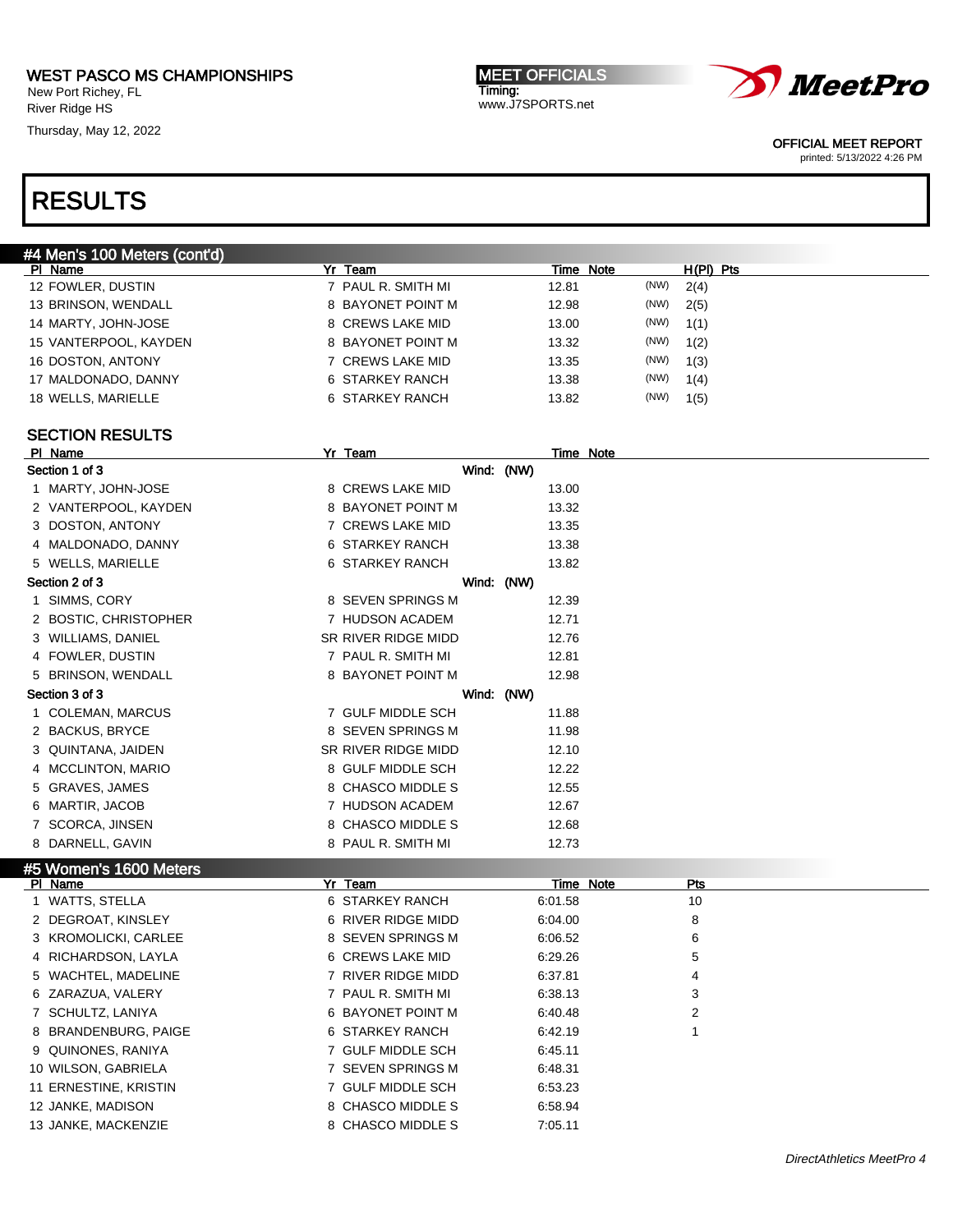New Port Richey, FL River Ridge HS

Thursday, May 12, 2022

MEET OFFICIALS Timing: www.J7SPORTS.net



OFFICIAL MEET REPORT

printed: 5/13/2022 4:26 PM

## RESULTS

| #4 Men's 100 Meters (cont'd) |                    |               |             |  |  |  |  |
|------------------------------|--------------------|---------------|-------------|--|--|--|--|
| PI Name                      | Yr Team            | Time Note     | $H(PI)$ Pts |  |  |  |  |
| 12 FOWLER, DUSTIN            | 7 PAUL R. SMITH MI | (NW)<br>12.81 | 2(4)        |  |  |  |  |
| 13 BRINSON, WENDALL          | 8 BAYONET POINT M  | (NW)<br>12.98 | 2(5)        |  |  |  |  |
| 14 MARTY, JOHN-JOSE          | 8 CREWS LAKE MID   | (NW)<br>13.00 | 1(1)        |  |  |  |  |
| 15 VANTERPOOL, KAYDEN        | 8 BAYONET POINT M  | (NW)<br>13.32 | 1(2)        |  |  |  |  |
| 16 DOSTON, ANTONY            | 7 CREWS LAKE MID   | (NW)<br>13.35 | 1(3)        |  |  |  |  |
| 17 MALDONADO, DANNY          | 6 STARKEY RANCH    | (NW)<br>13.38 | 1(4)        |  |  |  |  |
| 18 WELLS, MARIELLE           | 6 STARKEY RANCH    | (NW)<br>13.82 | 1(5)        |  |  |  |  |
|                              |                    |               |             |  |  |  |  |

#### SECTION RESULTS

| PI Name                       | Yr Team             |         | Time Note               |
|-------------------------------|---------------------|---------|-------------------------|
| Section 1 of 3                | Wind: (NW)          |         |                         |
| 1 MARTY, JOHN-JOSE            | 8 CREWS LAKE MID    | 13.00   |                         |
| 2 VANTERPOOL, KAYDEN          | 8 BAYONET POINT M   | 13.32   |                         |
| 3 DOSTON, ANTONY              | 7 CREWS LAKE MID    | 13.35   |                         |
| 4 MALDONADO, DANNY            | 6 STARKEY RANCH     | 13.38   |                         |
| 5 WELLS, MARIELLE             | 6 STARKEY RANCH     | 13.82   |                         |
| Section 2 of 3                | Wind: (NW)          |         |                         |
| 1 SIMMS, CORY                 | 8 SEVEN SPRINGS M   | 12.39   |                         |
| 2 BOSTIC, CHRISTOPHER         | 7 HUDSON ACADEM     | 12.71   |                         |
| 3 WILLIAMS, DANIEL            | SR RIVER RIDGE MIDD | 12.76   |                         |
| 4 FOWLER, DUSTIN              | 7 PAUL R. SMITH MI  | 12.81   |                         |
| 5 BRINSON, WENDALL            | 8 BAYONET POINT M   | 12.98   |                         |
| Section 3 of 3                | Wind: (NW)          |         |                         |
| 1 COLEMAN, MARCUS             | 7 GULF MIDDLE SCH   | 11.88   |                         |
| 2 BACKUS, BRYCE               | 8 SEVEN SPRINGS M   | 11.98   |                         |
| 3 QUINTANA, JAIDEN            | SR RIVER RIDGE MIDD | 12.10   |                         |
| 4 MCCLINTON, MARIO            | 8 GULF MIDDLE SCH   | 12.22   |                         |
| 5 GRAVES, JAMES               | 8 CHASCO MIDDLE S   | 12.55   |                         |
| 6 MARTIR, JACOB               | 7 HUDSON ACADEM     | 12.67   |                         |
| 7 SCORCA, JINSEN              | 8 CHASCO MIDDLE S   | 12.68   |                         |
| 8 DARNELL, GAVIN              | 8 PAUL R. SMITH MI  | 12.73   |                         |
| <b>#5 Women's 1600 Meters</b> |                     |         |                         |
| PI Name                       | Yr Team             |         | <b>Time Note</b><br>Pts |
| 1 WATTS, STELLA               | 6 STARKEY RANCH     | 6:01.58 | 10                      |
| 2 DEGROAT, KINSLEY            | 6 RIVER RIDGE MIDD  | 6:04.00 | 8                       |
| 3 KROMOLICKI, CARLEE          | 8 SEVEN SPRINGS M   | 6:06.52 | 6                       |
| 4 RICHARDSON, LAYLA           | 6 CREWS LAKE MID    | 6:29.26 | 5                       |
| 5 WACHTEL, MADELINE           | 7 RIVER RIDGE MIDD  | 6:37.81 | 4                       |
| 6 ZARAZUA, VALERY             | 7 PAUL R. SMITH MI  | 6:38.13 | 3                       |
| 7 SCHULTZ, LANIYA             | 6 BAYONET POINT M   | 6:40.48 | 2                       |
| 8 BRANDENBURG, PAIGE          | 6 STARKEY RANCH     | 6:42.19 | 1                       |
| 9 QUINONES, RANIYA            | 7 GULF MIDDLE SCH   | 6:45.11 |                         |
| 10 WILSON, GABRIELA           | 7 SEVEN SPRINGS M   | 6:48.31 |                         |
| 11 ERNESTINE, KRISTIN         | 7 GULF MIDDLE SCH   | 6:53.23 |                         |
| 12 JANKE, MADISON             | 8 CHASCO MIDDLE S   | 6:58.94 |                         |
| 13 JANKE, MACKENZIE           | 8 CHASCO MIDDLE S   | 7:05.11 |                         |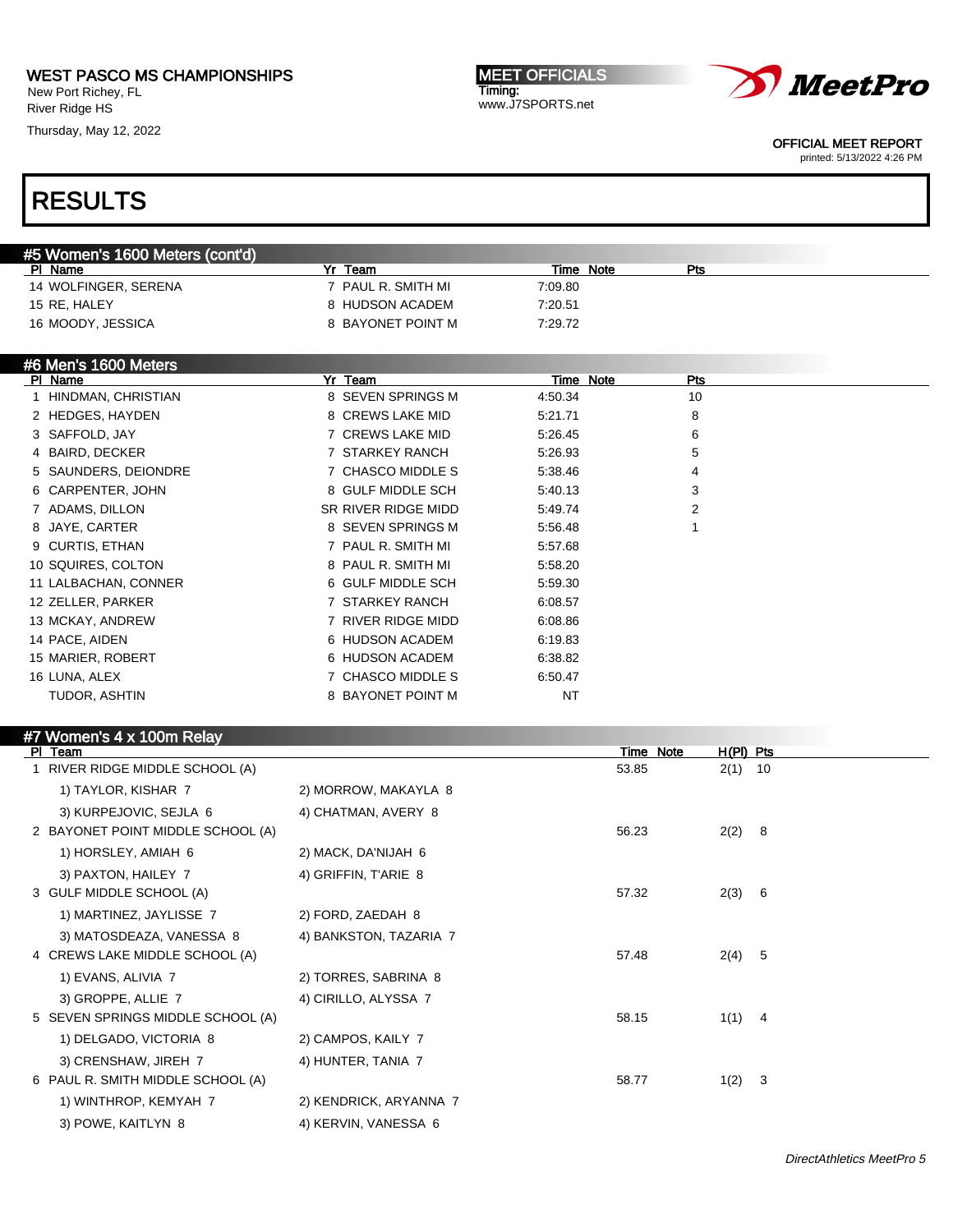New Port Richey, FL River Ridge HS

Thursday, May 12, 2022

MEET OFFICIALS Timing: www.J7SPORTS.net



OFFICIAL MEET REPORT

printed: 5/13/2022 4:26 PM

# RESULTS

| #5 Women's 1600 Meters (cont'd) |                    |           |     |  |  |  |  |
|---------------------------------|--------------------|-----------|-----|--|--|--|--|
| PI Name                         | Team               | Time Note | Pts |  |  |  |  |
| 14 WOLFINGER, SERENA            | ' PAUL R. SMITH MI | 7:09.80   |     |  |  |  |  |
| 15 RE. HALEY                    | 8 HUDSON ACADEM    | 7:20.51   |     |  |  |  |  |
| 16 MOODY, JESSICA               | 8 BAYONET POINT M  | 7:29.72   |     |  |  |  |  |

| #6 Men's 1600 Meters |
|----------------------|
|                      |

| PI Name              | Yr Team             | Time Note | <b>Pts</b> |  |
|----------------------|---------------------|-----------|------------|--|
| 1 HINDMAN, CHRISTIAN | 8 SEVEN SPRINGS M   | 4:50.34   | 10         |  |
| 2 HEDGES, HAYDEN     | 8 CREWS LAKE MID    | 5:21.71   | 8          |  |
| 3 SAFFOLD, JAY       | 7 CREWS LAKE MID    | 5:26.45   | 6          |  |
| 4 BAIRD, DECKER      | 7 STARKEY RANCH     | 5.26.93   | 5          |  |
| 5 SAUNDERS, DEIONDRE | 7 CHASCO MIDDLE S   | 5.38.46   | 4          |  |
| 6 CARPENTER, JOHN    | 8 GULF MIDDLE SCH   | 5:40.13   | 3          |  |
| 7 ADAMS, DILLON      | SR RIVER RIDGE MIDD | 5:49.74   | 2          |  |
| 8 JAYE, CARTER       | 8 SEVEN SPRINGS M   | 5:56.48   |            |  |
| 9 CURTIS, ETHAN      | 7 PAUL R. SMITH MI  | 5.57.68   |            |  |
| 10 SQUIRES, COLTON   | 8 PAUL R. SMITH MI  | 5:58.20   |            |  |
| 11 LALBACHAN, CONNER | 6 GULF MIDDLE SCH   | 5:59.30   |            |  |
| 12 ZELLER, PARKER    | 7 STARKEY RANCH     | 6:08.57   |            |  |
| 13 MCKAY, ANDREW     | 7 RIVER RIDGE MIDD  | 6:08.86   |            |  |
| 14 PACE, AIDEN       | 6 HUDSON ACADEM     | 6:19.83   |            |  |
| 15 MARIER, ROBERT    | 6 HUDSON ACADEM     | 6:38.82   |            |  |
| 16 LUNA, ALEX        | 7 CHASCO MIDDLE S   | 6:50.47   |            |  |
| TUDOR, ASHTIN        | 8 BAYONET POINT M   | <b>NT</b> |            |  |

#### #7 Women's 4 x 100m Relay

| PI Team                           |                        | Time Note | $H(PI)$ Pts |     |
|-----------------------------------|------------------------|-----------|-------------|-----|
| 1 RIVER RIDGE MIDDLE SCHOOL (A)   |                        | 53.85     | 2(1)        | 10  |
| 1) TAYLOR, KISHAR 7               | 2) MORROW, MAKAYLA 8   |           |             |     |
| 3) KURPEJOVIC, SEJLA 6            | 4) CHATMAN, AVERY 8    |           |             |     |
| 2 BAYONET POINT MIDDLE SCHOOL (A) |                        | 56.23     | 2(2)        | - 8 |
| 1) HORSLEY, AMIAH 6               | 2) MACK, DA'NIJAH 6    |           |             |     |
| 3) PAXTON, HAILEY 7               | 4) GRIFFIN, T'ARIE 8   |           |             |     |
| 3 GULF MIDDLE SCHOOL (A)          |                        | 57.32     | 2(3) 6      |     |
| 1) MARTINEZ, JAYLISSE 7           | 2) FORD, ZAEDAH 8      |           |             |     |
| 3) MATOSDEAZA, VANESSA 8          | 4) BANKSTON, TAZARIA 7 |           |             |     |
| 4 CREWS LAKE MIDDLE SCHOOL (A)    |                        | 57.48     | 2(4) 5      |     |
| 1) EVANS, ALIVIA 7                | 2) TORRES, SABRINA 8   |           |             |     |
| 3) GROPPE, ALLIE 7                | 4) CIRILLO, ALYSSA 7   |           |             |     |
| 5 SEVEN SPRINGS MIDDLE SCHOOL (A) |                        | 58.15     | $1(1)$ 4    |     |
| 1) DELGADO, VICTORIA 8            | 2) CAMPOS, KAILY 7     |           |             |     |
| 3) CRENSHAW, JIREH 7              | 4) HUNTER, TANIA 7     |           |             |     |
| 6 PAUL R. SMITH MIDDLE SCHOOL (A) |                        | 58.77     | $1(2)$ 3    |     |
| 1) WINTHROP, KEMYAH 7             | 2) KENDRICK, ARYANNA 7 |           |             |     |
| 3) POWE, KAITLYN 8                | 4) KERVIN, VANESSA 6   |           |             |     |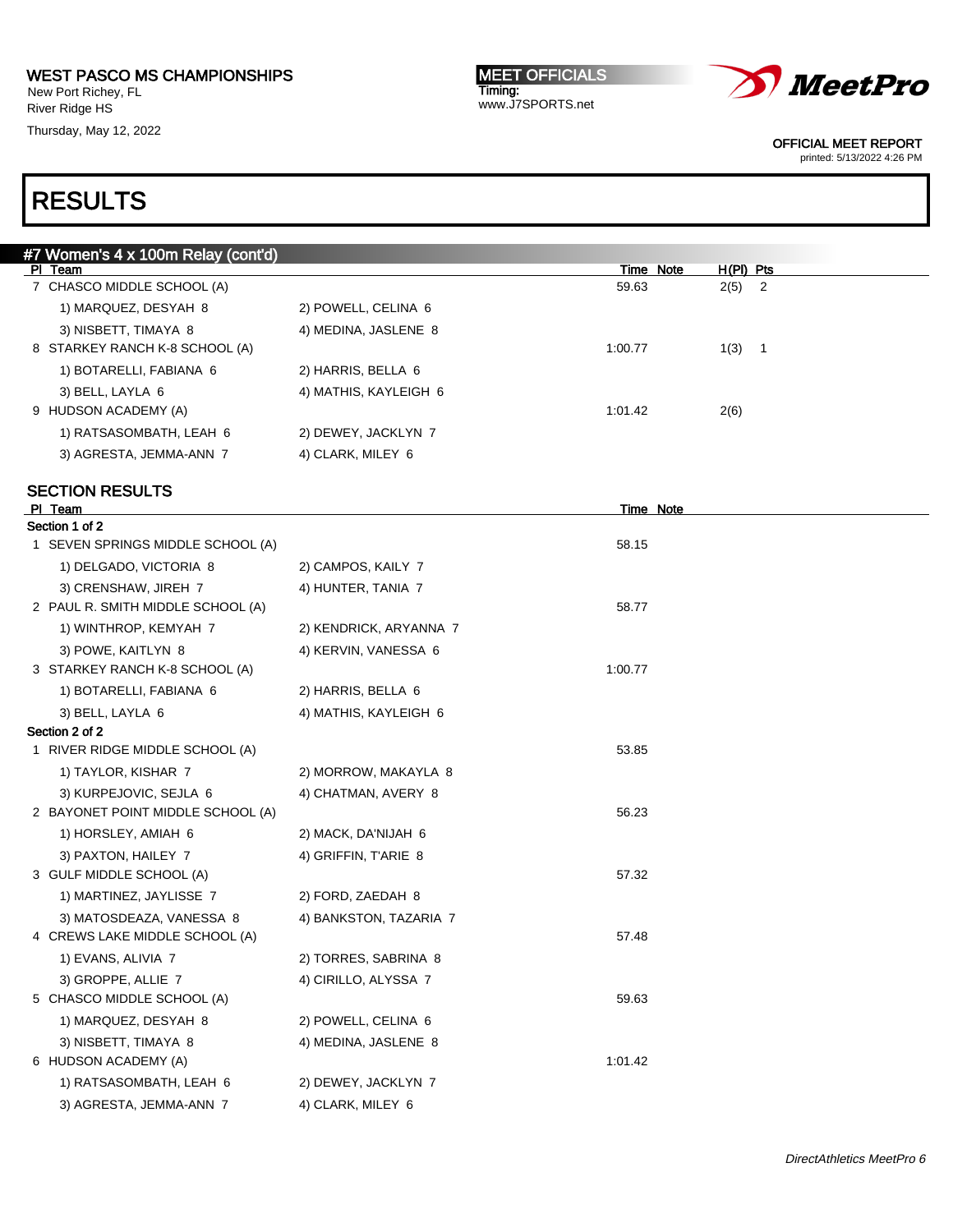New Port Richey, FL River Ridge HS

Thursday, May 12, 2022

MEET OFFICIALS Timing: www.J7SPORTS.net



OFFICIAL MEET REPORT

printed: 5/13/2022 4:26 PM

| #7 Women's 4 x 100m Relay (cont'd) |                        |           |                                  |
|------------------------------------|------------------------|-----------|----------------------------------|
| PI Team                            |                        | Time Note | $H(PI)$ Pts                      |
| 7 CHASCO MIDDLE SCHOOL (A)         |                        | 59.63     | 2(5)<br>$\overline{\phantom{a}}$ |
| 1) MARQUEZ, DESYAH 8               | 2) POWELL, CELINA 6    |           |                                  |
| 3) NISBETT, TIMAYA 8               | 4) MEDINA, JASLENE 8   |           |                                  |
| 8 STARKEY RANCH K-8 SCHOOL (A)     |                        | 1:00.77   | 1(3) 1                           |
| 1) BOTARELLI, FABIANA 6            | 2) HARRIS, BELLA 6     |           |                                  |
| 3) BELL, LAYLA 6                   | 4) MATHIS, KAYLEIGH 6  |           |                                  |
| 9 HUDSON ACADEMY (A)               |                        | 1:01.42   | 2(6)                             |
| 1) RATSASOMBATH, LEAH 6            | 2) DEWEY, JACKLYN 7    |           |                                  |
| 3) AGRESTA, JEMMA-ANN 7            | 4) CLARK, MILEY 6      |           |                                  |
| <b>SECTION RESULTS</b>             |                        |           |                                  |
| PI Team                            |                        | Time Note |                                  |
| Section 1 of 2                     |                        |           |                                  |
| 1 SEVEN SPRINGS MIDDLE SCHOOL (A)  |                        | 58.15     |                                  |
| 1) DELGADO, VICTORIA 8             | 2) CAMPOS, KAILY 7     |           |                                  |
| 3) CRENSHAW, JIREH 7               | 4) HUNTER, TANIA 7     |           |                                  |
| 2 PAUL R. SMITH MIDDLE SCHOOL (A)  |                        | 58.77     |                                  |
| 1) WINTHROP, KEMYAH 7              | 2) KENDRICK, ARYANNA 7 |           |                                  |
| 3) POWE, KAITLYN 8                 | 4) KERVIN, VANESSA 6   |           |                                  |
| 3 STARKEY RANCH K-8 SCHOOL (A)     |                        | 1:00.77   |                                  |
| 1) BOTARELLI, FABIANA 6            | 2) HARRIS, BELLA 6     |           |                                  |
| 3) BELL, LAYLA 6                   | 4) MATHIS, KAYLEIGH 6  |           |                                  |
| Section 2 of 2                     |                        |           |                                  |
| 1 RIVER RIDGE MIDDLE SCHOOL (A)    |                        | 53.85     |                                  |
| 1) TAYLOR, KISHAR 7                | 2) MORROW, MAKAYLA 8   |           |                                  |
| 3) KURPEJOVIC, SEJLA 6             | 4) CHATMAN, AVERY 8    |           |                                  |
| 2 BAYONET POINT MIDDLE SCHOOL (A)  |                        | 56.23     |                                  |
| 1) HORSLEY, AMIAH 6                | 2) MACK, DA'NIJAH 6    |           |                                  |
| 3) PAXTON, HAILEY 7                | 4) GRIFFIN, T'ARIE 8   |           |                                  |
| 3 GULF MIDDLE SCHOOL (A)           |                        | 57.32     |                                  |
| 1) MARTINEZ, JAYLISSE 7            | 2) FORD, ZAEDAH 8      |           |                                  |
| 3) MATOSDEAZA, VANESSA 8           | 4) BANKSTON, TAZARIA 7 |           |                                  |
| 4 CREWS LAKE MIDDLE SCHOOL (A)     |                        | 57.48     |                                  |
| 1) EVANS, ALIVIA 7                 | 2) TORRES, SABRINA 8   |           |                                  |
| 3) GROPPE, ALLIE 7                 | 4) CIRILLO, ALYSSA 7   |           |                                  |
| 5 CHASCO MIDDLE SCHOOL (A)         |                        | 59.63     |                                  |
| 1) MARQUEZ, DESYAH 8               | 2) POWELL, CELINA 6    |           |                                  |
| 3) NISBETT, TIMAYA 8               | 4) MEDINA, JASLENE 8   |           |                                  |
| 6 HUDSON ACADEMY (A)               |                        | 1:01.42   |                                  |
| 1) RATSASOMBATH, LEAH 6            | 2) DEWEY, JACKLYN 7    |           |                                  |
| 3) AGRESTA, JEMMA-ANN 7            | 4) CLARK, MILEY 6      |           |                                  |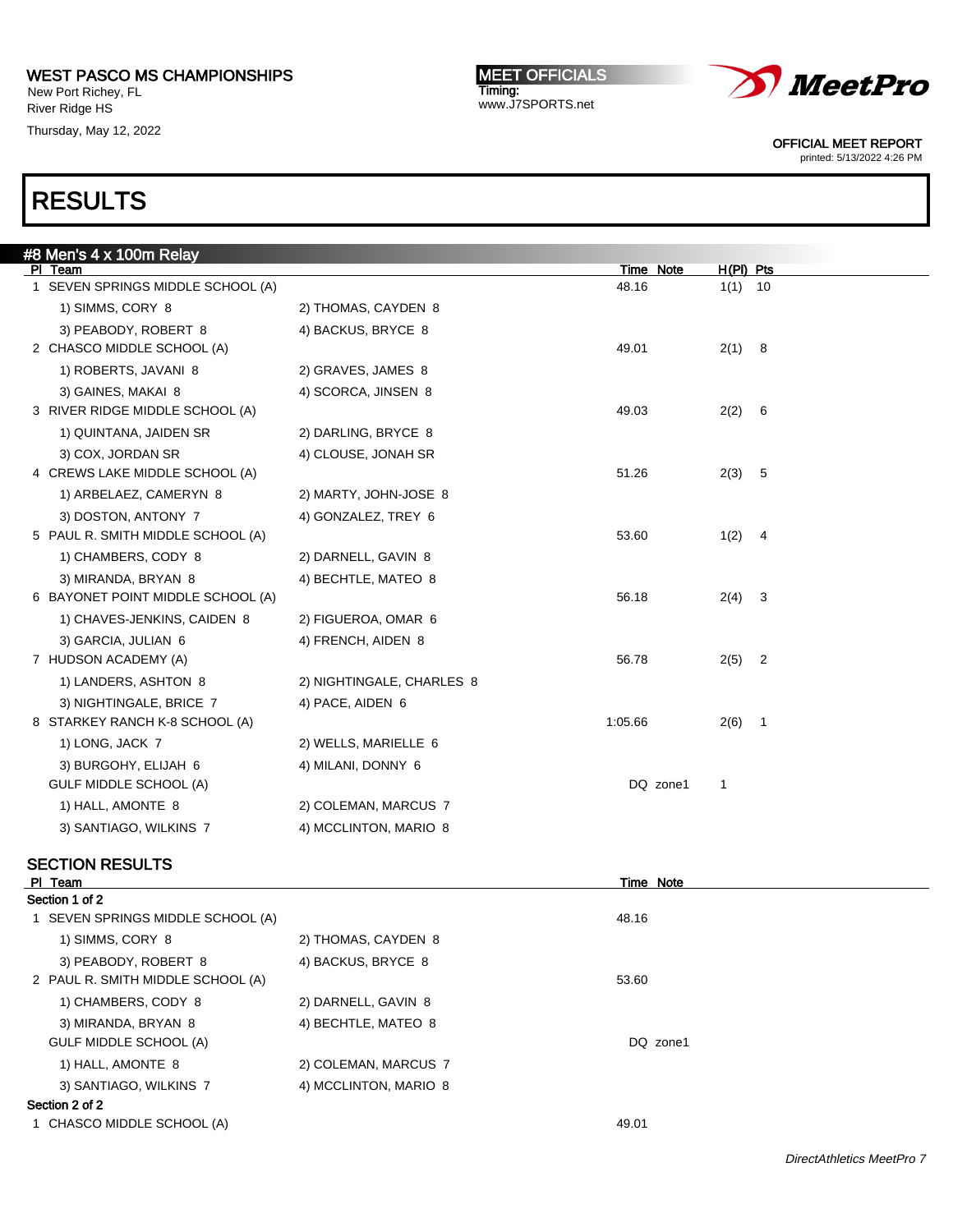New Port Richey, FL River Ridge HS

Thursday, May 12, 2022

MEET OFFICIALS Timing: www.J7SPORTS.net



OFFICIAL MEET REPORT

printed: 5/13/2022 4:26 PM

## RESULTS

| <u>#8 Men</u> 's 4 x 100m Relay   |                           |           |           |                          |
|-----------------------------------|---------------------------|-----------|-----------|--------------------------|
| PI Team                           |                           | Time Note | H(PI) Pts |                          |
| 1 SEVEN SPRINGS MIDDLE SCHOOL (A) |                           | 48.16     | $1(1)$ 10 |                          |
| 1) SIMMS, CORY 8                  | 2) THOMAS, CAYDEN 8       |           |           |                          |
| 3) PEABODY, ROBERT 8              | 4) BACKUS, BRYCE 8        |           |           |                          |
| 2 CHASCO MIDDLE SCHOOL (A)        |                           | 49.01     | 2(1) 8    |                          |
| 1) ROBERTS, JAVANI 8              | 2) GRAVES, JAMES 8        |           |           |                          |
| 3) GAINES, MAKAI 8                | 4) SCORCA, JINSEN 8       |           |           |                          |
| 3 RIVER RIDGE MIDDLE SCHOOL (A)   |                           | 49.03     | 2(2)      | - 6                      |
| 1) QUINTANA, JAIDEN SR            | 2) DARLING, BRYCE 8       |           |           |                          |
| 3) COX, JORDAN SR                 | 4) CLOUSE, JONAH SR       |           |           |                          |
| 4 CREWS LAKE MIDDLE SCHOOL (A)    |                           | 51.26     | 2(3) 5    |                          |
| 1) ARBELAEZ, CAMERYN 8            | 2) MARTY, JOHN-JOSE 8     |           |           |                          |
| 3) DOSTON, ANTONY 7               | 4) GONZALEZ, TREY 6       |           |           |                          |
| 5 PAUL R. SMITH MIDDLE SCHOOL (A) |                           | 53.60     | $1(2)$ 4  |                          |
| 1) CHAMBERS, CODY 8               | 2) DARNELL, GAVIN 8       |           |           |                          |
| 3) MIRANDA, BRYAN 8               | 4) BECHTLE, MATEO 8       |           |           |                          |
| 6 BAYONET POINT MIDDLE SCHOOL (A) |                           | 56.18     | 2(4)      | $\overline{\mathbf{3}}$  |
| 1) CHAVES-JENKINS, CAIDEN 8       | 2) FIGUEROA, OMAR 6       |           |           |                          |
| 3) GARCIA, JULIAN 6               | 4) FRENCH, AIDEN 8        |           |           |                          |
| 7 HUDSON ACADEMY (A)              |                           | 56.78     | 2(5)      | $\overline{\phantom{a}}$ |
| 1) LANDERS, ASHTON 8              | 2) NIGHTINGALE, CHARLES 8 |           |           |                          |
| 3) NIGHTINGALE, BRICE 7           | 4) PACE, AIDEN 6          |           |           |                          |
| 8 STARKEY RANCH K-8 SCHOOL (A)    |                           | 1:05.66   | 2(6)      | $\overline{1}$           |
| 1) LONG, JACK 7                   | 2) WELLS, MARIELLE 6      |           |           |                          |
| 3) BURGOHY, ELIJAH 6              | 4) MILANI, DONNY 6        |           |           |                          |
| GULF MIDDLE SCHOOL (A)            |                           | DQ zone1  | 1         |                          |
| 1) HALL, AMONTE 8                 | 2) COLEMAN, MARCUS 7      |           |           |                          |
| 3) SANTIAGO, WILKINS 7            | 4) MCCLINTON, MARIO 8     |           |           |                          |
|                                   |                           |           |           |                          |

### SECTION RESULTS

| PI Team                           |                       | Time Note |  |
|-----------------------------------|-----------------------|-----------|--|
| Section 1 of 2                    |                       |           |  |
| 1 SEVEN SPRINGS MIDDLE SCHOOL (A) |                       | 48.16     |  |
| 1) SIMMS, CORY 8                  | 2) THOMAS, CAYDEN 8   |           |  |
| 3) PEABODY, ROBERT 8              | 4) BACKUS, BRYCE 8    |           |  |
| 2 PAUL R. SMITH MIDDLE SCHOOL (A) |                       | 53.60     |  |
| 1) CHAMBERS, CODY 8               | 2) DARNELL, GAVIN 8   |           |  |
| 3) MIRANDA, BRYAN 8               | 4) BECHTLE, MATEO 8   |           |  |
| GULF MIDDLE SCHOOL (A)            |                       | DQ zone1  |  |
| 1) HALL, AMONTE 8                 | 2) COLEMAN, MARCUS 7  |           |  |
| 3) SANTIAGO, WILKINS 7            | 4) MCCLINTON, MARIO 8 |           |  |
| Section 2 of 2                    |                       |           |  |
| 1 CHASCO MIDDLE SCHOOL (A)        |                       | 49.01     |  |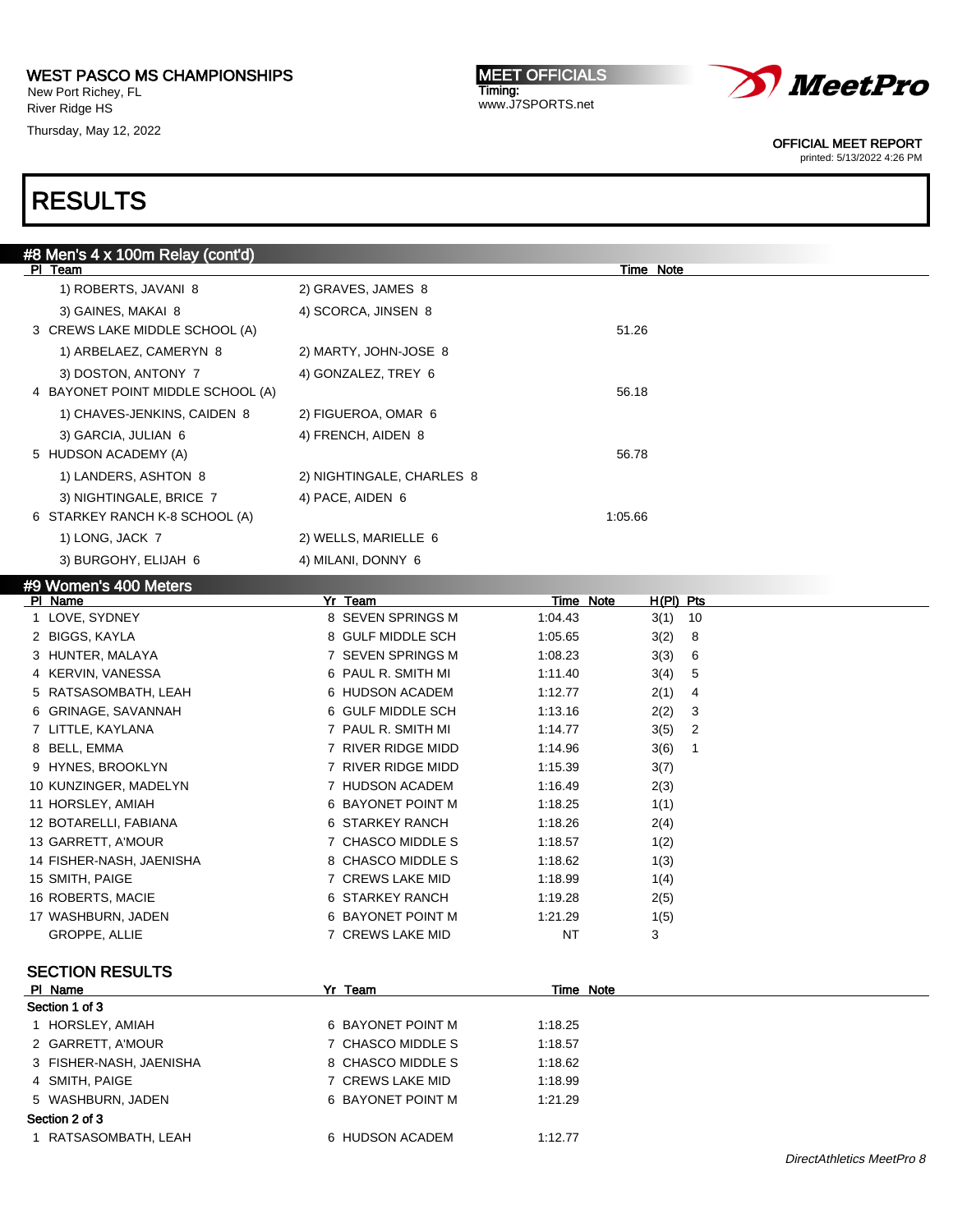New Port Richey, FL River Ridge HS

Thursday, May 12, 2022

MEET OFFICIALS Timing: www.J7SPORTS.net



OFFICIAL MEET REPORT

printed: 5/13/2022 4:26 PM

| #8 Men's 4 x 100m Relay (cont'd)        |                           |                  |             |    |  |
|-----------------------------------------|---------------------------|------------------|-------------|----|--|
| PI Team                                 |                           |                  | Time Note   |    |  |
| 1) ROBERTS, JAVANI 8                    | 2) GRAVES, JAMES 8        |                  |             |    |  |
| 3) GAINES, MAKAI 8                      | 4) SCORCA, JINSEN 8       |                  |             |    |  |
| 3 CREWS LAKE MIDDLE SCHOOL (A)          |                           | 51.26            |             |    |  |
| 1) ARBELAEZ, CAMERYN 8                  | 2) MARTY, JOHN-JOSE 8     |                  |             |    |  |
| 3) DOSTON, ANTONY 7                     | 4) GONZALEZ, TREY 6       |                  |             |    |  |
| 4 BAYONET POINT MIDDLE SCHOOL (A)       |                           | 56.18            |             |    |  |
| 1) CHAVES-JENKINS, CAIDEN 8             | 2) FIGUEROA, OMAR 6       |                  |             |    |  |
| 3) GARCIA, JULIAN 6                     | 4) FRENCH, AIDEN 8        |                  |             |    |  |
| 5 HUDSON ACADEMY (A)                    |                           | 56.78            |             |    |  |
| 1) LANDERS, ASHTON 8                    | 2) NIGHTINGALE, CHARLES 8 |                  |             |    |  |
| 3) NIGHTINGALE, BRICE 7                 | 4) PACE, AIDEN 6          |                  |             |    |  |
| 6 STARKEY RANCH K-8 SCHOOL (A)          |                           | 1:05.66          |             |    |  |
| 1) LONG, JACK 7                         | 2) WELLS, MARIELLE 6      |                  |             |    |  |
| 3) BURGOHY, ELIJAH 6                    | 4) MILANI, DONNY 6        |                  |             |    |  |
|                                         |                           |                  |             |    |  |
| #9 Women's 400 Meters<br><b>PI Name</b> | Yr Team                   | <u>Time Note</u> | $H(PI)$ Pts |    |  |
| 1 LOVE, SYDNEY                          | 8 SEVEN SPRINGS M         | 1:04.43          | 3(1)        | 10 |  |
| 2 BIGGS, KAYLA                          | 8 GULF MIDDLE SCH         | 1:05.65          | 3(2)        | 8  |  |
| 3 HUNTER, MALAYA                        | 7 SEVEN SPRINGS M         | 1:08.23          | 3(3)        | 6  |  |
| 4 KERVIN, VANESSA                       | 6 PAUL R. SMITH MI        | 1:11.40          | 3(4)        | 5  |  |
| 5 RATSASOMBATH, LEAH                    | 6 HUDSON ACADEM           | 1:12.77          | 2(1)        | 4  |  |
| 6 GRINAGE, SAVANNAH                     | 6 GULF MIDDLE SCH         | 1:13.16          | 2(2)        | 3  |  |
| 7 LITTLE, KAYLANA                       | 7 PAUL R. SMITH MI        | 1:14.77          | 3(5)        | 2  |  |
| 8 BELL, EMMA                            | 7 RIVER RIDGE MIDD        | 1:14.96          | 3(6)        | 1  |  |
| 9 HYNES, BROOKLYN                       | 7 RIVER RIDGE MIDD        | 1:15.39          | 3(7)        |    |  |
| 10 KUNZINGER, MADELYN                   | 7 HUDSON ACADEM           | 1:16.49          | 2(3)        |    |  |
| 11 HORSLEY, AMIAH                       | 6 BAYONET POINT M         | 1:18.25          | 1(1)        |    |  |
| 12 BOTARELLI, FABIANA                   | 6 STARKEY RANCH           | 1:18.26          | 2(4)        |    |  |
| 13 GARRETT, A'MOUR                      | 7 CHASCO MIDDLE S         | 1:18.57          | 1(2)        |    |  |
| 14 FISHER-NASH, JAENISHA                | 8 CHASCO MIDDLE S         | 1:18.62          | 1(3)        |    |  |
| 15 SMITH, PAIGE                         | 7 CREWS LAKE MID          | 1:18.99          | 1(4)        |    |  |
| 16 ROBERTS, MACIE                       | 6 STARKEY RANCH           | 1:19.28          | 2(5)        |    |  |
| 17 WASHBURN, JADEN                      | 6 BAYONET POINT M         | 1:21.29          | 1(5)        |    |  |
| GROPPE, ALLIE                           | 7 CREWS LAKE MID          | NT               | 3           |    |  |
|                                         |                           |                  |             |    |  |

| PI Name                 | Yr Team           | Time Note |  |
|-------------------------|-------------------|-----------|--|
| Section 1 of 3          |                   |           |  |
| HORSLEY, AMIAH          | 6 BAYONET POINT M | 1:18.25   |  |
| 2 GARRETT, A'MOUR       | 7 CHASCO MIDDLE S | 1:18.57   |  |
| 3 FISHER-NASH, JAENISHA | 8 CHASCO MIDDLE S | 1:18.62   |  |
| 4 SMITH, PAIGE          | 7 CREWS LAKE MID  | 1:18.99   |  |
| 5 WASHBURN, JADEN       | 6 BAYONET POINT M | 1:21.29   |  |
| Section 2 of 3          |                   |           |  |
| 1 RATSASOMBATH, LEAH    | 6 HUDSON ACADEM   | 1:12.77   |  |
|                         |                   |           |  |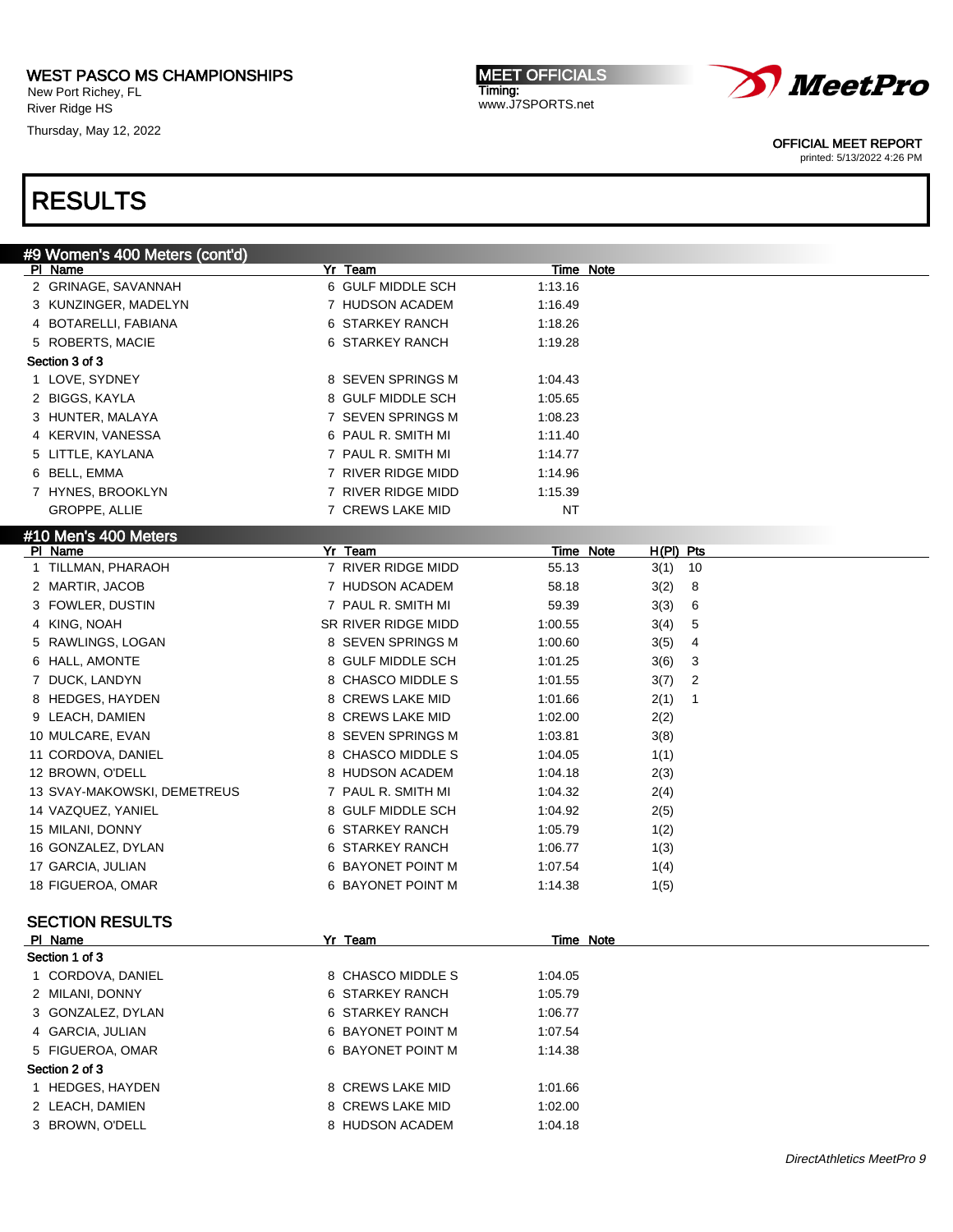New Port Richey, FL River Ridge HS

Thursday, May 12, 2022

MEET OFFICIALS Timing: www.J7SPORTS.net



OFFICIAL MEET REPORT

printed: 5/13/2022 4:26 PM

| <u>#9 Women's 400 Meters (cont'd)</u> |                     |                                 |
|---------------------------------------|---------------------|---------------------------------|
| PI Name                               | Yr Team             | Time Note                       |
| 2 GRINAGE, SAVANNAH                   | 6 GULF MIDDLE SCH   | 1:13.16                         |
| 3 KUNZINGER, MADELYN                  | 7 HUDSON ACADEM     | 1:16.49                         |
| 4 BOTARELLI, FABIANA                  | 6 STARKEY RANCH     | 1:18.26                         |
| 5 ROBERTS, MACIE                      | 6 STARKEY RANCH     | 1:19.28                         |
| Section 3 of 3                        |                     |                                 |
| 1 LOVE, SYDNEY                        | 8 SEVEN SPRINGS M   | 1:04.43                         |
| 2 BIGGS, KAYLA                        | 8 GULF MIDDLE SCH   | 1:05.65                         |
| 3 HUNTER, MALAYA                      | 7 SEVEN SPRINGS M   | 1:08.23                         |
| 4 KERVIN, VANESSA                     | 6 PAUL R. SMITH MI  | 1:11.40                         |
| 5 LITTLE, KAYLANA                     | 7 PAUL R. SMITH MI  | 1:14.77                         |
| 6 BELL, EMMA                          | 7 RIVER RIDGE MIDD  | 1:14.96                         |
| 7 HYNES, BROOKLYN                     | 7 RIVER RIDGE MIDD  | 1:15.39                         |
| GROPPE, ALLIE                         | 7 CREWS LAKE MID    | <b>NT</b>                       |
| #10 Men's 400 Meters                  |                     |                                 |
| PI Name                               | Yr Team             | <b>Time Note</b><br>$H(PI)$ Pts |
| 1 TILLMAN, PHARAOH                    | 7 RIVER RIDGE MIDD  | 55.13<br>10<br>3(1)             |
| 2 MARTIR, JACOB                       | 7 HUDSON ACADEM     | 58.18<br>3(2)<br>8              |
| 3 FOWLER, DUSTIN                      | 7 PAUL R. SMITH MI  | 59.39<br>3(3)<br>6              |
| 4 KING, NOAH                          | SR RIVER RIDGE MIDD | 1:00.55<br>3(4)<br>5            |
| RAWLINGS, LOGAN                       | 8 SEVEN SPRINGS M   | 1:00.60<br>3(5)<br>4            |
| 6 HALL, AMONTE                        | 8 GULF MIDDLE SCH   | 1:01.25<br>3<br>3(6)            |
| 7 DUCK, LANDYN                        | 8 CHASCO MIDDLE S   | 1:01.55<br>3(7)<br>2            |
| 8 HEDGES, HAYDEN                      | 8 CREWS LAKE MID    | 1:01.66<br>2(1)<br>1            |
| 9 LEACH, DAMIEN                       | 8 CREWS LAKE MID    | 1:02.00<br>2(2)                 |
| 10 MULCARE, EVAN                      | 8 SEVEN SPRINGS M   | 1:03.81<br>3(8)                 |
| 11 CORDOVA, DANIEL                    | 8 CHASCO MIDDLE S   | 1:04.05<br>1(1)                 |
| 12 BROWN, O'DELL                      | 8 HUDSON ACADEM     | 1:04.18<br>2(3)                 |
| 13 SVAY-MAKOWSKI, DEMETREUS           | 7 PAUL R. SMITH MI  | 1:04.32<br>2(4)                 |
| 14 VAZQUEZ, YANIEL                    | 8 GULF MIDDLE SCH   | 1:04.92<br>2(5)                 |
| 15 MILANI, DONNY                      | 6 STARKEY RANCH     | 1:05.79<br>1(2)                 |
| 16 GONZALEZ, DYLAN                    | 6 STARKEY RANCH     | 1:06.77<br>1(3)                 |
| 17 GARCIA, JULIAN                     | 6 BAYONET POINT M   | 1:07.54<br>1(4)                 |
| 18 FIGUEROA, OMAR                     | 6 BAYONET POINT M   | 1:14.38<br>1(5)                 |
|                                       |                     |                                 |
| <b>SECTION RESULTS</b>                |                     |                                 |
| <b>PI Name</b>                        | Yr Team             | Time Note                       |
| Section 1 of 3                        |                     |                                 |
| 1 CORDOVA, DANIEL                     | 8 CHASCO MIDDLE S   | 1:04.05                         |
| 2 MILANI, DONNY                       | 6 STARKEY RANCH     | 1:05.79                         |
| 3 GONZALEZ, DYLAN                     | 6 STARKEY RANCH     | 1:06.77                         |
| 4 GARCIA, JULIAN                      | 6 BAYONET POINT M   | 1:07.54                         |
| 5 FIGUEROA, OMAR                      | 6 BAYONET POINT M   | 1:14.38                         |
| Section 2 of 3                        |                     |                                 |
| 1 HEDGES, HAYDEN                      | 8 CREWS LAKE MID    | 1:01.66                         |
| 2 LEACH, DAMIEN                       | 8 CREWS LAKE MID    | 1:02.00                         |
| 3 BROWN, O'DELL                       | 8 HUDSON ACADEM     | 1:04.18                         |
|                                       |                     |                                 |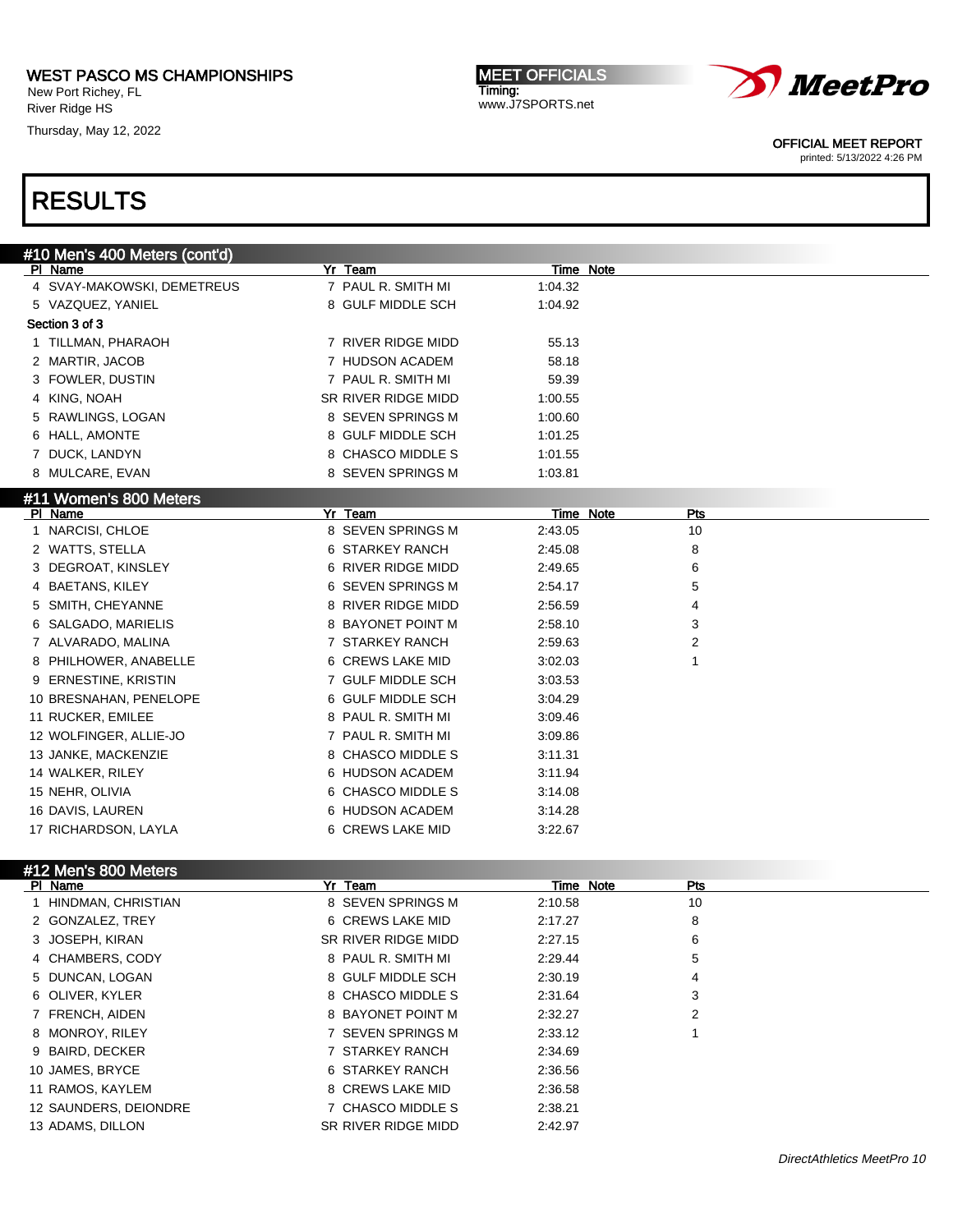New Port Richey, FL River Ridge HS

Thursday, May 12, 2022

MEET OFFICIALS Timing: www.J7SPORTS.net



OFFICIAL MEET REPORT

printed: 5/13/2022 4:26 PM

# RESULTS

| #10 Men's 400 Meters (cont'd) |                     |                  |     |  |
|-------------------------------|---------------------|------------------|-----|--|
| PI Name                       | Yr Team             | <b>Time Note</b> |     |  |
| 4 SVAY-MAKOWSKI, DEMETREUS    | 7 PAUL R. SMITH MI  | 1:04.32          |     |  |
| 5 VAZQUEZ, YANIEL             | 8 GULF MIDDLE SCH   | 1:04.92          |     |  |
| Section 3 of 3                |                     |                  |     |  |
| 1 TILLMAN, PHARAOH            | 7 RIVER RIDGE MIDD  | 55.13            |     |  |
| 2 MARTIR, JACOB               | 7 HUDSON ACADEM     | 58.18            |     |  |
| 3 FOWLER, DUSTIN              | 7 PAUL R. SMITH MI  | 59.39            |     |  |
| 4 KING, NOAH                  | SR RIVER RIDGE MIDD | 1:00.55          |     |  |
| 5 RAWLINGS, LOGAN             | 8 SEVEN SPRINGS M   | 1:00.60          |     |  |
| 6 HALL, AMONTE                | 8 GULF MIDDLE SCH   | 1:01.25          |     |  |
| 7 DUCK, LANDYN                | 8 CHASCO MIDDLE S   | 1:01.55          |     |  |
| 8 MULCARE, EVAN               | 8 SEVEN SPRINGS M   | 1:03.81          |     |  |
| #11 Women's 800 Meters        |                     |                  |     |  |
| PI Name                       | Yr Team             | <u>Time Note</u> | Pts |  |
| 1 NARCISI, CHLOE              | 8 SEVEN SPRINGS M   | 2:43.05          | 10  |  |
| 2 WATTS, STELLA               | 6 STARKEY RANCH     | 2:45.08          | 8   |  |
| 3 DEGROAT, KINSLEY            | 6 RIVER RIDGE MIDD  | 2:49.65          | 6   |  |
| 4 BAETANS, KILEY              | 6 SEVEN SPRINGS M   | 2:54.17          | 5   |  |
| 5 SMITH, CHEYANNE             | 8 RIVER RIDGE MIDD  | 2:56.59          | 4   |  |
| 6 SALGADO, MARIELIS           | 8 BAYONET POINT M   | 2:58.10          | 3   |  |
| 7 ALVARADO, MALINA            | 7 STARKEY RANCH     | 2:59.63          | 2   |  |
| 8 PHILHOWER, ANABELLE         | 6 CREWS LAKE MID    | 3:02.03          | 1   |  |
| 9 ERNESTINE, KRISTIN          | 7 GULF MIDDLE SCH   | 3:03.53          |     |  |
| 10 BRESNAHAN, PENELOPE        | 6 GULF MIDDLE SCH   | 3:04.29          |     |  |
| 11 RUCKER, EMILEE             | 8 PAUL R. SMITH MI  | 3:09.46          |     |  |
| 12 WOLFINGER, ALLIE-JO        | 7 PAUL R. SMITH MI  | 3:09.86          |     |  |
| 13 JANKE, MACKENZIE           | 8 CHASCO MIDDLE S   | 3:11.31          |     |  |
| 14 WALKER, RILEY              | 6 HUDSON ACADEM     | 3:11.94          |     |  |
| 15 NEHR, OLIVIA               | 6 CHASCO MIDDLE S   | 3:14.08          |     |  |
| 16 DAVIS, LAUREN              | 6 HUDSON ACADEM     | 3:14.28          |     |  |
| 17 RICHARDSON, LAYLA          | 6 CREWS LAKE MID    | 3:22.67          |     |  |
|                               |                     |                  |     |  |
| #12 Men's 800 Meters          |                     |                  |     |  |
| PI Name                       | Yr Team             | Time Note        | Pts |  |
| 1 HINDMAN, CHRISTIAN          | 8 SEVEN SPRINGS M   | 2:10.58          | 10  |  |
| 2 GONZALEZ, TREY              | 6 CREWS LAKE MID    | 2:17.27          | 8   |  |
| 3 JOSEPH, KIRAN               | SR RIVER RIDGE MIDD | 2:27.15          | 6   |  |
| 4 CHAMBERS, CODY              | 8 PAUL R. SMITH MI  | 2:29.44          | 5   |  |
| 5 DUNCAN, LOGAN               | 8 GULF MIDDLE SCH   | 2:30.19          | 4   |  |
| 6 OLIVER, KYLER               | 8 CHASCO MIDDLE S   | 2:31.64          | 3   |  |

7 FRENCH, AIDEN 8 BAYONET POINT M 2:32.27 2

- 8 MONROY, RILEY **2:33.12** 7 SEVEN SPRINGS M 2:33.12 1 9 BAIRD, DECKER 7 STARKEY RANCH 2:34.69
- 
- 10 JAMES, BRYCE 6 STARKEY RANCH 2:36.56
- 11 RAMOS, KAYLEM 8 CREWS LAKE MID 2:36.58
- 12 SAUNDERS, DEIONDRE 7 CHASCO MIDDLE S 2:38.21
- 13 ADAMS, DILLON SR RIVER RIDGE MIDD 2:42.97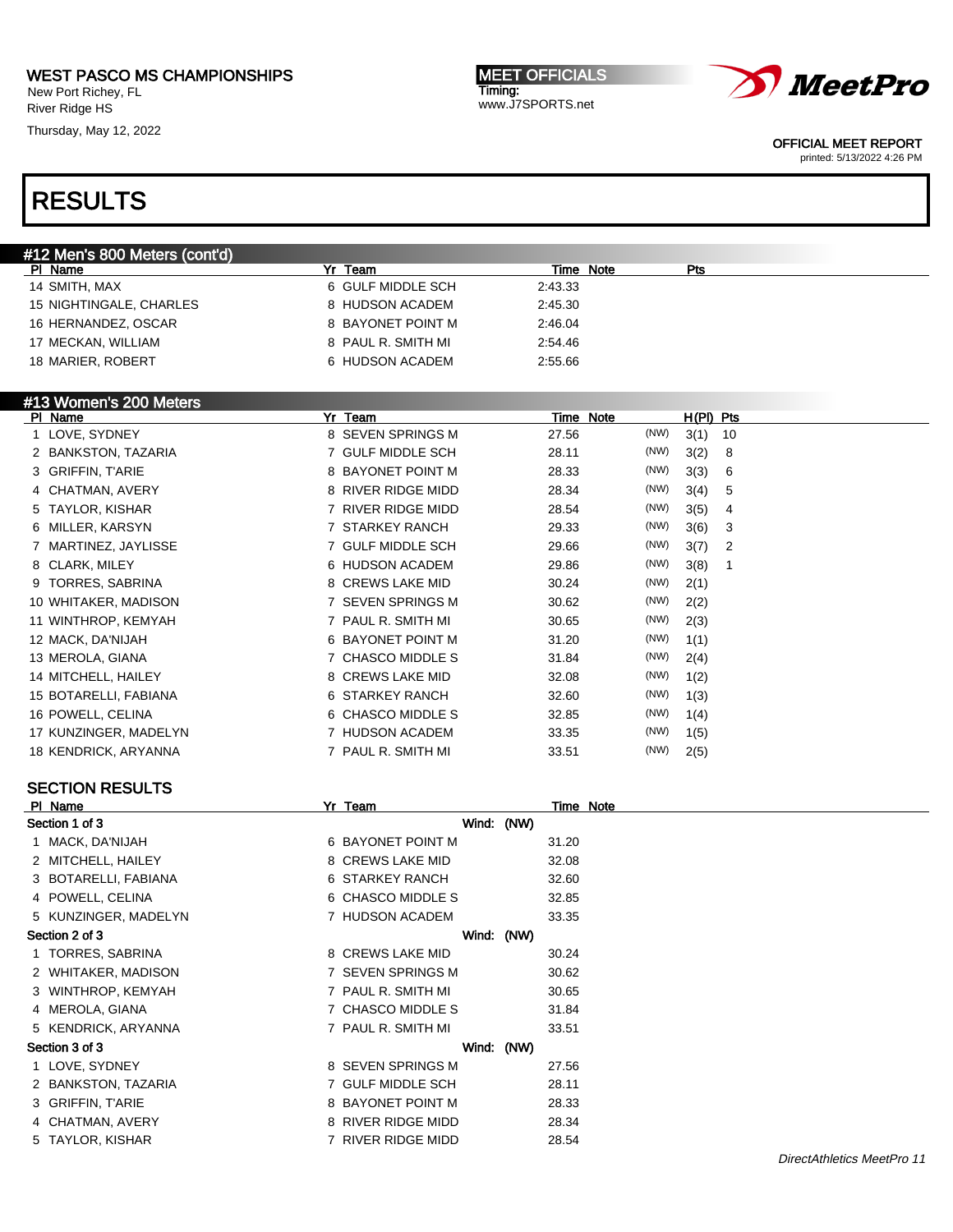New Port Richey, FL River Ridge HS

Thursday, May 12, 2022

MEET OFFICIALS Timing: www.J7SPORTS.net



OFFICIAL MEET REPORT

printed: 5/13/2022 4:26 PM

# RESULTS

| #12 Men's 800 Meters (cont'd) |                    |                         |  |
|-------------------------------|--------------------|-------------------------|--|
| Name<br>PI.                   | Yr Team            | Time Note<br><b>Pts</b> |  |
| 14 SMITH, MAX                 | 6 GULF MIDDLE SCH  | 2:43.33                 |  |
| 15 NIGHTINGALE, CHARLES       | 8 HUDSON ACADEM    | 2:45.30                 |  |
| 16 HERNANDEZ, OSCAR           | 8 BAYONET POINT M  | 2:46.04                 |  |
| 17 MECKAN, WILLIAM            | 8 PAUL R. SMITH MI | 2:54.46                 |  |
| 18 MARIER, ROBERT             | 6 HUDSON ACADEM    | 2:55.66                 |  |
|                               |                    |                         |  |

|         | #13 Women's 200 Meters |                        |           |      |           |    |
|---------|------------------------|------------------------|-----------|------|-----------|----|
| PI Name |                        | Yr Team                | Time Note |      | H(PI) Pts |    |
|         | 1 LOVE, SYDNEY         | 8 SEVEN SPRINGS M      | 27.56     | (NW) | 3(1)      | 10 |
|         | 2 BANKSTON, TAZARIA    | <b>GULF MIDDLE SCH</b> | 28.11     | (NW) | 3(2)      | 8  |
|         | 3 GRIFFIN, T'ARIE      | 8 BAYONET POINT M      | 28.33     | (NW) | 3(3)      | 6  |
|         | 4 CHATMAN, AVERY       | 8 RIVER RIDGE MIDD     | 28.34     | (NW) | 3(4)      | 5  |
|         | 5 TAYLOR, KISHAR       | RIVER RIDGE MIDD       | 28.54     | (NW) | 3(5)      | 4  |
|         | 6 MILLER, KARSYN       | 7 STARKEY RANCH        | 29.33     | (NW) | 3(6)      | 3  |
|         | 7 MARTINEZ, JAYLISSE   | 7 GULF MIDDLE SCH      | 29.66     | (NW) | 3(7)      | 2  |
|         | 8 CLARK, MILEY         | 6 HUDSON ACADEM        | 29.86     | (NW) | 3(8)      |    |
|         | 9 TORRES, SABRINA      | 8 CREWS LAKE MID       | 30.24     | (NW) | 2(1)      |    |
|         | 10 WHITAKER, MADISON   | 7 SEVEN SPRINGS M      | 30.62     | (NW) | 2(2)      |    |
|         | 11 WINTHROP, KEMYAH    | 7 PAUL R. SMITH MI     | 30.65     | (NW) | 2(3)      |    |
|         | 12 MACK, DA'NIJAH      | 6 BAYONET POINT M      | 31.20     | (NW) | 1(1)      |    |
|         | 13 MEROLA, GIANA       | CHASCO MIDDLE S        | 31.84     | (NW) | 2(4)      |    |
|         | 14 MITCHELL, HAILEY    | 8 CREWS LAKE MID       | 32.08     | (NW) | 1(2)      |    |
|         | 15 BOTARELLI, FABIANA  | STARKEY RANCH<br>6.    | 32.60     | (NW) | 1(3)      |    |
|         | 16 POWELL, CELINA      | 6 CHASCO MIDDLE S      | 32.85     | (NW) | 1(4)      |    |
|         | 17 KUNZINGER, MADELYN  | <b>HUDSON ACADEM</b>   | 33.35     | (NW) | 1(5)      |    |
|         | 18 KENDRICK, ARYANNA   | 7 PAUL R. SMITH MI     | 33.51     | (NW) | 2(5)      |    |

#### SECTION RESULTS

| PI Name              | Yr Team            |  |       | Time Note |
|----------------------|--------------------|--|-------|-----------|
| Section 1 of 3       | Wind: (NW)         |  |       |           |
| 1 MACK, DA'NIJAH     | 6 BAYONET POINT M  |  | 31.20 |           |
| 2 MITCHELL, HAILEY   | 8 CREWS LAKE MID   |  | 32.08 |           |
| 3 BOTARELLI, FABIANA | 6 STARKEY RANCH    |  | 32.60 |           |
| 4 POWELL, CELINA     | 6 CHASCO MIDDLE S  |  | 32.85 |           |
| 5 KUNZINGER, MADELYN | 7 HUDSON ACADEM    |  | 33.35 |           |
| Section 2 of 3       | Wind: (NW)         |  |       |           |
| 1 TORRES, SABRINA    | 8 CREWS LAKE MID   |  | 30.24 |           |
| 2 WHITAKER, MADISON  | 7 SEVEN SPRINGS M  |  | 30.62 |           |
| 3 WINTHROP, KEMYAH   | 7 PAUL R. SMITH MI |  | 30.65 |           |
| 4 MEROLA, GIANA      | 7 CHASCO MIDDLE S  |  | 31.84 |           |
| 5 KENDRICK, ARYANNA  | 7 PAUL R. SMITH MI |  | 33.51 |           |
| Section 3 of 3       | Wind: (NW)         |  |       |           |
| 1 LOVE, SYDNEY       | 8 SEVEN SPRINGS M  |  | 27.56 |           |
| 2 BANKSTON, TAZARIA  | 7 GULF MIDDLE SCH  |  | 28.11 |           |
| 3 GRIFFIN, T'ARIE    | 8 BAYONET POINT M  |  | 28.33 |           |
| 4 CHATMAN, AVERY     | 8 RIVER RIDGE MIDD |  | 28.34 |           |
| 5 TAYLOR, KISHAR     | 7 RIVER RIDGE MIDD |  | 28.54 |           |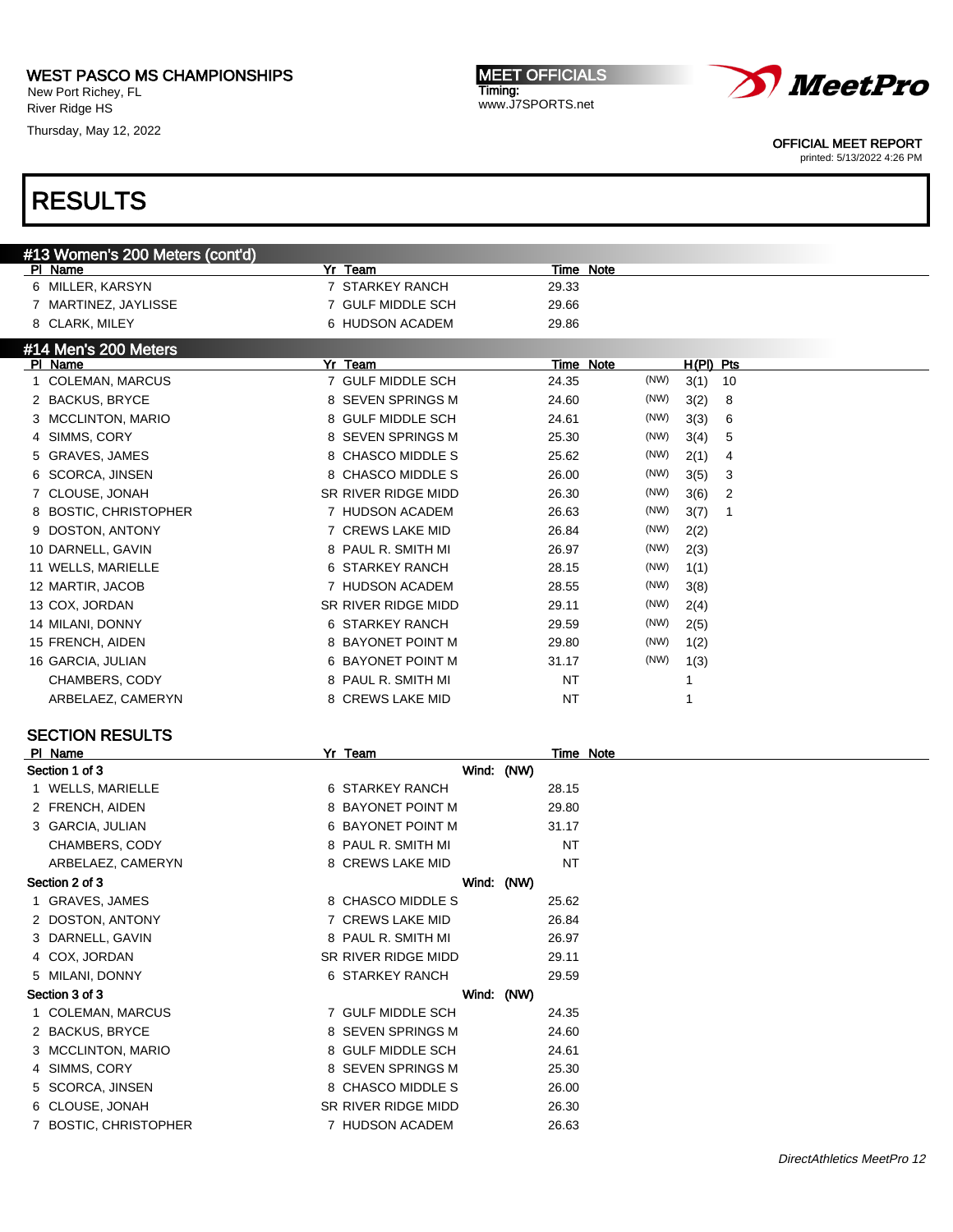New Port Richey, FL River Ridge HS

Thursday, May 12, 2022

MEET OFFICIALS Timing: www.J7SPORTS.net



OFFICIAL MEET REPORT

printed: 5/13/2022 4:26 PM

# RESULTS

| #13 Women's 200 Meters (cont'd)        |                       |               |             |
|----------------------------------------|-----------------------|---------------|-------------|
| PI Name                                | Yr Team               | Time Note     |             |
| 6 MILLER, KARSYN                       | 7 STARKEY RANCH       | 29.33         |             |
| 7 MARTINEZ, JAYLISSE                   | 7 GULF MIDDLE SCH     | 29.66         |             |
| 8 CLARK, MILEY                         | 6 HUDSON ACADEM       | 29.86         |             |
| #14 Men's 200 Meters                   |                       |               |             |
| PI Name                                | Yr Team               | Time Note     | $H(PI)$ Pts |
| <b>COLEMAN, MARCUS</b><br>$\mathbf{1}$ | 7 GULF MIDDLE SCH     | (NW)<br>24.35 | 3(1)<br>10  |
| 2 BACKUS, BRYCE                        | 8 SEVEN SPRINGS M     | (NW)<br>24.60 | 3(2)<br>8   |
| 3 MCCLINTON, MARIO                     | 8 GULF MIDDLE SCH     | (NW)<br>24.61 | 3(3)<br>6   |
| SIMMS, CORY<br>4                       | 8 SEVEN SPRINGS M     | (NW)<br>25.30 | 3(4)<br>5   |
| <b>GRAVES, JAMES</b><br>5              | 8 CHASCO MIDDLE S     | (NW)<br>25.62 | 2(1)<br>4   |
| 6 SCORCA, JINSEN                       | 8 CHASCO MIDDLE S     | (NW)<br>26.00 | 3(5)<br>3   |
| 7 CLOUSE, JONAH                        | SR RIVER RIDGE MIDD   | (NW)<br>26.30 | 3(6)<br>2   |
| 8 BOSTIC, CHRISTOPHER                  | 7 HUDSON ACADEM       | (NW)<br>26.63 | 3(7)<br>1   |
| DOSTON, ANTONY<br>9                    | 7 CREWS LAKE MID      | (NW)<br>26.84 | 2(2)        |
| 10 DARNELL, GAVIN                      | 8 PAUL R. SMITH MI    | (NW)<br>26.97 | 2(3)        |
| 11 WELLS, MARIELLE                     | 6 STARKEY RANCH       | (NW)<br>28.15 | 1(1)        |
| 12 MARTIR, JACOB                       | 7 HUDSON ACADEM       | (NW)<br>28.55 | 3(8)        |
| 13 COX, JORDAN                         | SR RIVER RIDGE MIDD   | (NW)<br>29.11 | 2(4)        |
| 14 MILANI, DONNY                       | 6 STARKEY RANCH       | 29.59<br>(NW) | 2(5)        |
| 15 FRENCH, AIDEN                       | 8 BAYONET POINT M     | (NW)<br>29.80 | 1(2)        |
| 16 GARCIA, JULIAN                      | 6 BAYONET POINT M     | (NW)<br>31.17 | 1(3)        |
| CHAMBERS, CODY                         | 8 PAUL R. SMITH MI    | <b>NT</b>     | 1           |
| ARBELAEZ, CAMERYN                      | 8 CREWS LAKE MID      | <b>NT</b>     | 1           |
|                                        |                       |               |             |
| <b>SECTION RESULTS</b>                 |                       |               |             |
| PI Name<br>Section 1 of 3              | Yr Team<br>Wind: (NW) | Time Note     |             |
| 1 WELLS, MARIELLE                      | 6 STARKEY RANCH       | 28.15         |             |
| 2 FRENCH, AIDEN                        | 8 BAYONET POINT M     | 29.80         |             |
| 3 GARCIA, JULIAN                       | 6 BAYONET POINT M     | 31.17         |             |
|                                        | 8 PAUL R. SMITH MI    | <b>NT</b>     |             |
| CHAMBERS, CODY                         |                       |               |             |
| ARBELAEZ, CAMERYN                      | 8 CREWS LAKE MID      | <b>NT</b>     |             |
| Section 2 of 3                         | Wind: (NW)            |               |             |

1 GRAVES, JAMES 8 CHASCO MIDDLE S 25.62 2 DOSTON, ANTONY 26.84 3 DARNELL, GAVIN 8 PAUL R. SMITH MI 26.97 4 COX, JORDAN SR RIVER RIDGE MIDD 29.11 5 MILANI, DONNY 6 STARKEY RANCH 29.59 Section 3 of 3 Wind: (NW) 1 COLEMAN, MARCUS **7 GULF MIDDLE SCH** 24.35 2 BACKUS, BRYCE 8 SEVEN SPRINGS M 24.60 3 MCCLINTON, MARIO 8 GULF MIDDLE SCH 24.61 4 SIMMS, CORY 6 25.30 5 SCORCA, JINSEN 8 CHASCO MIDDLE S 26.00 6 CLOUSE, JONAH SR RIVER RIDGE MIDD 26.30 7 BOSTIC, CHRISTOPHER 7 HUDSON ACADEM 26.63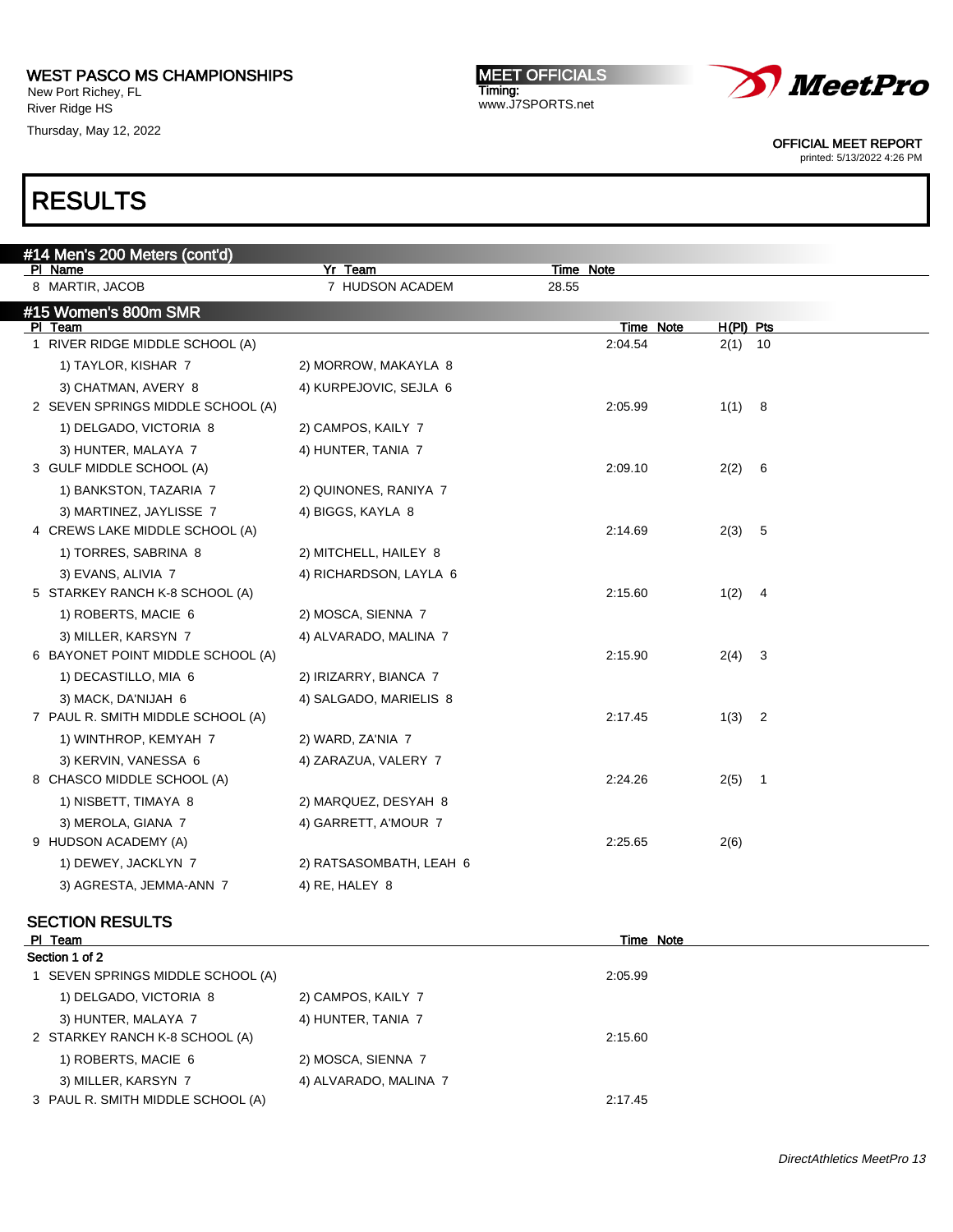New Port Richey, FL River Ridge HS

Thursday, May 12, 2022

MEET OFFICIALS Timing: www.J7SPORTS.net



OFFICIAL MEET REPORT

printed: 5/13/2022 4:26 PM

| #14 Men's 200 Meters (cont'd)<br>PI Name                 | Yr Team                 | Time Note        |           |
|----------------------------------------------------------|-------------------------|------------------|-----------|
| 8 MARTIR, JACOB                                          | 7 HUDSON ACADEM         | 28.55            |           |
| #15 Women's 800m SMR                                     |                         |                  |           |
| PI Team                                                  |                         | <b>Time Note</b> | H(PI) Pts |
| 1 RIVER RIDGE MIDDLE SCHOOL (A)                          |                         | 2:04.54          | $2(1)$ 10 |
| 1) TAYLOR, KISHAR 7                                      | 2) MORROW, MAKAYLA 8    |                  |           |
| 3) CHATMAN, AVERY 8                                      | 4) KURPEJOVIC, SEJLA 6  |                  |           |
| 2 SEVEN SPRINGS MIDDLE SCHOOL (A)                        |                         | 2:05.99          | 1(1) 8    |
| 1) DELGADO, VICTORIA 8                                   | 2) CAMPOS, KAILY 7      |                  |           |
| 3) HUNTER, MALAYA 7                                      | 4) HUNTER, TANIA 7      |                  |           |
| 3 GULF MIDDLE SCHOOL (A)                                 |                         | 2:09.10          | 2(2) 6    |
| 1) BANKSTON, TAZARIA 7                                   | 2) QUINONES, RANIYA 7   |                  |           |
| 3) MARTINEZ, JAYLISSE 7                                  | 4) BIGGS, KAYLA 8       |                  |           |
| 4 CREWS LAKE MIDDLE SCHOOL (A)                           |                         | 2:14.69          | 2(3) 5    |
| 1) TORRES, SABRINA 8                                     | 2) MITCHELL, HAILEY 8   |                  |           |
| 3) EVANS, ALIVIA 7<br>5 STARKEY RANCH K-8 SCHOOL (A)     | 4) RICHARDSON, LAYLA 6  | 2:15.60          | 1(2) 4    |
| 1) ROBERTS, MACIE 6                                      |                         |                  |           |
|                                                          | 2) MOSCA, SIENNA 7      |                  |           |
| 3) MILLER, KARSYN 7<br>6 BAYONET POINT MIDDLE SCHOOL (A) | 4) ALVARADO, MALINA 7   | 2:15.90          | $2(4)$ 3  |
| 1) DECASTILLO, MIA 6                                     | 2) IRIZARRY, BIANCA 7   |                  |           |
| 3) MACK, DA'NIJAH 6                                      | 4) SALGADO, MARIELIS 8  |                  |           |
| 7 PAUL R. SMITH MIDDLE SCHOOL (A)                        |                         | 2:17.45          | $1(3)$ 2  |
| 1) WINTHROP, KEMYAH 7                                    | 2) WARD, ZA'NIA 7       |                  |           |
| 3) KERVIN, VANESSA 6                                     | 4) ZARAZUA, VALERY 7    |                  |           |
| 8 CHASCO MIDDLE SCHOOL (A)                               |                         | 2:24.26          | $2(5)$ 1  |
| 1) NISBETT, TIMAYA 8                                     | 2) MARQUEZ, DESYAH 8    |                  |           |
| 3) MEROLA, GIANA 7                                       | 4) GARRETT, A'MOUR 7    |                  |           |
| 9 HUDSON ACADEMY (A)                                     |                         | 2:25.65          | 2(6)      |
| 1) DEWEY, JACKLYN 7                                      | 2) RATSASOMBATH, LEAH 6 |                  |           |
| 3) AGRESTA, JEMMA-ANN 7                                  | 4) RE, HALEY 8          |                  |           |
|                                                          |                         |                  |           |
| <b>SECTION RESULTS</b>                                   |                         |                  |           |
| <u>PI Team</u><br>Section 1 of 2                         |                         | <b>Time Note</b> |           |
| 1 SEVEN SPRINGS MIDDLE SCHOOL (A)                        |                         | 2:05.99          |           |
| 1) DELGADO, VICTORIA 8                                   | 2) CAMPOS, KAILY 7      |                  |           |
| 3) HUNTER, MALAYA 7                                      | 4) HUNTER, TANIA 7      |                  |           |
| 2 STARKEY RANCH K-8 SCHOOL (A)                           |                         | 2:15.60          |           |
| 1) ROBERTS, MACIE 6                                      | 2) MOSCA, SIENNA 7      |                  |           |
| 3) MILLER, KARSYN 7                                      | 4) ALVARADO, MALINA 7   |                  |           |
| 3 PAUL R. SMITH MIDDLE SCHOOL (A)                        |                         | 2:17.45          |           |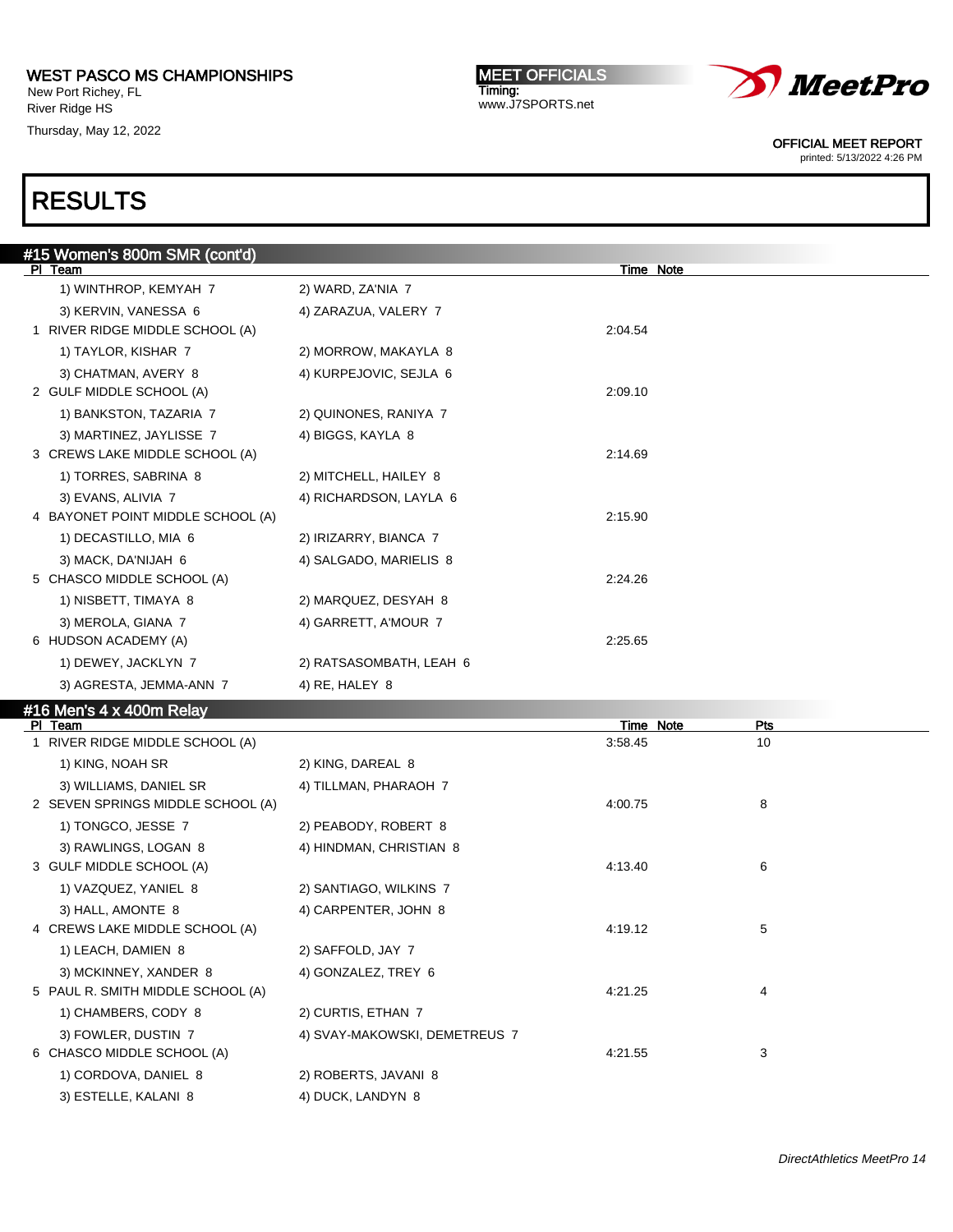New Port Richey, FL River Ridge HS

Thursday, May 12, 2022

MEET OFFICIALS Timing: www.J7SPORTS.net



OFFICIAL MEET REPORT

printed: 5/13/2022 4:26 PM

| #15 Women's 800m SMR (cont'd)     |                               |                  |            |
|-----------------------------------|-------------------------------|------------------|------------|
| PI Team                           |                               | Time Note        |            |
| 1) WINTHROP, KEMYAH 7             | 2) WARD, ZA'NIA 7             |                  |            |
| 3) KERVIN, VANESSA 6              | 4) ZARAZUA, VALERY 7          |                  |            |
| 1 RIVER RIDGE MIDDLE SCHOOL (A)   |                               | 2:04.54          |            |
| 1) TAYLOR, KISHAR 7               | 2) MORROW, MAKAYLA 8          |                  |            |
| 3) CHATMAN, AVERY 8               | 4) KURPEJOVIC, SEJLA 6        |                  |            |
| 2 GULF MIDDLE SCHOOL (A)          |                               | 2:09.10          |            |
| 1) BANKSTON, TAZARIA 7            | 2) QUINONES, RANIYA 7         |                  |            |
| 3) MARTINEZ, JAYLISSE 7           | 4) BIGGS, KAYLA 8             |                  |            |
| 3 CREWS LAKE MIDDLE SCHOOL (A)    |                               | 2:14.69          |            |
| 1) TORRES, SABRINA 8              | 2) MITCHELL, HAILEY 8         |                  |            |
| 3) EVANS, ALIVIA 7                | 4) RICHARDSON, LAYLA 6        |                  |            |
| 4 BAYONET POINT MIDDLE SCHOOL (A) |                               | 2:15.90          |            |
| 1) DECASTILLO, MIA 6              | 2) IRIZARRY, BIANCA 7         |                  |            |
| 3) MACK, DA'NIJAH 6               | 4) SALGADO, MARIELIS 8        |                  |            |
| 5 CHASCO MIDDLE SCHOOL (A)        |                               | 2:24.26          |            |
| 1) NISBETT, TIMAYA 8              | 2) MARQUEZ, DESYAH 8          |                  |            |
| 3) MEROLA, GIANA 7                | 4) GARRETT, A'MOUR 7          |                  |            |
| 6 HUDSON ACADEMY (A)              |                               | 2:25.65          |            |
| 1) DEWEY, JACKLYN 7               | 2) RATSASOMBATH, LEAH 6       |                  |            |
| 3) AGRESTA, JEMMA-ANN 7           | 4) RE, HALEY 8                |                  |            |
| #16 Men's 4 x 400m Relay          |                               |                  |            |
| PI Team                           |                               | <b>Time Note</b> | <b>Pts</b> |
| 1 RIVER RIDGE MIDDLE SCHOOL (A)   |                               | 3:58.45          | 10         |
| 1) KING, NOAH SR                  | 2) KING, DAREAL 8             |                  |            |
| 3) WILLIAMS, DANIEL SR            | 4) TILLMAN, PHARAOH 7         |                  |            |
| 2 SEVEN SPRINGS MIDDLE SCHOOL (A) |                               | 4:00.75          | 8          |
| 1) TONGCO, JESSE 7                | 2) PEABODY, ROBERT 8          |                  |            |
| 3) RAWLINGS, LOGAN 8              | 4) HINDMAN, CHRISTIAN 8       |                  |            |
| 3 GULF MIDDLE SCHOOL (A)          |                               | 4:13.40          | 6          |
| 1) VAZQUEZ, YANIEL 8              | 2) SANTIAGO, WILKINS 7        |                  |            |
| 3) HALL, AMONTE 8                 | 4) CARPENTER, JOHN 8          |                  |            |
| 4 CREWS LAKE MIDDLE SCHOOL (A)    |                               | 4:19.12          | 5          |
| 1) LEACH, DAMIEN 8                | 2) SAFFOLD, JAY 7             |                  |            |
| 3) MCKINNEY, XANDER 8             | 4) GONZALEZ, TREY 6           |                  |            |
| 5 PAUL R. SMITH MIDDLE SCHOOL (A) |                               | 4:21.25          | 4          |
| 1) CHAMBERS, CODY 8               | 2) CURTIS, ETHAN 7            |                  |            |
| 3) FOWLER, DUSTIN 7               | 4) SVAY-MAKOWSKI, DEMETREUS 7 |                  |            |
| 6 CHASCO MIDDLE SCHOOL (A)        |                               | 4:21.55          | 3          |
| 1) CORDOVA, DANIEL 8              | 2) ROBERTS, JAVANI 8          |                  |            |
| 3) ESTELLE, KALANI 8              | 4) DUCK, LANDYN 8             |                  |            |
|                                   |                               |                  |            |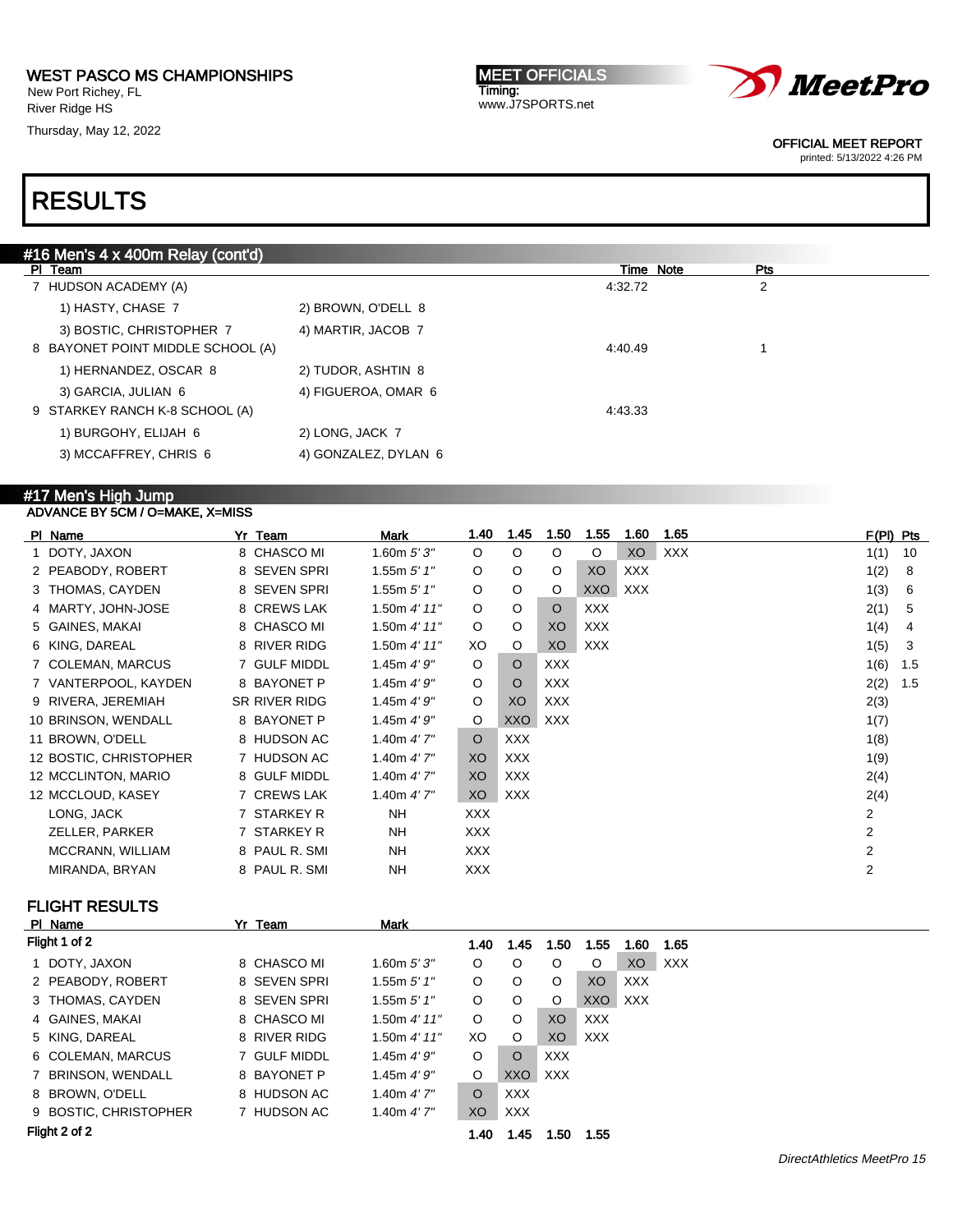New Port Richey, FL River Ridge HS

Thursday, May 12, 2022

MEET OFFICIALS Timing: www.J7SPORTS.net



OFFICIAL MEET REPORT

printed: 5/13/2022 4:26 PM

# RESULTS

| #16 Men's 4 x 400m Relay (cont'd) |                      |         |           |     |
|-----------------------------------|----------------------|---------|-----------|-----|
| PI Team                           |                      |         | Time Note | Pts |
| HUDSON ACADEMY (A)                |                      | 4:32.72 |           | 2   |
| 1) HASTY, CHASE 7                 | 2) BROWN, O'DELL 8   |         |           |     |
| 3) BOSTIC, CHRISTOPHER 7          | 4) MARTIR, JACOB 7   |         |           |     |
| 8 BAYONET POINT MIDDLE SCHOOL (A) |                      | 4:40.49 |           |     |
| 1) HERNANDEZ, OSCAR 8             | 2) TUDOR, ASHTIN 8   |         |           |     |
| 3) GARCIA, JULIAN 6               | 4) FIGUEROA, OMAR 6  |         |           |     |
| 9 STARKEY RANCH K-8 SCHOOL (A)    |                      | 4:43.33 |           |     |
| 1) BURGOHY, ELIJAH 6              | 2) LONG, JACK 7      |         |           |     |
| 3) MCCAFFREY, CHRIS 6             | 4) GONZALEZ, DYLAN 6 |         |           |     |
|                                   |                      |         |           |     |

#### #17 Men's High Jump ADVANCE BY 5CM / O=MAKE, X=MISS

| PI Name                | Yr Team       | <b>Mark</b>    | 1.40       | 1.45       | 1.50       | 1.55       | 1.60       | 1.65       | $F(PI)$ Pts    |     |
|------------------------|---------------|----------------|------------|------------|------------|------------|------------|------------|----------------|-----|
| 1 DOTY, JAXON          | 8 CHASCO MI   | 1.60m $5'3''$  | $\circ$    | $\circ$    | $\circ$    | $\circ$    | XO         | <b>XXX</b> | 1(1)           | 10  |
| 2 PEABODY, ROBERT      | 8 SEVEN SPRI  | 1.55m $5'$ 1"  | $\circ$    | $\circ$    | O          | XO         | <b>XXX</b> |            | 1(2)           | 8   |
| 3 THOMAS, CAYDEN       | 8 SEVEN SPRI  | 1.55m $5'$ 1"  | $\circ$    | $\circ$    | O          | XXO        | <b>XXX</b> |            | 1(3)           | 6   |
| 4 MARTY, JOHN-JOSE     | 8 CREWS LAK   | 1.50m 4' 11''  | $\circ$    | O          | $\circ$    | <b>XXX</b> |            |            | 2(1)           | 5   |
| 5 GAINES, MAKAI        | 8 CHASCO MI   | 1.50 $4'$ 11"  | $\circ$    | O          | XO         | <b>XXX</b> |            |            | 1(4)           | 4   |
| 6 KING, DAREAL         | 8 RIVER RIDG  | 1.50m $4'$ 11" | XO.        | O          | XO         | <b>XXX</b> |            |            | 1(5)           | 3   |
| 7 COLEMAN, MARCUS      | 7 GULF MIDDL  | 1.45m 4'9''    | $\circ$    | $\circ$    | <b>XXX</b> |            |            |            | 1(6)           | 1.5 |
| 7 VANTERPOOL, KAYDEN   | 8 BAYONET P   | 1.45m $4'9''$  | $\circ$    | $\circ$    | <b>XXX</b> |            |            |            | 2(2)           | 1.5 |
| 9 RIVERA, JEREMIAH     | SR RIVER RIDG | 1.45m $4'9''$  | $\circ$    | XO         | <b>XXX</b> |            |            |            | 2(3)           |     |
| 10 BRINSON, WENDALL    | 8 BAYONET P   | 1.45m $4'9''$  | O          | XXO        | XXX        |            |            |            | 1(7)           |     |
| 11 BROWN, O'DELL       | 8 HUDSON AC   | 1.40m $4'7''$  | $\circ$    | <b>XXX</b> |            |            |            |            | 1(8)           |     |
| 12 BOSTIC, CHRISTOPHER | 7 HUDSON AC   | 1.40m $4'$ 7"  | XO.        | XXX        |            |            |            |            | 1(9)           |     |
| 12 MCCLINTON, MARIO    | 8 GULF MIDDL  | 1.40m $4'$ 7"  | XO         | XXX        |            |            |            |            | 2(4)           |     |
| 12 MCCLOUD, KASEY      | 7 CREWS LAK   | 1.40m $4'$ 7"  | XO         | XXX        |            |            |            |            | 2(4)           |     |
| LONG, JACK             | 7 STARKEY R   | NH.            | <b>XXX</b> |            |            |            |            |            | $\overline{2}$ |     |
| ZELLER, PARKER         | 7 STARKEY R   | NH.            | XXX        |            |            |            |            |            | $\overline{2}$ |     |
| MCCRANN, WILLIAM       | 8 PAUL R. SMI | NH.            | <b>XXX</b> |            |            |            |            |            | 2              |     |
| MIRANDA, BRYAN         | 8 PAUL R. SMI | <b>NH</b>      | <b>XXX</b> |            |            |            |            |            | 2              |     |

### FLIGHT RESULTS

| PI Name |                                                                                                                                                                                                                      | Team | Mark                                                                                                                                          |         |            |            |      |            |            |
|---------|----------------------------------------------------------------------------------------------------------------------------------------------------------------------------------------------------------------------|------|-----------------------------------------------------------------------------------------------------------------------------------------------|---------|------------|------------|------|------------|------------|
|         |                                                                                                                                                                                                                      |      |                                                                                                                                               | 1.40    | 1.45       | 1.50       | 1.55 | 1.60       | 1.65       |
|         |                                                                                                                                                                                                                      |      | 1.60m $5'3''$                                                                                                                                 | O       | O          | O          | O    | XO         | <b>XXX</b> |
|         |                                                                                                                                                                                                                      |      | 1.55m $5'$ 1"                                                                                                                                 | O       | O          | O          | XO   | <b>XXX</b> |            |
|         |                                                                                                                                                                                                                      |      | 1.55m $5'$ 1"                                                                                                                                 | O       | O          | O          | XXO  | XXX.       |            |
|         |                                                                                                                                                                                                                      |      | 1.50m $4'$ 11"                                                                                                                                | O       | O          | XO         | XXX  |            |            |
|         |                                                                                                                                                                                                                      |      | 1.50m $4'$ 11"                                                                                                                                | XO      | O          | XO         | XXX  |            |            |
|         |                                                                                                                                                                                                                      |      | 1.45m $4'9''$                                                                                                                                 | O       | $\circ$    | <b>XXX</b> |      |            |            |
|         |                                                                                                                                                                                                                      |      | 1.45m $4'9''$                                                                                                                                 | O       | XXO        | <b>XXX</b> |      |            |            |
|         |                                                                                                                                                                                                                      |      | 1.40m $4'7''$                                                                                                                                 | $\circ$ | <b>XXX</b> |            |      |            |            |
|         |                                                                                                                                                                                                                      |      | 1.40m $4'$ 7"                                                                                                                                 | XO      | <b>XXX</b> |            |      |            |            |
|         |                                                                                                                                                                                                                      |      |                                                                                                                                               | 1.40    | 1.45       | 1.50       | 1.55 |            |            |
|         | Flight 1 of 2<br>1 DOTY, JAXON<br>2 PEABODY, ROBERT<br>3 THOMAS, CAYDEN<br>4 GAINES, MAKAI<br>5 KING, DAREAL<br>6 COLEMAN, MARCUS<br>7 BRINSON, WENDALL<br>8 BROWN, O'DELL<br>9 BOSTIC, CHRISTOPHER<br>Flight 2 of 2 |      | Yr<br>8 CHASCO MI<br>8 SEVEN SPRI<br>8 SEVEN SPRI<br>8 CHASCO MI<br>8 RIVER RIDG<br>7 GULF MIDDL<br>8 BAYONET P<br>8 HUDSON AC<br>7 HUDSON AC |         |            |            |      |            |            |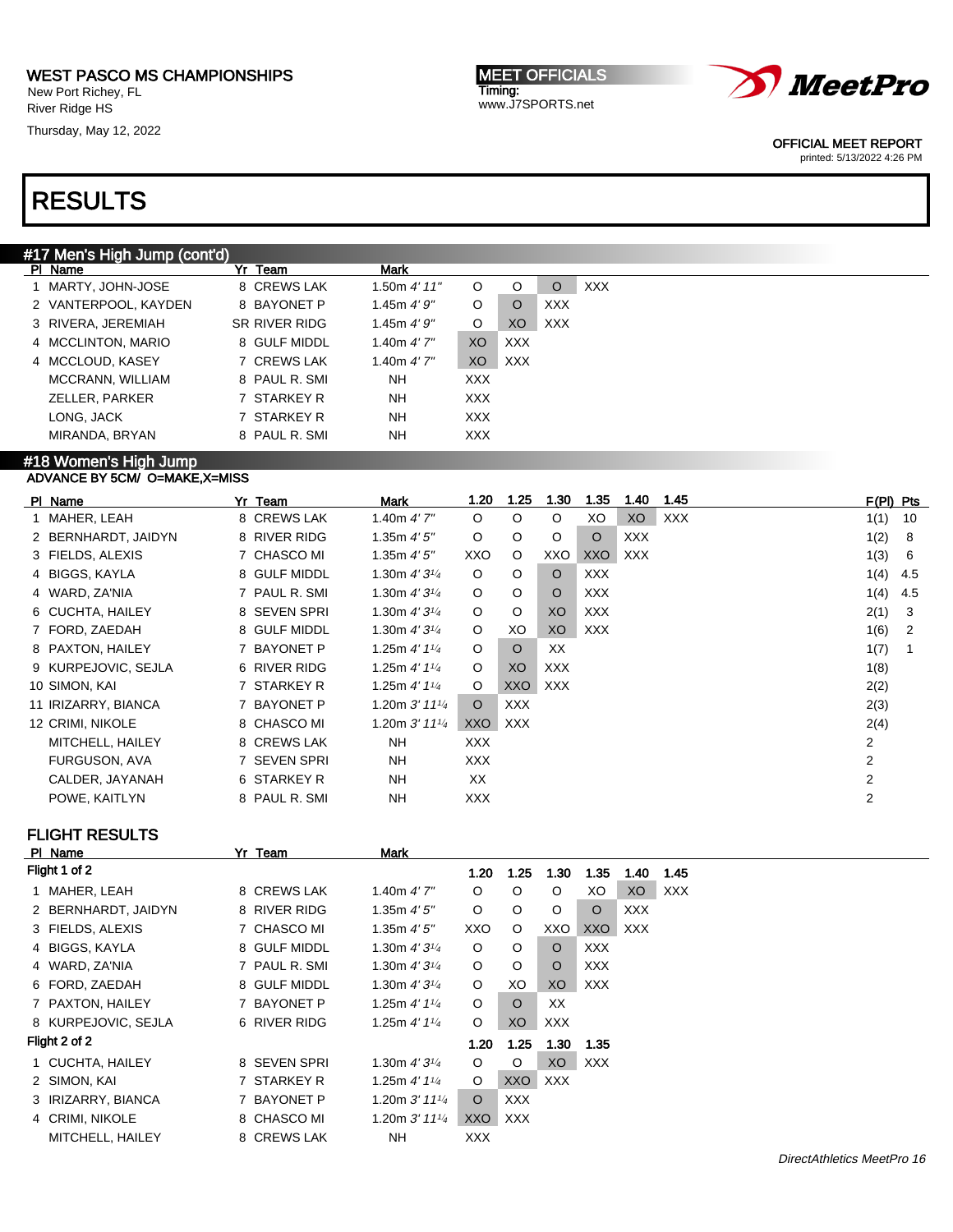#### WEST PASCO MS CHAMPIONSHIPS New Port Richey, FL

River Ridge HS

Thursday, May 12, 2022

MEET OFFICIALS Timing: www.J7SPORTS.net



OFFICIAL MEET REPORT

printed: 5/13/2022 4:26 PM

# RESULTS

### #17 Men's High Jump (cont'd)

|  | PI Name              | Yr Team       | Mark          |            |            |            |            |
|--|----------------------|---------------|---------------|------------|------------|------------|------------|
|  | 1 MARTY, JOHN-JOSE   | 8 CREWS LAK   | 1.50 $4'$ 11" | O          | O          | O          | <b>XXX</b> |
|  | 2 VANTERPOOL, KAYDEN | 8 BAYONET P   | 1.45m $4'9''$ | O          | O          | <b>XXX</b> |            |
|  | 3 RIVERA, JEREMIAH   | SR RIVER RIDG | 1.45m $4'9''$ | O          | XO         | <b>XXX</b> |            |
|  | 4 MCCLINTON, MARIO   | 8 GULF MIDDL  | 1.40m $4'7''$ | XO.        | <b>XXX</b> |            |            |
|  | 4 MCCLOUD, KASEY     | 7 CREWS LAK   | 1.40m $4'7''$ | XO         | XXX.       |            |            |
|  | MCCRANN, WILLIAM     | 8 PAUL R. SMI | <b>NH</b>     | XXX.       |            |            |            |
|  | ZELLER, PARKER       | 7 STARKEY R   | <b>NH</b>     | XXX.       |            |            |            |
|  | LONG, JACK           | 7 STARKEY R   | <b>NH</b>     | <b>XXX</b> |            |            |            |
|  | MIRANDA, BRYAN       | 8 PAUL R. SMI | <b>NH</b>     | <b>XXX</b> |            |            |            |
|  |                      |               |               |            |            |            |            |

#### #18 Women's High Jump ADVANCE BY 5CM/ O=MAKE,X=MISS

| PI Name             | Yr Team       | Mark                        | 1.20       | 1.25       | 1.30    | 1.35       | 1.40       | 1.45       | $F(PI)$ Pts    |     |
|---------------------|---------------|-----------------------------|------------|------------|---------|------------|------------|------------|----------------|-----|
| 1 MAHER, LEAH       | 8 CREWS LAK   | 1.40m $4'7''$               | $\circ$    | $\circ$    | $\circ$ | XO         | XO         | <b>XXX</b> | 1(1)           | 10  |
| 2 BERNHARDT, JAIDYN | 8 RIVER RIDG  | 1.35 $m$ 4' 5"              | $\circ$    | $\circ$    | $\circ$ | O          | <b>XXX</b> |            | 1(2)           | 8   |
| 3 FIELDS, ALEXIS    | 7 CHASCO MI   | 1.35 $m 4' 5''$             | XXO        | $\circ$    | XXO     | XXO        | XXX        |            | 1(3)           | 6   |
| 4 BIGGS, KAYLA      | 8 GULF MIDDL  | 1.30m $4'3^{1/4}$           | $\circ$    | O          | $\circ$ | <b>XXX</b> |            |            | 1(4)           | 4.5 |
| 4 WARD, ZA'NIA      | 7 PAUL R. SMI | 1.30m $4'3^{1/4}$           | $\circ$    | $\circ$    | $\circ$ | <b>XXX</b> |            |            | 1(4)           | 4.5 |
| 6 CUCHTA, HAILEY    | 8 SEVEN SPRI  | 1.30m $4'3^{1/4}$           | $\circ$    | O          | XO      | <b>XXX</b> |            |            | 2(1)           | 3   |
| 7 FORD, ZAEDAH      | 8 GULF MIDDL  | 1.30m $4'3'4$               | $\circ$    | XO         | XO      | XXX        |            |            | 1(6)           | 2   |
| 8 PAXTON, HAILEY    | 7 BAYONET P   | 1.25m $4'$ 1 $\frac{1}{4}$  | $\circ$    | $\circ$    | XX      |            |            |            | 1(7)           |     |
| 9 KURPEJOVIC, SEJLA | 6 RIVER RIDG  | 1.25m $4'$ 1 $\frac{1}{4}$  | $\circ$    | XO         | XXX     |            |            |            | 1(8)           |     |
| 10 SIMON, KAI       | 7 STARKEY R   | 1.25m $4'$ 1 $\frac{1}{4}$  | $\circ$    | XXO        | XXX     |            |            |            | 2(2)           |     |
| 11 IRIZARRY, BIANCA | 7 BAYONET P   | 1.20m $3'$ 11 $\frac{1}{4}$ | $\circ$    | XXX.       |         |            |            |            | 2(3)           |     |
| 12 CRIMI, NIKOLE    | 8 CHASCO MI   | 1.20m $3'$ 11 $\frac{1}{4}$ | XXO        | <b>XXX</b> |         |            |            |            | 2(4)           |     |
| MITCHELL, HAILEY    | 8 CREWS LAK   | <b>NH</b>                   | <b>XXX</b> |            |         |            |            |            | 2              |     |
| FURGUSON, AVA       | 7 SEVEN SPRI  | <b>NH</b>                   | <b>XXX</b> |            |         |            |            |            | 2              |     |
| CALDER, JAYANAH     | 6 STARKEY R   | <b>NH</b>                   | XX         |            |         |            |            |            | $\overline{2}$ |     |
| POWE, KAITLYN       | 8 PAUL R. SMI | <b>NH</b>                   | <b>XXX</b> |            |         |            |            |            | 2              |     |

## FLIGHT RESULTS

| PI Name          |                                                                                                                                                                                                                                                         | Yr Team          | Mark                                                                                                                                                                                         |            |            |                |            |      |      |
|------------------|---------------------------------------------------------------------------------------------------------------------------------------------------------------------------------------------------------------------------------------------------------|------------------|----------------------------------------------------------------------------------------------------------------------------------------------------------------------------------------------|------------|------------|----------------|------------|------|------|
|                  |                                                                                                                                                                                                                                                         |                  |                                                                                                                                                                                              | 1.20       | 1.25       | 1.30           | 1.35       | 1.40 | 1.45 |
| MAHER, LEAH      |                                                                                                                                                                                                                                                         | <b>CREWS LAK</b> | $1.40m$ 4' $7"$                                                                                                                                                                              | O          | O          | O              | XO         | XO   | XXX  |
|                  |                                                                                                                                                                                                                                                         |                  | 1.35m 4'5''                                                                                                                                                                                  | O          | O          | O              | O          | XXX. |      |
|                  |                                                                                                                                                                                                                                                         |                  | 1.35m 4'5''                                                                                                                                                                                  | XXO        | O          | XXO            | XXO        | XXX. |      |
|                  |                                                                                                                                                                                                                                                         |                  | 1.30m $4'3\frac{1}{4}$                                                                                                                                                                       | O          | O          | $\circ$        | <b>XXX</b> |      |      |
|                  |                                                                                                                                                                                                                                                         |                  | 1.30m $4'3\frac{1}{4}$                                                                                                                                                                       | O          | O          | O              | <b>XXX</b> |      |      |
|                  |                                                                                                                                                                                                                                                         |                  | 1.30m $4'3\frac{1}{4}$                                                                                                                                                                       | O          | XO         | XO             | <b>XXX</b> |      |      |
|                  |                                                                                                                                                                                                                                                         |                  | 1.25m $4'$ 1 $\frac{1}{4}$                                                                                                                                                                   | O          | O          | XX             |            |      |      |
|                  |                                                                                                                                                                                                                                                         |                  | 1.25m $4'$ 1 $\frac{1}{4}$                                                                                                                                                                   | O          | XO         | <b>XXX</b>     |            |      |      |
|                  |                                                                                                                                                                                                                                                         |                  |                                                                                                                                                                                              | 1.20       | 1.25       | 1.30           | 1.35       |      |      |
|                  |                                                                                                                                                                                                                                                         |                  | 1.30m $4'3^{1/4}$                                                                                                                                                                            | O          | O          | X <sub>O</sub> | <b>XXX</b> |      |      |
|                  |                                                                                                                                                                                                                                                         |                  | 1.25m $4'$ 1 $\frac{1}{4}$                                                                                                                                                                   | O          | XXO        | <b>XXX</b>     |            |      |      |
|                  |                                                                                                                                                                                                                                                         |                  | 1.20m $3'$ 11 $\frac{1}{4}$                                                                                                                                                                  | O          | <b>XXX</b> |                |            |      |      |
|                  |                                                                                                                                                                                                                                                         |                  | 1.20m $3'$ 11 $\frac{1}{4}$                                                                                                                                                                  | XXO        | <b>XXX</b> |                |            |      |      |
| MITCHELL, HAILEY |                                                                                                                                                                                                                                                         |                  | <b>NH</b>                                                                                                                                                                                    | <b>XXX</b> |            |                |            |      |      |
|                  | Flight 1 of 2<br>2 BERNHARDT, JAIDYN<br>3 FIELDS, ALEXIS<br>4 BIGGS, KAYLA<br>4 WARD, ZA'NIA<br>6 FORD, ZAEDAH<br>7 PAXTON, HAILEY<br>8 KURPEJOVIC, SEJLA<br>Flight 2 of 2<br>1 CUCHTA, HAILEY<br>2 SIMON, KAI<br>3 IRIZARRY, BIANCA<br>4 CRIMI, NIKOLE |                  | 8<br>8 RIVER RIDG<br>7 CHASCO MI<br>8 GULF MIDDL<br>7 PAUL R. SMI<br>8 GULF MIDDL<br>7 BAYONET P<br>6 RIVER RIDG<br>8 SEVEN SPRI<br>7 STARKEY R<br>7 BAYONET P<br>8 CHASCO MI<br>8 CREWS LAK |            |            |                |            |      |      |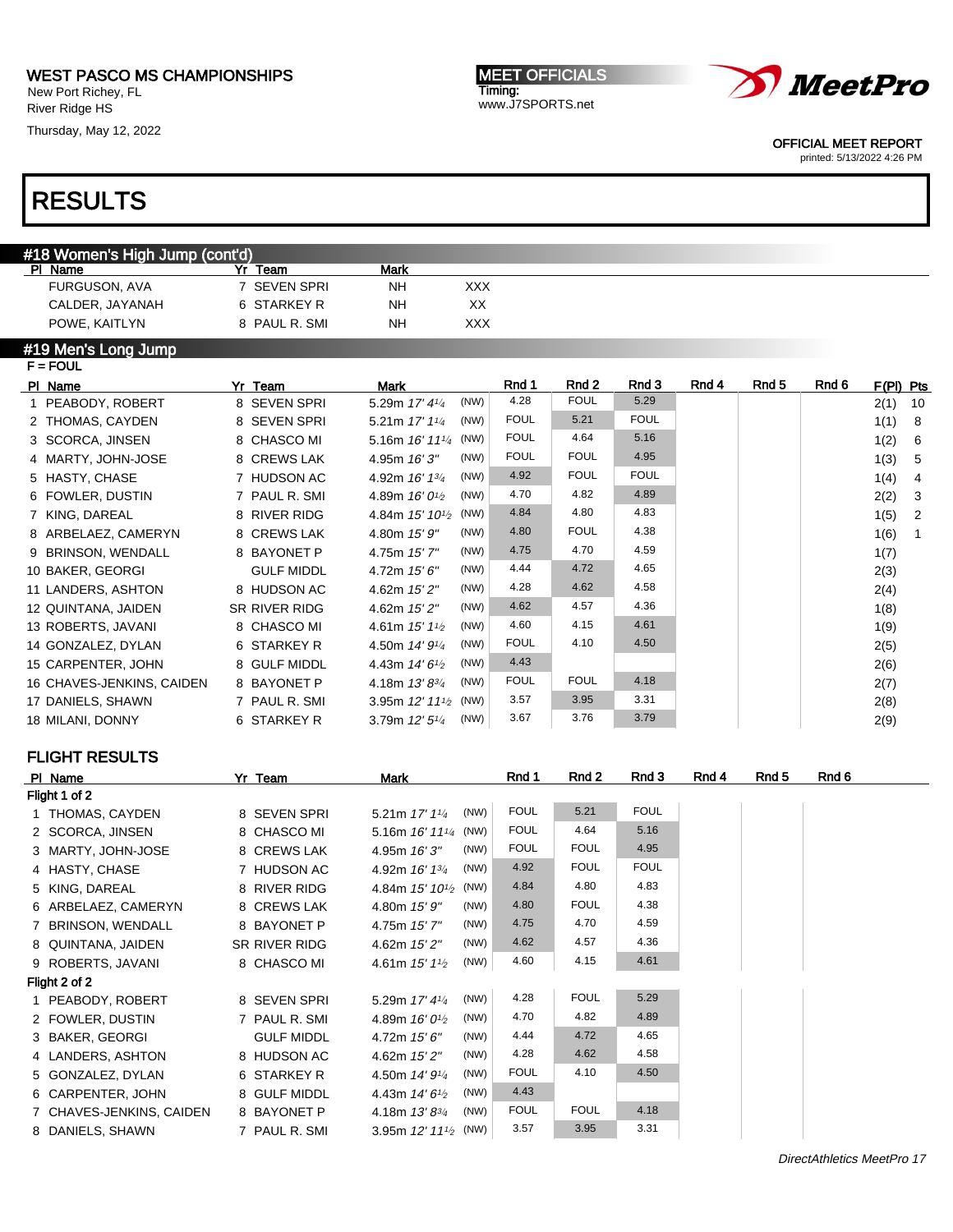New Port Richey, FL River Ridge HS

Thursday, May 12, 2022

# RESULTS

### #18 Women's High Jump (cont'd)

| Name<br>ΡI      | Yr Team       | <b>Mark</b> |     |
|-----------------|---------------|-------------|-----|
| FURGUSON, AVA   | 7 SEVEN SPRI  | NΗ          | XXX |
| CALDER, JAYANAH | 6 STARKEY R   | NΗ          | xх  |
| POWE, KAITLYN   | 8 PAUL R. SMI | NΗ          | xxx |

### #19 Men's Long Jump

|  | Yr Team                                                                                                                                                                                                                                                                                                                                                                                                                | <b>Mark</b>                                     | Rnd 1       | Rnd 2       | Rnd 3       | Rnd 4 | Rnd 5 | Rnd 6 |      |                |  |  |
|--|------------------------------------------------------------------------------------------------------------------------------------------------------------------------------------------------------------------------------------------------------------------------------------------------------------------------------------------------------------------------------------------------------------------------|-------------------------------------------------|-------------|-------------|-------------|-------|-------|-------|------|----------------|--|--|
|  | 8 SEVEN SPRI                                                                                                                                                                                                                                                                                                                                                                                                           | (NW)<br>5.29m 17' 41/4                          | 4.28        | <b>FOUL</b> | 5.29        |       |       |       | 2(1) | 10             |  |  |
|  | 8 SEVEN SPRI                                                                                                                                                                                                                                                                                                                                                                                                           | (NW)<br>5.21m $17'11/4$                         | <b>FOUL</b> | 5.21        | <b>FOUL</b> |       |       |       | 1(1) | - 8            |  |  |
|  | 8 CHASCO MI                                                                                                                                                                                                                                                                                                                                                                                                            | 5.16m $16'$ $11'$ <sup>4</sup> (NW)             | <b>FOUL</b> | 4.64        | 5.16        |       |       |       | 1(2) | -6             |  |  |
|  | 8 CREWS LAK                                                                                                                                                                                                                                                                                                                                                                                                            | (NW)<br>4.95m 16'3"                             | <b>FOUL</b> | <b>FOUL</b> | 4.95        |       |       |       | 1(3) | -5             |  |  |
|  | 7 HUDSON AC                                                                                                                                                                                                                                                                                                                                                                                                            | (NW)<br>4.92m 16' 13/4                          | 4.92        | <b>FOUL</b> | <b>FOUL</b> |       |       |       | 1(4) | 4              |  |  |
|  | 7 PAUL R. SMI                                                                                                                                                                                                                                                                                                                                                                                                          | (NW)<br>4.89m $16'0'$                           | 4.70        | 4.82        | 4.89        |       |       |       | 2(2) | $\mathbf{3}$   |  |  |
|  | 8 RIVER RIDG                                                                                                                                                                                                                                                                                                                                                                                                           | 4.84m $15'$ $10^{1/2}$ (NW)                     | 4.84        | 4.80        | 4.83        |       |       |       | 1(5) | $\overline{2}$ |  |  |
|  | 8 CREWS LAK                                                                                                                                                                                                                                                                                                                                                                                                            | (NW)<br>4.80m 15' 9"                            | 4.80        | <b>FOUL</b> | 4.38        |       |       |       | 1(6) | $\overline{1}$ |  |  |
|  | 8 BAYONET P                                                                                                                                                                                                                                                                                                                                                                                                            | (NW)<br>4.75m 15'7"                             | 4.75        | 4.70        | 4.59        |       |       |       | 1(7) |                |  |  |
|  | <b>GULF MIDDL</b>                                                                                                                                                                                                                                                                                                                                                                                                      | (NW)<br>4.72m $15'6''$                          | 4.44        | 4.72        | 4.65        |       |       |       | 2(3) |                |  |  |
|  | 8 HUDSON AC                                                                                                                                                                                                                                                                                                                                                                                                            | (NW)<br>4.62m 15' 2"                            | 4.28        | 4.62        | 4.58        |       |       |       | 2(4) |                |  |  |
|  | SR RIVER RIDG                                                                                                                                                                                                                                                                                                                                                                                                          | (NW)<br>4.62m 15' 2"                            | 4.62        | 4.57        | 4.36        |       |       |       | 1(8) |                |  |  |
|  | 8 CHASCO MI                                                                                                                                                                                                                                                                                                                                                                                                            | (NW)<br>4.61m $15'1'2$                          | 4.60        | 4.15        | 4.61        |       |       |       | 1(9) |                |  |  |
|  | 6 STARKEY R                                                                                                                                                                                                                                                                                                                                                                                                            | (NW)<br>4.50m 14' 9 <sup>1</sup> / <sub>4</sub> | <b>FOUL</b> | 4.10        | 4.50        |       |       |       | 2(5) |                |  |  |
|  | 8 GULF MIDDL                                                                                                                                                                                                                                                                                                                                                                                                           | (NW)<br>4.43m $14'6'$                           | 4.43        |             |             |       |       |       | 2(6) |                |  |  |
|  | 8 BAYONET P                                                                                                                                                                                                                                                                                                                                                                                                            | (NW)<br>4.18m 13'83/4                           | <b>FOUL</b> | <b>FOUL</b> | 4.18        |       |       |       | 2(7) |                |  |  |
|  | 7 PAUL R. SMI                                                                                                                                                                                                                                                                                                                                                                                                          | 3.95m $12'$ $11'$ <sup>2</sup> (NW)             | 3.57        | 3.95        | 3.31        |       |       |       | 2(8) |                |  |  |
|  | 6 STARKEY R                                                                                                                                                                                                                                                                                                                                                                                                            | (NW)<br>3.79m $12'5''$                          | 3.67        | 3.76        | 3.79        |       |       |       | 2(9) |                |  |  |
|  | $F = FOUL$<br>PI Name<br>1 PEABODY, ROBERT<br>2 THOMAS, CAYDEN<br>3 SCORCA, JINSEN<br>4 MARTY, JOHN-JOSE<br>5 HASTY, CHASE<br>6 FOWLER, DUSTIN<br>7 KING, DAREAL<br>8 ARBELAEZ, CAMERYN<br>9 BRINSON, WENDALL<br>10 BAKER, GEORGI<br>11 LANDERS, ASHTON<br>12 QUINTANA, JAIDEN<br>13 ROBERTS, JAVANI<br>14 GONZALEZ, DYLAN<br>15 CARPENTER, JOHN<br>16 CHAVES-JENKINS, CAIDEN<br>17 DANIELS, SHAWN<br>18 MILANI, DONNY |                                                 |             |             |             |       |       |       |      | $F(PI)$ Pts    |  |  |

### FLIGHT RESULTS

| PI Name                  | Yr Team           | Mark                                            | Rnd 1       | Rnd 2       | Rnd 3       | Rnd 4 | Rnd 5 | Rnd 6 |
|--------------------------|-------------------|-------------------------------------------------|-------------|-------------|-------------|-------|-------|-------|
| Flight 1 of 2            |                   |                                                 |             |             |             |       |       |       |
| 1 THOMAS, CAYDEN         | 8 SEVEN SPRI      | (NW)<br>5.21m 17' 11/4                          | <b>FOUL</b> | 5.21        | <b>FOUL</b> |       |       |       |
| 2 SCORCA, JINSEN         | 8 CHASCO MI       | 5.16m $16'$ $11'$ <sup>4</sup> (NW)             | <b>FOUL</b> | 4.64        | 5.16        |       |       |       |
| 3 MARTY, JOHN-JOSE       | 8 CREWS LAK       | (NW)<br>4.95m 16'3"                             | <b>FOUL</b> | <b>FOUL</b> | 4.95        |       |       |       |
| 4 HASTY, CHASE           | 7 HUDSON AC       | (NW)<br>4.92m $16'$ $13'$                       | 4.92        | <b>FOUL</b> | <b>FOUL</b> |       |       |       |
| 5 KING, DAREAL           | 8 RIVER RIDG      | 4.84m 15' 10 <sup>1</sup> / <sub>2</sub> (NW)   | 4.84        | 4.80        | 4.83        |       |       |       |
| 6 ARBELAEZ, CAMERYN      | 8 CREWS LAK       | (NW)<br>4.80m 15' 9"                            | 4.80        | <b>FOUL</b> | 4.38        |       |       |       |
| 7 BRINSON, WENDALL       | 8 BAYONET P       | (NW)<br>4.75m 15'7"                             | 4.75        | 4.70        | 4.59        |       |       |       |
| 8 QUINTANA, JAIDEN       | SR RIVER RIDG     | (NW)<br>4.62m 15' 2"                            | 4.62        | 4.57        | 4.36        |       |       |       |
| 9 ROBERTS, JAVANI        | 8 CHASCO MI       | (NW)<br>4.61m $15'1\%$                          | 4.60        | 4.15        | 4.61        |       |       |       |
| Flight 2 of 2            |                   |                                                 |             |             |             |       |       |       |
| 1 PEABODY, ROBERT        | 8 SEVEN SPRI      | (NW)<br>5.29m $17' 41/4$                        | 4.28        | <b>FOUL</b> | 5.29        |       |       |       |
| 2 FOWLER, DUSTIN         | 7 PAUL R. SMI     | (NW)<br>4.89m $16'0^{1/2}$                      | 4.70        | 4.82        | 4.89        |       |       |       |
| 3 BAKER, GEORGI          | <b>GULF MIDDL</b> | (NW)<br>4.72m 15' 6"                            | 4.44        | 4.72        | 4.65        |       |       |       |
| 4 LANDERS, ASHTON        | 8 HUDSON AC       | (NW)<br>4.62m 15' 2"                            | 4.28        | 4.62        | 4.58        |       |       |       |
| 5 GONZALEZ, DYLAN        | 6 STARKEY R       | (NW)<br>4.50m 14' 9 <sup>1</sup> / <sub>4</sub> | <b>FOUL</b> | 4.10        | 4.50        |       |       |       |
| 6 CARPENTER, JOHN        | 8 GULF MIDDL      | (NW)<br>4.43m $14'6'$                           | 4.43        |             |             |       |       |       |
| 7 CHAVES-JENKINS, CAIDEN | 8 BAYONET P       | (NW)<br>4.18m $13'8^{3/4}$                      | <b>FOUL</b> | <b>FOUL</b> | 4.18        |       |       |       |
| 8 DANIELS, SHAWN         | 7 PAUL R. SMI     | 3.95m $12'$ $11'$ <sup>2</sup> (NW)             | 3.57        | 3.95        | 3.31        |       |       |       |
|                          |                   |                                                 |             |             |             |       |       |       |

MEET OFFICIALS Timing: www.J7SPORTS.net



OFFICIAL MEET REPORT

printed: 5/13/2022 4:26 PM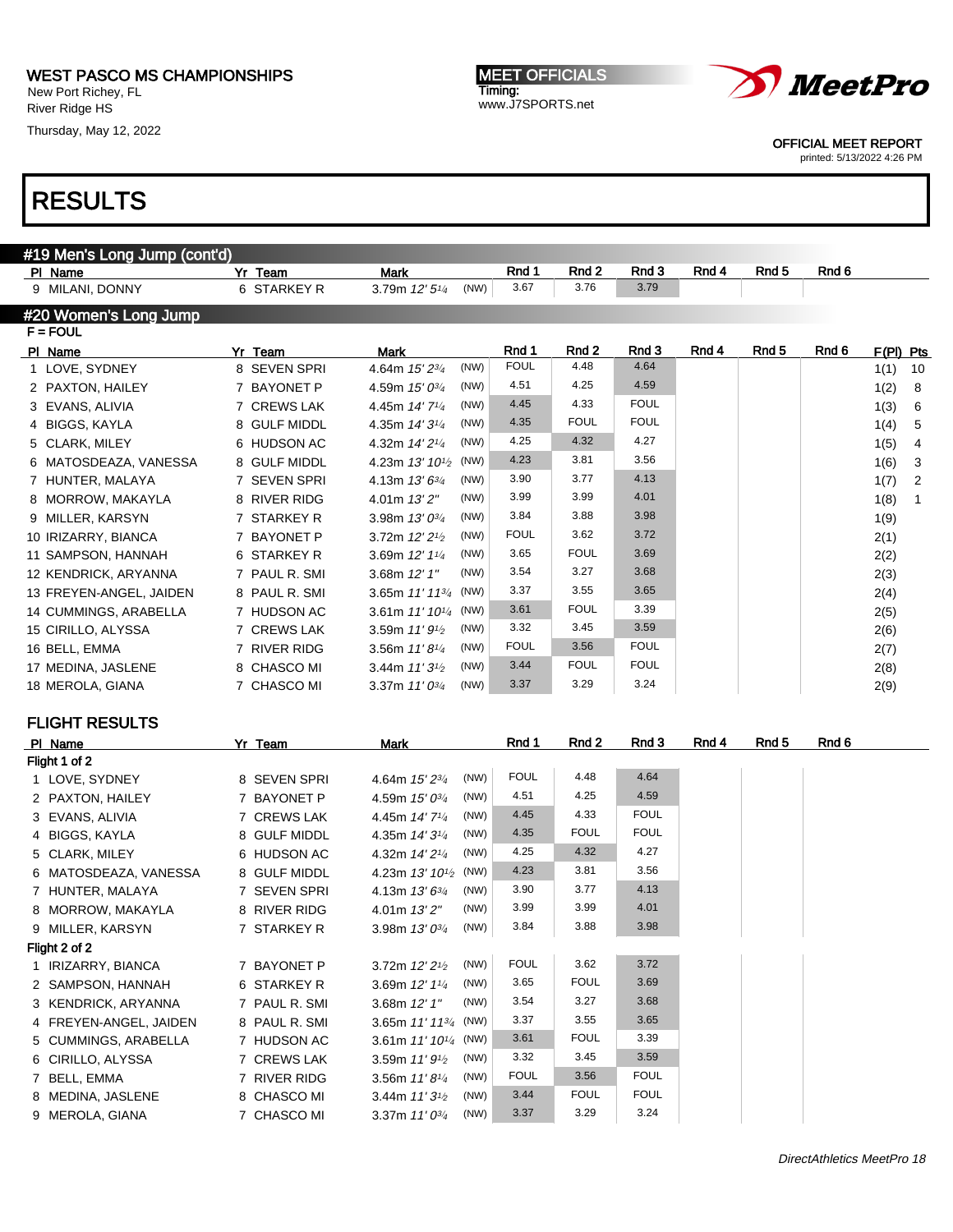New Port Richey, FL River Ridge HS

Thursday, May 12, 2022





OFFICIAL MEET REPORT

printed: 5/13/2022 4:26 PM

| #19 Men's Long Jump (cont'd) |               |                                          |      |             |                  |             |       |                  |       |                        |
|------------------------------|---------------|------------------------------------------|------|-------------|------------------|-------------|-------|------------------|-------|------------------------|
| PI Name                      | Yr Team       | <b>Mark</b>                              |      | Rnd 1       | Rnd 2            | Rnd 3       | Rnd 4 | Rnd <sub>5</sub> | Rnd 6 |                        |
| 9 MILANI, DONNY              | 6 STARKEY R   | 3.79m 12' 51/4                           | (NW) | 3.67        | 3.76             | 3.79        |       |                  |       |                        |
| #20 Women's Long Jump        |               |                                          |      |             |                  |             |       |                  |       |                        |
| $F = FOUL$                   |               |                                          |      |             |                  |             |       |                  |       |                        |
| PI Name                      | Yr Team       | Mark                                     |      | Rnd 1       | Rnd <sub>2</sub> | Rnd 3       | Rnd 4 | Rnd <sub>5</sub> | Rnd 6 | $F(PI)$ Pts            |
| 1 LOVE, SYDNEY               | 8 SEVEN SPRI  | 4.64m 15' 23/4                           | (NW) | <b>FOUL</b> | 4.48             | 4.64        |       |                  |       | 1(1)<br>10             |
| 2 PAXTON, HAILEY             | 7 BAYONET P   | 4.59m $15'0^{3/4}$                       | (NW) | 4.51        | 4.25             | 4.59        |       |                  |       | 1(2)<br>8              |
| 3 EVANS, ALIVIA              | 7 CREWS LAK   | 4.45m 14' 7 <sup>1/4</sup>               | (NW) | 4.45        | 4.33             | <b>FOUL</b> |       |                  |       | 1(3)<br>6              |
| 4 BIGGS, KAYLA               | 8 GULF MIDDL  | 4.35m $14'3\frac{1}{4}$                  | (NW) | 4.35        | <b>FOUL</b>      | <b>FOUL</b> |       |                  |       | 5<br>1(4)              |
| 5 CLARK, MILEY               | 6 HUDSON AC   | 4.32m 14' 2 <sup>1/4</sup>               | (NW) | 4.25        | 4.32             | 4.27        |       |                  |       | 1(5)<br>4              |
| 6 MATOSDEAZA, VANESSA        | 8 GULF MIDDL  | 4.23m $13'$ $10\frac{1}{2}$              | (NW) | 4.23        | 3.81             | 3.56        |       |                  |       | 3<br>1(6)              |
| 7 HUNTER, MALAYA             | 7 SEVEN SPRI  | 4.13m $13'6^{3/4}$                       | (NW) | 3.90        | 3.77             | 4.13        |       |                  |       | $\overline{2}$<br>1(7) |
| 8 MORROW, MAKAYLA            | 8 RIVER RIDG  | 4.01m 13'2"                              | (NW) | 3.99        | 3.99             | 4.01        |       |                  |       | 1(8)<br>$\mathbf{1}$   |
| 9 MILLER, KARSYN             | 7 STARKEY R   | 3.98m $13'0^{3/4}$                       | (NW) | 3.84        | 3.88             | 3.98        |       |                  |       | 1(9)                   |
| 10 IRIZARRY, BIANCA          | 7 BAYONET P   | 3.72m 12' 21/2                           | (NW) | <b>FOUL</b> | 3.62             | 3.72        |       |                  |       | 2(1)                   |
| 11 SAMPSON, HANNAH           | 6 STARKEY R   | 3.69m $12'$ $1\frac{1}{4}$               | (NW) | 3.65        | <b>FOUL</b>      | 3.69        |       |                  |       | 2(2)                   |
| 12 KENDRICK, ARYANNA         | 7 PAUL R. SMI | 3.68m 12' 1"                             | (NW) | 3.54        | 3.27             | 3.68        |       |                  |       | 2(3)                   |
| 13 FREYEN-ANGEL, JAIDEN      | 8 PAUL R. SMI | 3.65m $11'$ $11^{3/4}$                   | (NW) | 3.37        | 3.55             | 3.65        |       |                  |       | 2(4)                   |
| 14 CUMMINGS, ARABELLA        | 7 HUDSON AC   | 3.61m $11'10\frac{1}{4}$                 | (NW) | 3.61        | <b>FOUL</b>      | 3.39        |       |                  |       | 2(5)                   |
| 15 CIRILLO, ALYSSA           | 7 CREWS LAK   | 3.59m $11'9\frac{1}{2}$                  | (NW) | 3.32        | 3.45             | 3.59        |       |                  |       | 2(6)                   |
| 16 BELL, EMMA                | 7 RIVER RIDG  | 3.56m $11'8\frac{1}{4}$                  | (NW) | <b>FOUL</b> | 3.56             | <b>FOUL</b> |       |                  |       | 2(7)                   |
| 17 MEDINA, JASLENE           | 8 CHASCO MI   | 3.44m $11'3\frac{1}{2}$                  | (NW) | 3.44        | <b>FOUL</b>      | <b>FOUL</b> |       |                  |       | 2(8)                   |
| 18 MEROLA, GIANA             | 7 CHASCO MI   | 3.37m $11'0^{3/4}$                       | (NW) | 3.37        | 3.29             | 3.24        |       |                  |       | 2(9)                   |
|                              |               |                                          |      |             |                  |             |       |                  |       |                        |
| <b>FLIGHT RESULTS</b>        |               |                                          |      |             |                  |             |       |                  |       |                        |
| PI Name                      | Yr Team       | Mark                                     |      | Rnd 1       | Rnd 2            | Rnd 3       | Rnd 4 | Rnd <sub>5</sub> | Rnd 6 |                        |
| Flight 1 of 2                |               |                                          |      |             |                  |             |       |                  |       |                        |
| 1 LOVE, SYDNEY               | 8 SEVEN SPRI  | 4.64m 15' 23/4                           | (NW) | <b>FOUL</b> | 4.48             | 4.64        |       |                  |       |                        |
| 2 PAXTON, HAILEY             | 7 BAYONET P   | 4.59m 15' 03/4                           | (NW) | 4.51        | 4.25             | 4.59        |       |                  |       |                        |
| 3 EVANS, ALIVIA              | 7 CREWS LAK   | 4.45m 14' 71/4                           | (NW) | 4.45        | 4.33             | <b>FOUL</b> |       |                  |       |                        |
| 4 BIGGS, KAYLA               | 8 GULF MIDDL  | 4.35m 14' 31/4                           | (NW) | 4.35        | <b>FOUL</b>      | <b>FOUL</b> |       |                  |       |                        |
| 5 CLARK, MILEY               | 6 HUDSON AC   | 4.32m 14' 21/4                           | (NW) | 4.25        | 4.32             | 4.27        |       |                  |       |                        |
| 6 MATOSDEAZA, VANESSA        | 8 GULF MIDDL  | 4.23m 13' 10 <sup>1</sup> / <sub>2</sub> | (NW) | 4.23        | 3.81             | 3.56        |       |                  |       |                        |
| 7 HUNTER, MALAYA             | 7 SEVEN SPRI  | 4.13m 13' 63/4                           | (NW) | 3.90        | 3.77             | 4.13        |       |                  |       |                        |
| 8 MORROW, MAKAYLA            | 8 RIVER RIDG  | 4.01m 13'2"                              | (NW) | 3.99        | 3.99             | 4.01        |       |                  |       |                        |
| 9 MILLER, KARSYN             | 7 STARKEY R   | 3.98m 13' 03/4                           | (NW) | 3.84        | 3.88             | 3.98        |       |                  |       |                        |
| Flight 2 of 2                |               |                                          |      |             |                  |             |       |                  |       |                        |
| 1 IRIZARRY, BIANCA           | 7 BAYONET P   | 3.72m 12' 2 <sup>1/2</sup>               | (NW) | <b>FOUL</b> | 3.62             | 3.72        |       |                  |       |                        |
| 2 SAMPSON, HANNAH            | 6 STARKEY R   | 3.69m 12' 11/4                           | (NW) | 3.65        | <b>FOUL</b>      | 3.69        |       |                  |       |                        |
| 3 KENDRICK, ARYANNA          | 7 PAUL R. SMI | 3.68m 12' 1"                             | (NW) | 3.54        | 3.27             | 3.68        |       |                  |       |                        |
| 4 FREYEN-ANGEL, JAIDEN       | 8 PAUL R. SMI | 3.65m 11' 11 <sup>3/4</sup> (NW)         |      | 3.37        | 3.55             | 3.65        |       |                  |       |                        |
| 5 CUMMINGS, ARABELLA         | 7 HUDSON AC   | 3.61m 11' 101/4 (NW)                     |      | 3.61        | <b>FOUL</b>      | 3.39        |       |                  |       |                        |
| 6 CIRILLO, ALYSSA            | 7 CREWS LAK   | 3.59m 11'9'2                             | (NW) | 3.32        | 3.45             | 3.59        |       |                  |       |                        |
| 7 BELL, EMMA                 | 7 RIVER RIDG  | $3.56m 11' 8\frac{1}{4}$                 | (NW) | FOUL        | 3.56             | <b>FOUL</b> |       |                  |       |                        |
| 8 MEDINA, JASLENE            | 8 CHASCO MI   | 3.44m 11' 3 <sup>1</sup> / <sub>2</sub>  | (NW) | 3.44        | <b>FOUL</b>      | <b>FOUL</b> |       |                  |       |                        |
| 9 MEROLA, GIANA              | 7 CHASCO MI   | 3.37m $11'0^{3/4}$                       | (NW) | 3.37        | 3.29             | 3.24        |       |                  |       |                        |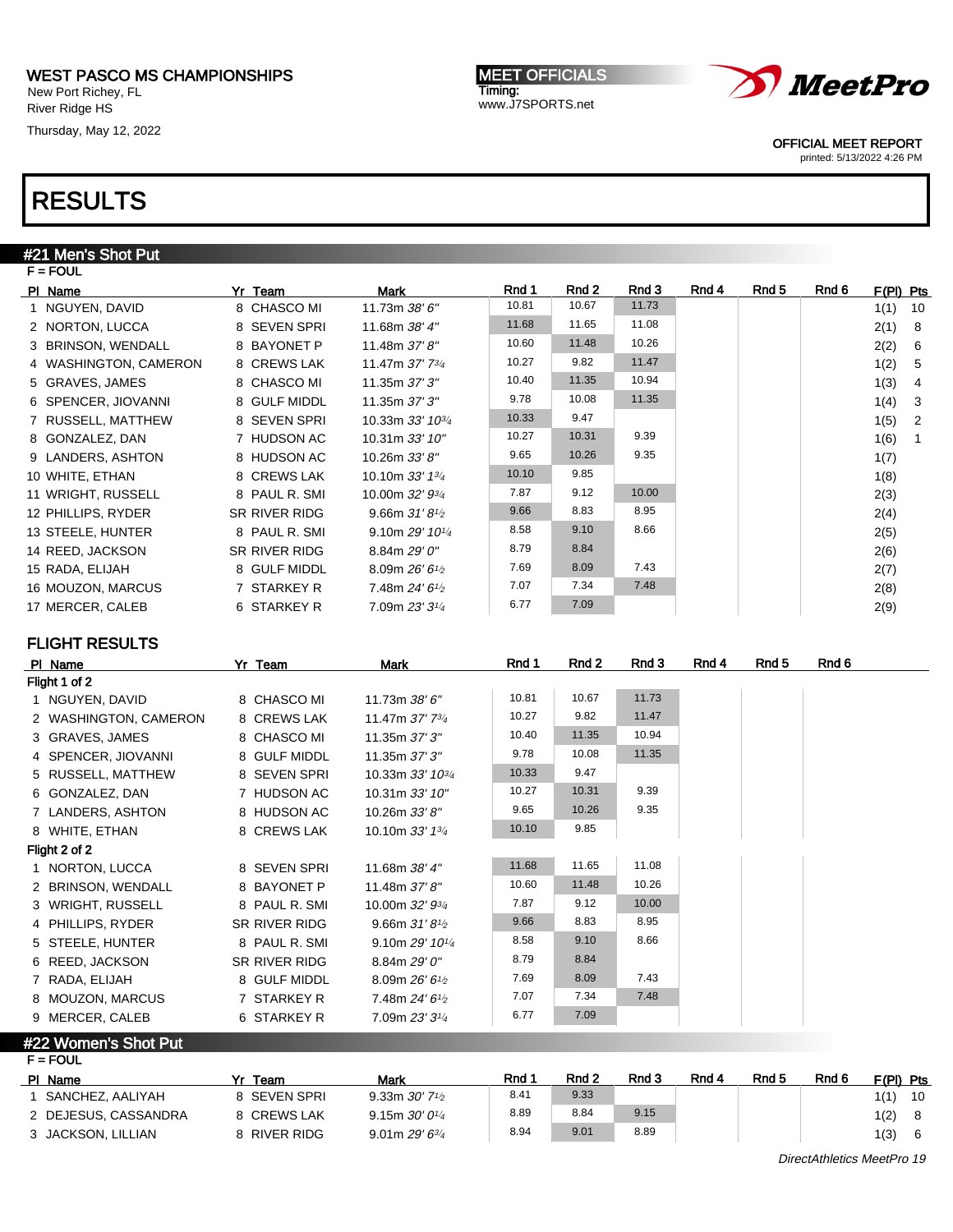New Port Richey, FL River Ridge HS

Thursday, May 12, 2022

**MEET OFFICIALS** Timing: www.J7SPORTS.net



OFFICIAL MEET REPORT

printed: 5/13/2022 4:26 PM

## RESULTS

### #21 Men's Shot Put

| $F = FOUL$            |                      |                              |       |       |       |       |       |       |             |                |
|-----------------------|----------------------|------------------------------|-------|-------|-------|-------|-------|-------|-------------|----------------|
| PI Name               | Yr Team              | Mark                         | Rnd 1 | Rnd 2 | Rnd 3 | Rnd 4 | Rnd 5 | Rnd 6 | $F(PI)$ Pts |                |
| 1 NGUYEN, DAVID       | 8 CHASCO MI          | 11.73m 38' 6"                | 10.81 | 10.67 | 11.73 |       |       |       | 1(1)        | 10             |
| 2 NORTON, LUCCA       | 8 SEVEN SPRI         | 11.68m 38' 4"                | 11.68 | 11.65 | 11.08 |       |       |       | 2(1)        | -8             |
| 3 BRINSON, WENDALL    | 8 BAYONET P          | 11.48m 37'8"                 | 10.60 | 11.48 | 10.26 |       |       |       | 2(2)        | -6             |
| 4 WASHINGTON, CAMERON | 8 CREWS LAK          | 11.47m 37' 73/4              | 10.27 | 9.82  | 11.47 |       |       |       | 1(2)        | -5             |
| 5 GRAVES, JAMES       | 8 CHASCO MI          | 11.35m 37' 3"                | 10.40 | 11.35 | 10.94 |       |       |       | 1(3)        | 4              |
| 6 SPENCER, JIOVANNI   | 8 GULF MIDDL         | 11.35m 37' 3"                | 9.78  | 10.08 | 11.35 |       |       |       | 1(4)        | -3             |
| 7 RUSSELL, MATTHEW    | 8 SEVEN SPRI         | 10.33m 33' 10 <sup>3/4</sup> | 10.33 | 9.47  |       |       |       |       | 1(5)        | $\overline{2}$ |
| 8 GONZALEZ, DAN       | 7 HUDSON AC          | 10.31m 33' 10"               | 10.27 | 10.31 | 9.39  |       |       |       | 1(6)        |                |
| 9 LANDERS, ASHTON     | 8 HUDSON AC          | 10.26m 33' 8"                | 9.65  | 10.26 | 9.35  |       |       |       | 1(7)        |                |
| 10 WHITE, ETHAN       | 8 CREWS LAK          | 10.10m $33'$ 1 $\frac{3}{4}$ | 10.10 | 9.85  |       |       |       |       | 1(8)        |                |
| 11 WRIGHT, RUSSELL    | 8 PAUL R. SMI        | 10.00m 32' 93/4              | 7.87  | 9.12  | 10.00 |       |       |       | 2(3)        |                |
| 12 PHILLIPS, RYDER    | <b>SR RIVER RIDG</b> | 9.66m $31'81/2$              | 9.66  | 8.83  | 8.95  |       |       |       | 2(4)        |                |
| 13 STEELE, HUNTER     | 8 PAUL R. SMI        | 9.10m 29' 101/4              | 8.58  | 9.10  | 8.66  |       |       |       | 2(5)        |                |
| 14 REED, JACKSON      | <b>SR RIVER RIDG</b> | 8.84m 29' 0"                 | 8.79  | 8.84  |       |       |       |       | 2(6)        |                |
| 15 RADA, ELIJAH       | 8 GULF MIDDL         | 8.09m $26'6'$                | 7.69  | 8.09  | 7.43  |       |       |       | 2(7)        |                |
| 16 MOUZON, MARCUS     | 7 STARKEY R          | 7.48m $24'6\frac{1}{2}$      | 7.07  | 7.34  | 7.48  |       |       |       | 2(8)        |                |
| 17 MERCER, CALEB      | 6 STARKEY R          | 7.09m 23' 31/4               | 6.77  | 7.09  |       |       |       |       | 2(9)        |                |

### FLIGHT RESULTS

| PI Name               | Yr Team       | Mark                          | Rnd 1 | Rnd 2 | Rnd 3 | Rnd 4 | Rnd 5 | Rnd 6 |
|-----------------------|---------------|-------------------------------|-------|-------|-------|-------|-------|-------|
| Flight 1 of 2         |               |                               |       |       |       |       |       |       |
| 1 NGUYEN, DAVID       | 8 CHASCO MI   | 11.73m 38' 6"                 | 10.81 | 10.67 | 11.73 |       |       |       |
| 2 WASHINGTON, CAMERON | 8 CREWS LAK   | 11.47m 37' 73/4               | 10.27 | 9.82  | 11.47 |       |       |       |
| 3 GRAVES, JAMES       | 8 CHASCO MI   | 11.35m 37' 3"                 | 10.40 | 11.35 | 10.94 |       |       |       |
| 4 SPENCER, JIOVANNI   | 8 GULF MIDDL  | 11.35m 37' 3"                 | 9.78  | 10.08 | 11.35 |       |       |       |
| 5 RUSSELL, MATTHEW    | 8 SEVEN SPRI  | 10.33m 33' 10 <sup>3/4</sup>  | 10.33 | 9.47  |       |       |       |       |
| 6 GONZALEZ, DAN       | 7 HUDSON AC   | 10.31m 33' 10"                | 10.27 | 10.31 | 9.39  |       |       |       |
| 7 LANDERS, ASHTON     | 8 HUDSON AC   | 10.26m $33'8''$               | 9.65  | 10.26 | 9.35  |       |       |       |
| 8 WHITE, ETHAN        | 8 CREWS LAK   | 10.10m 33' 13/4               | 10.10 | 9.85  |       |       |       |       |
| Flight 2 of 2         |               |                               |       |       |       |       |       |       |
| 1 NORTON, LUCCA       | 8 SEVEN SPRI  | 11.68m 38' 4"                 | 11.68 | 11.65 | 11.08 |       |       |       |
| 2 BRINSON, WENDALL    | 8 BAYONET P   | 11.48m 37' 8"                 | 10.60 | 11.48 | 10.26 |       |       |       |
| 3 WRIGHT, RUSSELL     | 8 PAUL R. SMI | 10.00m 32' 93/4               | 7.87  | 9.12  | 10.00 |       |       |       |
| 4 PHILLIPS, RYDER     | SR RIVER RIDG | 9.66m $31'8'$                 | 9.66  | 8.83  | 8.95  |       |       |       |
| 5 STEELE, HUNTER      | 8 PAUL R. SMI | 9.10m $29'$ 10 <sup>1/4</sup> | 8.58  | 9.10  | 8.66  |       |       |       |
| 6 REED, JACKSON       | SR RIVER RIDG | 8.84m 29' 0"                  | 8.79  | 8.84  |       |       |       |       |
| 7 RADA, ELIJAH        | 8 GULF MIDDL  | 8.09m $26'6''$                | 7.69  | 8.09  | 7.43  |       |       |       |
| 8 MOUZON, MARCUS      | 7 STARKEY R   | 7.48m $24'6\frac{1}{2}$       | 7.07  | 7.34  | 7.48  |       |       |       |
| 9 MERCER, CALEB       | 6 STARKEY R   | 7.09m 23' 31/4                | 6.77  | 7.09  |       |       |       |       |

#### #22 Women's Shot Put

| PI Name              | Team         | Mark                                      | Rnd 1 | Rnd 2 | Rnd 3 | Rnd 4 | Rnd 5 | Rnd 6 | $F(PI)$ Pts |    |
|----------------------|--------------|-------------------------------------------|-------|-------|-------|-------|-------|-------|-------------|----|
| SANCHEZ, AALIYAH     | 8 SEVEN SPRI | 9.33m $30'$ 7 <sup>1</sup> / <sub>2</sub> | 8.41  | 9.33  |       |       |       |       | 1(1)        | 10 |
| 2 DEJESUS, CASSANDRA | 8 CREWS LAK  | 9.15m $30'0^{1/4}$                        | 8.89  | 8.84  | 9.15  |       |       |       | 1(2)        |    |
| 3 JACKSON, LILLIAN   | 8 RIVER RIDG | $9.01$ m $29'6^{3/4}$                     | 8.94  | 9.01  | 8.89  |       |       |       | 1(3)        |    |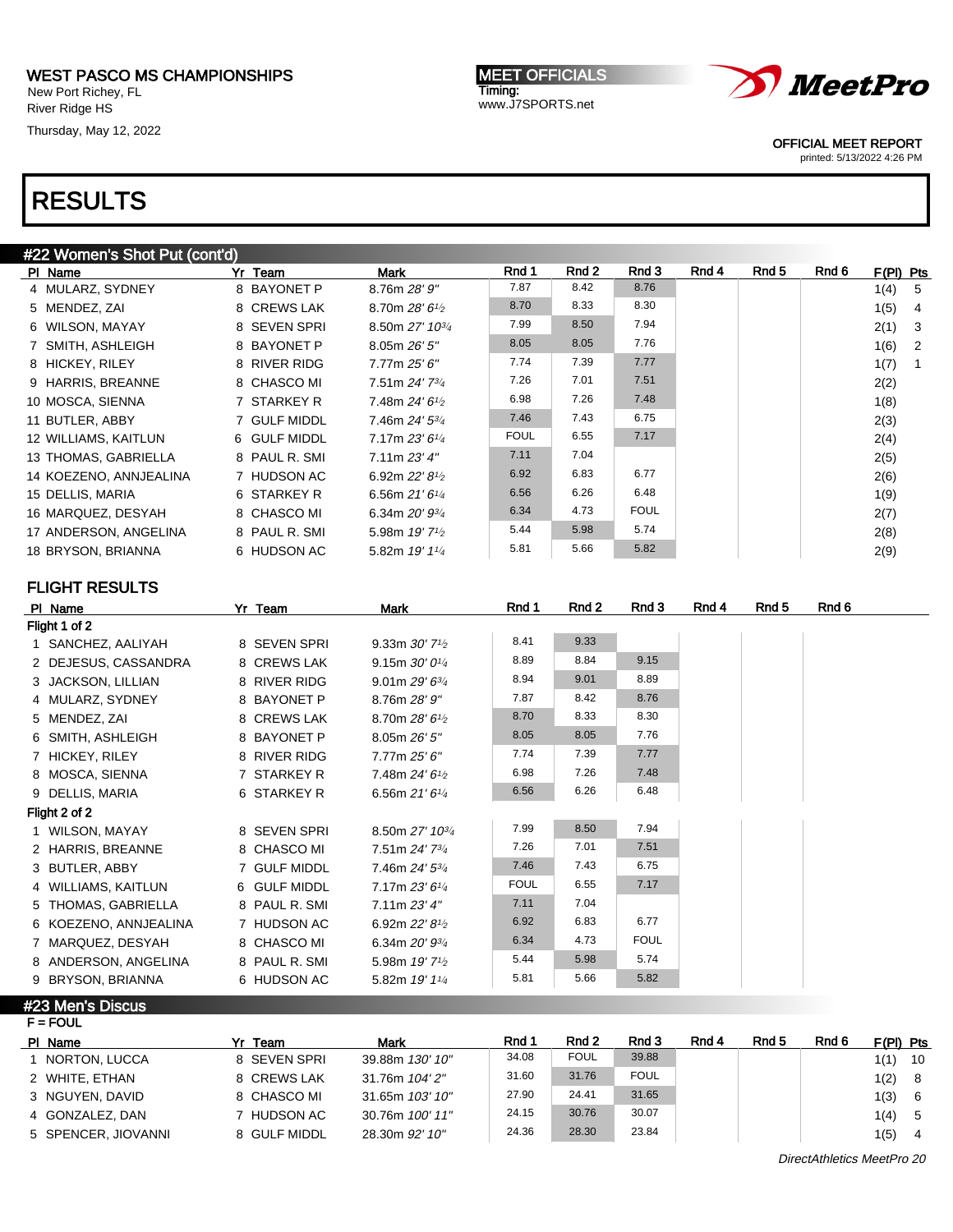New Port Richey, FL River Ridge HS

Thursday, May 12, 2022

**MEET OFFICIALS** Timing: www.J7SPORTS.net



OFFICIAL MEET REPORT

printed: 5/13/2022 4:26 PM

# RESULTS

#### #22 Women's Shot Put (cont'd)

| PI Name                | Yr Team       | <b>Mark</b>                               | Rnd 1       | Rnd 2 | Rnd 3       | Rnd 4 | Rnd 5 | Rnd 6 | $F(PI)$ Pts |                            |
|------------------------|---------------|-------------------------------------------|-------------|-------|-------------|-------|-------|-------|-------------|----------------------------|
| 4 MULARZ, SYDNEY       | 8 BAYONET P   | 8.76m 28' 9"                              | 7.87        | 8.42  | 8.76        |       |       |       | 1(4)        | - 5                        |
| 5 MENDEZ, ZAI          | 8 CREWS LAK   | 8.70m $28'6_{1/2}$                        | 8.70        | 8.33  | 8.30        |       |       |       | 1(5)        | $\overline{4}$             |
| 6 WILSON, MAYAY        | 8 SEVEN SPRI  | 8.50m 27' 10 <sup>3/4</sup>               | 7.99        | 8.50  | 7.94        |       |       |       | 2(1)        | $_{3}$                     |
| 7 SMITH, ASHLEIGH      | 8 BAYONET P   | 8.05m 26' 5''                             | 8.05        | 8.05  | 7.76        |       |       |       | 1(6)        | $\overline{\phantom{0}}^2$ |
| 8 HICKEY, RILEY        | 8 RIVER RIDG  | 7.77m 25' 6"                              | 7.74        | 7.39  | 7.77        |       |       |       | 1(7)        | $\overline{1}$             |
| 9 HARRIS, BREANNE      | 8 CHASCO MI   | 7.51m 24' 73/4                            | 7.26        | 7.01  | 7.51        |       |       |       | 2(2)        |                            |
| 10 MOSCA, SIENNA       | 7 STARKEY R   | 7.48m $24'6\frac{1}{2}$                   | 6.98        | 7.26  | 7.48        |       |       |       | 1(8)        |                            |
| 11 BUTLER, ABBY        | 7 GULF MIDDL  | 7.46m 24' 53/4                            | 7.46        | 7.43  | 6.75        |       |       |       | 2(3)        |                            |
| 12 WILLIAMS, KAITLUN   | 6 GULF MIDDL  | 7.17m $23'6''$                            | <b>FOUL</b> | 6.55  | 7.17        |       |       |       | 2(4)        |                            |
| 13 THOMAS, GABRIELLA   | 8 PAUL R. SMI | 7.11m 23'4''                              | 7.11        | 7.04  |             |       |       |       | 2(5)        |                            |
| 14 KOEZENO, ANNJEALINA | 7 HUDSON AC   | 6.92m $22'81/2$                           | 6.92        | 6.83  | 6.77        |       |       |       | 2(6)        |                            |
| 15 DELLIS, MARIA       | 6 STARKEY R   | 6.56m $21'6''$                            | 6.56        | 6.26  | 6.48        |       |       |       | 1(9)        |                            |
| 16 MARQUEZ, DESYAH     | 8 CHASCO MI   | 6.34m $20'$ $9\frac{3}{4}$                | 6.34        | 4.73  | <b>FOUL</b> |       |       |       | 2(7)        |                            |
| 17 ANDERSON, ANGELINA  | 8 PAUL R. SMI | 5.98m $19'$ 7 <sup>1</sup> / <sub>2</sub> | 5.44        | 5.98  | 5.74        |       |       |       | 2(8)        |                            |
| 18 BRYSON, BRIANNA     | 6 HUDSON AC   | 5.82m 19' 11/4                            | 5.81        | 5.66  | 5.82        |       |       |       | 2(9)        |                            |

### FLIGHT RESULTS

| PI Name               | Yr Team       | Mark                                      | Rnd 1       | Rnd 2 | Rnd 3       | Rnd 4 | Rnd 5 | Rnd 6 |
|-----------------------|---------------|-------------------------------------------|-------------|-------|-------------|-------|-------|-------|
| Flight 1 of 2         |               |                                           |             |       |             |       |       |       |
| 1 SANCHEZ, AALIYAH    | 8 SEVEN SPRI  | 9.33m $30'$ 7 <sup>1</sup> / <sub>2</sub> | 8.41        | 9.33  |             |       |       |       |
| 2 DEJESUS, CASSANDRA  | 8 CREWS LAK   | 9.15m $30'0'4$                            | 8.89        | 8.84  | 9.15        |       |       |       |
| 3 JACKSON, LILLIAN    | 8 RIVER RIDG  | 9.01m $29'6^{3/4}$                        | 8.94        | 9.01  | 8.89        |       |       |       |
| 4 MULARZ, SYDNEY      | 8 BAYONET P   | 8.76m 28' 9"                              | 7.87        | 8.42  | 8.76        |       |       |       |
| 5 MENDEZ, ZAI         | 8 CREWS LAK   | 8.70m $28'6_{1/2}$                        | 8.70        | 8.33  | 8.30        |       |       |       |
| 6 SMITH, ASHLEIGH     | 8 BAYONET P   | 8.05m 26' 5"                              | 8.05        | 8.05  | 7.76        |       |       |       |
| 7 HICKEY, RILEY       | 8 RIVER RIDG  | 7.77m 25' 6"                              | 7.74        | 7.39  | 7.77        |       |       |       |
| 8 MOSCA, SIENNA       | 7 STARKEY R   | 7.48m $24'6'$                             | 6.98        | 7.26  | 7.48        |       |       |       |
| 9 DELLIS, MARIA       | 6 STARKEY R   | 6.56m $21'6''$                            | 6.56        | 6.26  | 6.48        |       |       |       |
| Flight 2 of 2         |               |                                           |             |       |             |       |       |       |
| 1 WILSON, MAYAY       | 8 SEVEN SPRI  | 8.50m 27' 10 <sup>3/4</sup>               | 7.99        | 8.50  | 7.94        |       |       |       |
| 2 HARRIS, BREANNE     | 8 CHASCO MI   | 7.51m 24' 73/4                            | 7.26        | 7.01  | 7.51        |       |       |       |
| 3 BUTLER, ABBY        | 7 GULF MIDDL  | 7.46m 24' 53/4                            | 7.46        | 7.43  | 6.75        |       |       |       |
| 4 WILLIAMS, KAITLUN   | 6 GULF MIDDL  | 7.17m 23' 61/4                            | <b>FOUL</b> | 6.55  | 7.17        |       |       |       |
| 5 THOMAS, GABRIELLA   | 8 PAUL R. SMI | 7.11m 23'4''                              | 7.11        | 7.04  |             |       |       |       |
| 6 KOEZENO, ANNJEALINA | 7 HUDSON AC   | 6.92m 22' 8 <sup>1/2</sup>                | 6.92        | 6.83  | 6.77        |       |       |       |
| 7 MARQUEZ, DESYAH     | 8 CHASCO MI   | 6.34m 20' 93/4                            | 6.34        | 4.73  | <b>FOUL</b> |       |       |       |
| 8 ANDERSON, ANGELINA  | 8 PAUL R. SMI | 5.98m 19' 7 <sup>1</sup> / <sub>2</sub>   | 5.44        | 5.98  | 5.74        |       |       |       |
| 9 BRYSON, BRIANNA     | 6 HUDSON AC   | 5.82m 19' 11/4                            | 5.81        | 5.66  | 5.82        |       |       |       |

#23 Men's Discus  $F = FOUT$ 

| PI Name              | Yr Team      | Mark            | Rnd 1 | Rnd 2       | Rnd 3       | Rnd 4 | Rnd 5 | Rnd 6 | $F(PI)$ Pts |     |
|----------------------|--------------|-----------------|-------|-------------|-------------|-------|-------|-------|-------------|-----|
| <b>NORTON, LUCCA</b> | 8 SEVEN SPRI | 39.88m 130' 10" | 34.08 | <b>FOUL</b> | 39.88       |       |       |       | 1(1)        | -10 |
| 2 WHITE, ETHAN       | 8 CREWS LAK  | 31.76m 104' 2"  | 31.60 | 31.76       | <b>FOUL</b> |       |       |       | 1(2)        | - 8 |
| 3 NGUYEN, DAVID      | 8 CHASCO MI  | 31.65m 103' 10" | 27.90 | 24.41       | 31.65       |       |       |       | 1(3)        | - 6 |
| 4 GONZALEZ, DAN      | 7 HUDSON AC  | 30.76m 100' 11" | 24.15 | 30.76       | 30.07       |       |       |       | 1(4)        | - 5 |
| 5 SPENCER, JIOVANNI  | 8 GULF MIDDL | 28.30m 92' 10"  | 24.36 | 28.30       | 23.84       |       |       |       | 1(5)        | 4   |

DirectAthletics MeetPro 20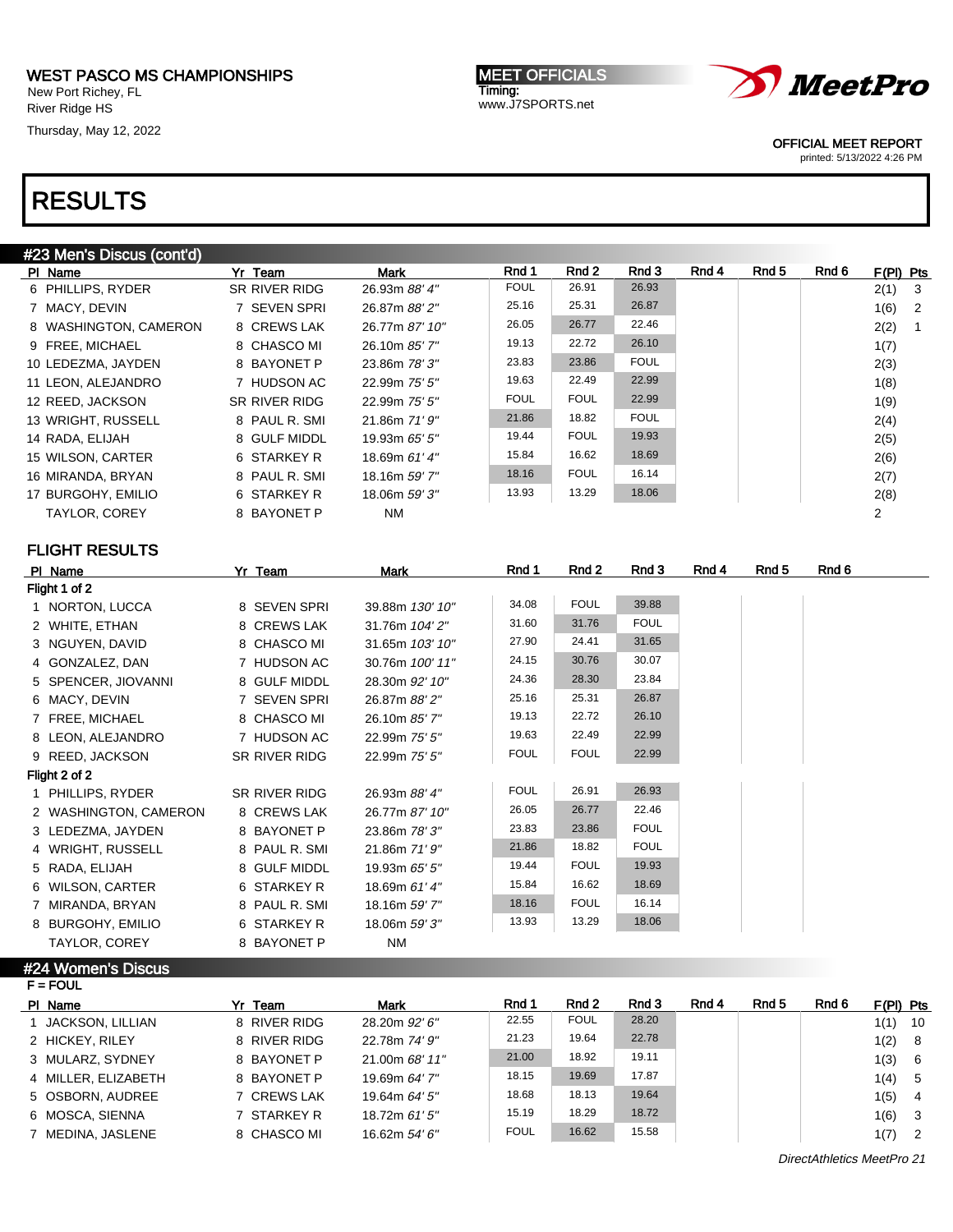New Port Richey, FL River Ridge HS

Thursday, May 12, 2022

MEET OFFICIALS Timing: www.J7SPORTS.net



OFFICIAL MEET REPORT

printed: 5/13/2022 4:26 PM

# RESULTS

| #23 Men's Discus (cont'd) |               |                |             |             |             |       |       |       |             |                            |
|---------------------------|---------------|----------------|-------------|-------------|-------------|-------|-------|-------|-------------|----------------------------|
| PI Name                   | Yr Team       | Mark           | Rnd 1       | Rnd 2       | Rnd 3       | Rnd 4 | Rnd 5 | Rnd 6 | $F(PI)$ Pts |                            |
| 6 PHILLIPS, RYDER         | SR RIVER RIDG | 26.93m 88' 4"  | <b>FOUL</b> | 26.91       | 26.93       |       |       |       | 2(1)        | $_{3}$                     |
| 7 MACY, DEVIN             | 7 SEVEN SPRI  | 26.87m 88' 2"  | 25.16       | 25.31       | 26.87       |       |       |       | 1(6)        | $\overline{\phantom{0}}^2$ |
| 8 WASHINGTON, CAMERON     | 8 CREWS LAK   | 26.77m 87' 10" | 26.05       | 26.77       | 22.46       |       |       |       | 2(2)        | $\overline{1}$             |
| 9 FREE, MICHAEL           | 8 CHASCO MI   | 26.10m 85' 7"  | 19.13       | 22.72       | 26.10       |       |       |       | 1(7)        |                            |
| 10 LEDEZMA, JAYDEN        | 8 BAYONET P   | 23.86m 78' 3"  | 23.83       | 23.86       | <b>FOUL</b> |       |       |       | 2(3)        |                            |
| 11 LEON, ALEJANDRO        | 7 HUDSON AC   | 22.99m 75' 5"  | 19.63       | 22.49       | 22.99       |       |       |       | 1(8)        |                            |
| 12 REED, JACKSON          | SR RIVER RIDG | 22.99m 75' 5"  | <b>FOUL</b> | <b>FOUL</b> | 22.99       |       |       |       | 1(9)        |                            |
| 13 WRIGHT, RUSSELL        | 8 PAUL R. SMI | 21.86m 71' 9"  | 21.86       | 18.82       | <b>FOUL</b> |       |       |       | 2(4)        |                            |
| 14 RADA, ELIJAH           | 8 GULF MIDDL  | 19.93m 65' 5"  | 19.44       | <b>FOUL</b> | 19.93       |       |       |       | 2(5)        |                            |
| 15 WILSON, CARTER         | 6 STARKEY R   | 18.69m 61' 4"  | 15.84       | 16.62       | 18.69       |       |       |       | 2(6)        |                            |
| 16 MIRANDA, BRYAN         | 8 PAUL R. SMI | 18.16m 59' 7"  | 18.16       | <b>FOUL</b> | 16.14       |       |       |       | 2(7)        |                            |
| 17 BURGOHY, EMILIO        | 6 STARKEY R   | 18.06m 59' 3"  | 13.93       | 13.29       | 18.06       |       |       |       | 2(8)        |                            |
| <b>TAYLOR, COREY</b>      | 8 BAYONET P   | <b>NM</b>      |             |             |             |       |       |       | 2           |                            |
|                           |               |                |             |             |             |       |       |       |             |                            |

### FLIGHT RESULTS

| PI Name               | Yr Team       | Mark            | Rnd 1       | Rnd 2       | Rnd 3       | Rnd 4 | Rnd 5 | Rnd 6 |
|-----------------------|---------------|-----------------|-------------|-------------|-------------|-------|-------|-------|
| Flight 1 of 2         |               |                 |             |             |             |       |       |       |
| 1 NORTON, LUCCA       | 8 SEVEN SPRI  | 39.88m 130' 10" | 34.08       | <b>FOUL</b> | 39.88       |       |       |       |
| 2 WHITE, ETHAN        | 8 CREWS LAK   | 31.76m 104' 2"  | 31.60       | 31.76       | <b>FOUL</b> |       |       |       |
| 3 NGUYEN, DAVID       | 8 CHASCO MI   | 31.65m 103' 10" | 27.90       | 24.41       | 31.65       |       |       |       |
| 4 GONZALEZ, DAN       | 7 HUDSON AC   | 30.76m 100' 11" | 24.15       | 30.76       | 30.07       |       |       |       |
| 5 SPENCER, JIOVANNI   | 8 GULF MIDDL  | 28.30m 92' 10"  | 24.36       | 28.30       | 23.84       |       |       |       |
| 6 MACY, DEVIN         | 7 SEVEN SPRI  | 26.87m 88' 2"   | 25.16       | 25.31       | 26.87       |       |       |       |
| 7 FREE, MICHAEL       | 8 CHASCO MI   | 26.10m 85' 7"   | 19.13       | 22.72       | 26.10       |       |       |       |
| 8 LEON, ALEJANDRO     | 7 HUDSON AC   | 22.99m 75' 5"   | 19.63       | 22.49       | 22.99       |       |       |       |
| 9 REED, JACKSON       | SR RIVER RIDG | 22.99m 75' 5"   | <b>FOUL</b> | <b>FOUL</b> | 22.99       |       |       |       |
| Flight 2 of 2         |               |                 |             |             |             |       |       |       |
| 1 PHILLIPS, RYDER     | SR RIVER RIDG | 26.93m 88' 4"   | <b>FOUL</b> | 26.91       | 26.93       |       |       |       |
| 2 WASHINGTON, CAMERON | 8 CREWS LAK   | 26.77m 87' 10"  | 26.05       | 26.77       | 22.46       |       |       |       |
| 3 LEDEZMA, JAYDEN     | 8 BAYONET P   | 23.86m 78' 3"   | 23.83       | 23.86       | <b>FOUL</b> |       |       |       |
| 4 WRIGHT, RUSSELL     | 8 PAUL R. SMI | 21.86m 71' 9"   | 21.86       | 18.82       | <b>FOUL</b> |       |       |       |
| 5 RADA, ELIJAH        | 8 GULF MIDDL  | 19.93m 65' 5"   | 19.44       | <b>FOUL</b> | 19.93       |       |       |       |
| 6 WILSON, CARTER      | 6 STARKEY R   | 18.69m 61' 4"   | 15.84       | 16.62       | 18.69       |       |       |       |
| 7 MIRANDA, BRYAN      | 8 PAUL R. SMI | 18.16m 59' 7"   | 18.16       | <b>FOUL</b> | 16.14       |       |       |       |
| 8 BURGOHY, EMILIO     | 6 STARKEY R   | 18.06m 59' 3"   | 13.93       | 13.29       | 18.06       |       |       |       |
| <b>TAYLOR, COREY</b>  | 8 BAYONET P   | <b>NM</b>       |             |             |             |       |       |       |
|                       |               |                 |             |             |             |       |       |       |

#24 Women's Discus

| $F = FOUL$          |              |                |             |             |       |       |       |       |           |                         |  |  |
|---------------------|--------------|----------------|-------------|-------------|-------|-------|-------|-------|-----------|-------------------------|--|--|
| PI Name             | Yr Team      | Mark           | Rnd 1       | Rnd 2       | Rnd 3 | Rnd 4 | Rnd 5 | Rnd 6 | F(PI) Pts |                         |  |  |
| JACKSON, LILLIAN    | 8 RIVER RIDG | 28.20m 92' 6"  | 22.55       | <b>FOUL</b> | 28.20 |       |       |       | 1(1)      | - 10                    |  |  |
| 2 HICKEY, RILEY     | 8 RIVER RIDG | 22.78m 74' 9"  | 21.23       | 19.64       | 22.78 |       |       |       | 1(2)      | 8                       |  |  |
| 3 MULARZ, SYDNEY    | 8 BAYONET P  | 21.00m 68' 11" | 21.00       | 18.92       | 19.11 |       |       |       | 1(3)      | - 6                     |  |  |
| 4 MILLER, ELIZABETH | 8 BAYONET P  | 19.69m 64' 7"  | 18.15       | 19.69       | 17.87 |       |       |       | 1(4)      | - 5                     |  |  |
| 5 OSBORN, AUDREE    | 7 CREWS LAK  | 19.64m 64' 5"  | 18.68       | 18.13       | 19.64 |       |       |       | 1(5)      | $\overline{4}$          |  |  |
| 6 MOSCA, SIENNA     | 7 STARKEY R  | 18.72m 61' 5"  | 15.19       | 18.29       | 18.72 |       |       |       | 1(6)      | $\overline{\mathbf{3}}$ |  |  |
| 7 MEDINA, JASLENE   | 8 CHASCO MI  | 16.62m 54' 6"  | <b>FOUL</b> | 16.62       | 15.58 |       |       |       | 1(7)      | $\overline{2}$          |  |  |
|                     |              |                |             |             |       |       |       |       |           |                         |  |  |

DirectAthletics MeetPro 21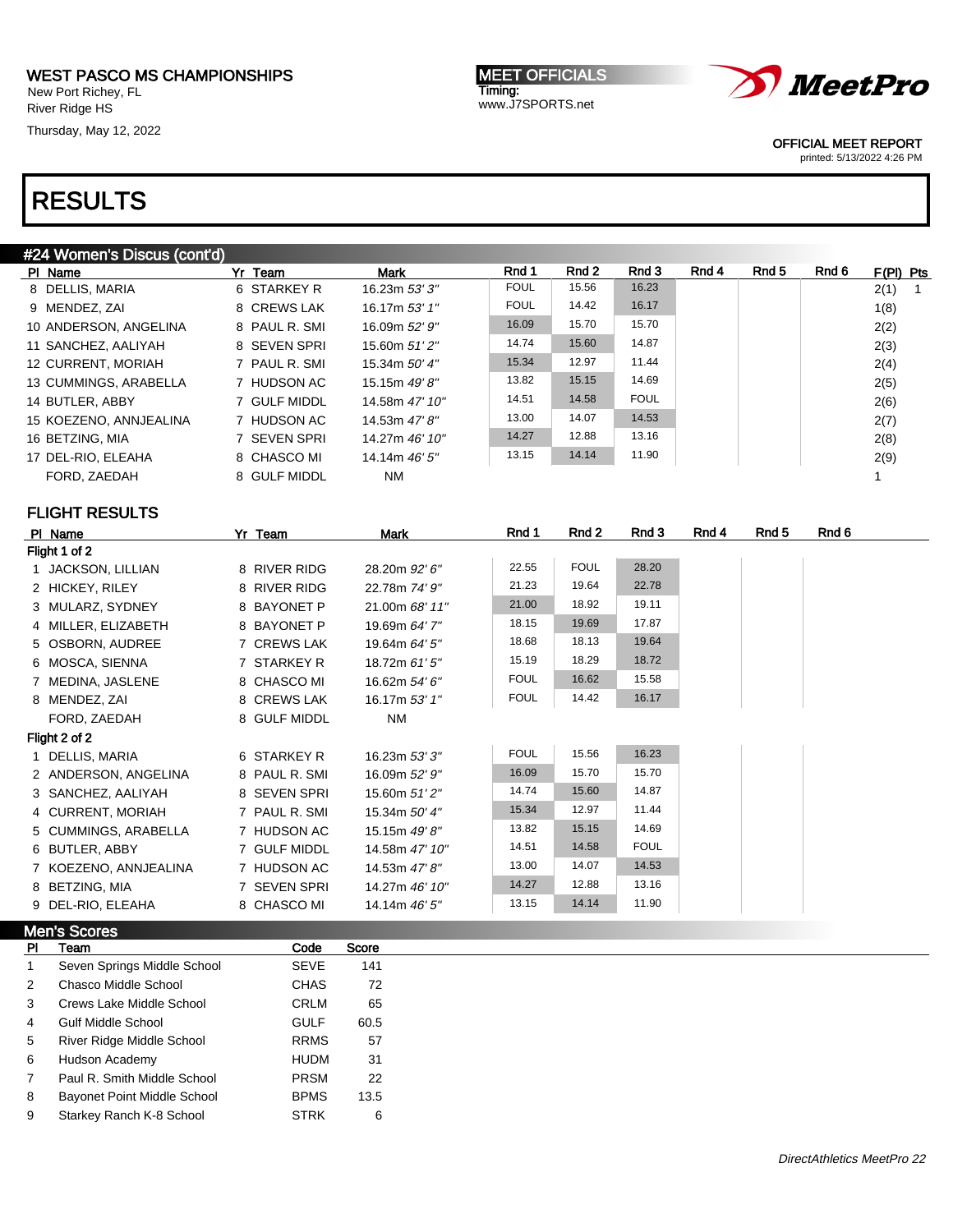New Port Richey, FL River Ridge HS

Thursday, May 12, 2022

MEET OFFICIALS Timing: www.J7SPORTS.net



OFFICIAL MEET REPORT

printed: 5/13/2022 4:26 PM

|              | #24 Women's Discus (cont'd) |               |                |             |                  |             |       |       |       |                      |
|--------------|-----------------------------|---------------|----------------|-------------|------------------|-------------|-------|-------|-------|----------------------|
|              | PI Name                     | Yr Team       | <b>Mark</b>    | Rnd 1       | Rnd <sub>2</sub> | Rnd 3       | Rnd 4 | Rnd 5 | Rnd 6 | F(PI) Pts            |
|              | 8 DELLIS, MARIA             | 6 STARKEY R   | 16.23m 53' 3"  | <b>FOUL</b> | 15.56            | 16.23       |       |       |       | 2(1)<br>$\mathbf{1}$ |
|              | 9 MENDEZ, ZAI               | 8 CREWS LAK   | 16.17m 53' 1"  | <b>FOUL</b> | 14.42            | 16.17       |       |       |       | 1(8)                 |
|              | 10 ANDERSON, ANGELINA       | 8 PAUL R. SMI | 16.09m 52' 9"  | 16.09       | 15.70            | 15.70       |       |       |       | 2(2)                 |
|              | 11 SANCHEZ, AALIYAH         | 8 SEVEN SPRI  | 15.60m 51'2"   | 14.74       | 15.60            | 14.87       |       |       |       | 2(3)                 |
|              | 12 CURRENT, MORIAH          | 7 PAUL R. SMI | 15.34m 50' 4"  | 15.34       | 12.97            | 11.44       |       |       |       | 2(4)                 |
|              | 13 CUMMINGS, ARABELLA       | 7 HUDSON AC   | 15.15m 49'8"   | 13.82       | 15.15            | 14.69       |       |       |       | 2(5)                 |
|              | 14 BUTLER, ABBY             | 7 GULF MIDDL  | 14.58m 47' 10" | 14.51       | 14.58            | <b>FOUL</b> |       |       |       | 2(6)                 |
|              | 15 KOEZENO, ANNJEALINA      | 7 HUDSON AC   | 14.53m 47' 8"  | 13.00       | 14.07            | 14.53       |       |       |       | 2(7)                 |
|              | 16 BETZING, MIA             | 7 SEVEN SPRI  | 14.27m 46' 10" | 14.27       | 12.88            | 13.16       |       |       |       | 2(8)                 |
|              | 17 DEL-RIO, ELEAHA          | 8 CHASCO MI   | 14.14m 46' 5"  | 13.15       | 14.14            | 11.90       |       |       |       | 2(9)                 |
|              | FORD, ZAEDAH                | 8 GULF MIDDL  | <b>NM</b>      |             |                  |             |       |       |       | 1                    |
|              | <b>FLIGHT RESULTS</b>       |               |                |             |                  |             |       |       |       |                      |
|              | PI Name                     | Yr Team       | <b>Mark</b>    | Rnd 1       | Rnd 2            | Rnd 3       | Rnd 4 | Rnd 5 | Rnd 6 |                      |
|              | Flight 1 of 2               |               |                |             |                  |             |       |       |       |                      |
|              | 1 JACKSON, LILLIAN          | 8 RIVER RIDG  | 28.20m 92' 6"  | 22.55       | <b>FOUL</b>      | 28.20       |       |       |       |                      |
|              | 2 HICKEY, RILEY             | 8 RIVER RIDG  | 22.78m 74' 9"  | 21.23       | 19.64            | 22.78       |       |       |       |                      |
|              | 3 MULARZ, SYDNEY            | 8 BAYONET P   | 21.00m 68' 11" | 21.00       | 18.92            | 19.11       |       |       |       |                      |
|              | 4 MILLER, ELIZABETH         | 8 BAYONET P   | 19.69m 64' 7"  | 18.15       | 19.69            | 17.87       |       |       |       |                      |
|              | 5 OSBORN, AUDREE            | 7 CREWS LAK   | 19.64m 64' 5"  | 18.68       | 18.13            | 19.64       |       |       |       |                      |
|              | 6 MOSCA, SIENNA             | 7 STARKEY R   | 18.72m 61' 5"  | 15.19       | 18.29            | 18.72       |       |       |       |                      |
|              | 7 MEDINA, JASLENE           | 8 CHASCO MI   | 16.62m 54' 6"  | <b>FOUL</b> | 16.62            | 15.58       |       |       |       |                      |
|              | 8 MENDEZ, ZAI               | 8 CREWS LAK   | 16.17m 53' 1"  | <b>FOUL</b> | 14.42            | 16.17       |       |       |       |                      |
|              | FORD, ZAEDAH                | 8 GULF MIDDL  | <b>NM</b>      |             |                  |             |       |       |       |                      |
|              | Flight 2 of 2               |               |                |             |                  |             |       |       |       |                      |
|              | 1 DELLIS, MARIA             | 6 STARKEY R   | 16.23m 53' 3"  | <b>FOUL</b> | 15.56            | 16.23       |       |       |       |                      |
|              | 2 ANDERSON, ANGELINA        | 8 PAUL R. SMI | 16.09m 52' 9"  | 16.09       | 15.70            | 15.70       |       |       |       |                      |
|              | 3 SANCHEZ, AALIYAH          | 8 SEVEN SPRI  | 15.60m 51'2"   | 14.74       | 15.60            | 14.87       |       |       |       |                      |
|              | 4 CURRENT, MORIAH           | 7 PAUL R. SMI | 15.34m 50' 4"  | 15.34       | 12.97            | 11.44       |       |       |       |                      |
|              | 5 CUMMINGS, ARABELLA        | 7 HUDSON AC   | 15.15m 49' 8"  | 13.82       | 15.15            | 14.69       |       |       |       |                      |
|              | 6 BUTLER, ABBY              | 7 GULF MIDDL  | 14.58m 47' 10" | 14.51       | 14.58            | <b>FOUL</b> |       |       |       |                      |
|              | 7 KOEZENO, ANNJEALINA       | 7 HUDSON AC   | 14.53m 47' 8"  | 13.00       | 14.07            | 14.53       |       |       |       |                      |
|              | 8 BETZING, MIA              | 7 SEVEN SPRI  | 14.27m 46' 10" | 14.27       | 12.88            | 13.16       |       |       |       |                      |
|              | 9 DEL-RIO, ELEAHA           | 8 CHASCO MI   | 14.14m 46' 5"  | 13.15       | 14.14            | 11.90       |       |       |       |                      |
|              | <b>Men's Scores</b>         |               |                |             |                  |             |       |       |       |                      |
| PI           | Team                        | Code          | Score          |             |                  |             |       |       |       |                      |
| $\mathbf{1}$ | Seven Springs Middle School | <b>SEVE</b>   | 141            |             |                  |             |       |       |       |                      |
| 2            | Chasco Middle School        | <b>CHAS</b>   | 72             |             |                  |             |       |       |       |                      |
| 3            | Crews Lake Middle School    | <b>CRLM</b>   | 65             |             |                  |             |       |       |       |                      |